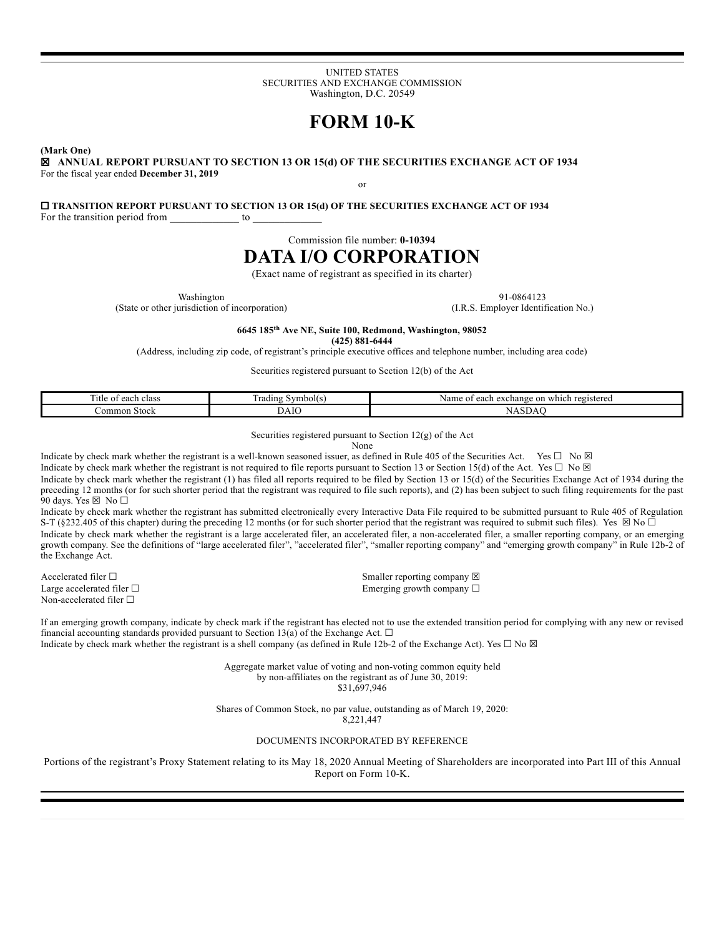#### UNITED STATES SECURITIES AND EXCHANGE COMMISSION Washington, D.C. 20549

# **FORM 10-K**

**(Mark One)**

☒ **ANNUAL REPORT PURSUANT TO SECTION 13 OR 15(d) OF THE SECURITIES EXCHANGE ACT OF 1934** For the fiscal year ended **December 31, 2019**

☐ **TRANSITION REPORT PURSUANT TO SECTION 13 OR 15(d) OF THE SECURITIES EXCHANGE ACT OF 1934** For the transition period from \_\_\_\_\_\_\_\_\_\_\_\_\_ to \_\_\_\_\_\_\_\_\_\_\_\_\_

Commission file number: **0-10394**

or

# **DATA I/O CORPORATION**

(Exact name of registrant as specified in its charter)

(State or other jurisdiction of incorporation) (I.R.S. Employer Identification No.)

Washington 91-0864123

**6645 185 th Ave NE, Suite 100, Redmond, Washington, 98052**

**(425) 881-6444**

(Address, including zip code, of registrant's principle executive offices and telephone number, including area code)

Securities registered pursuant to Section 12(b) of the Act

| 1 itle<br>class<br>each<br>$\sim$ +<br>- 11 | $\sim$<br>radıng<br>Symbol(s) | Name<br>which registered<br>∙on<br>exchange<br>each<br>ΩŤ |
|---------------------------------------------|-------------------------------|-----------------------------------------------------------|
| Common Stock                                | <b>DAIO</b>                   | $\sim$<br>NANIA                                           |

Securities registered pursuant to Section 12(g) of the Act

None

Indicate by check mark whether the registrant is a well-known seasoned issuer, as defined in Rule 405 of the Securities Act. Yes  $\Box$  No  $\boxtimes$ Indicate by check mark whether the registrant is not required to file reports pursuant to Section 13 or Section 15(d) of the Act. Yes  $\Box$  No  $\boxtimes$ Indicate by check mark whether the registrant (1) has filed all reports required to be filed by Section 13 or 15(d) of the Securities Exchange Act of 1934 during the preceding 12 months (or for such shorter period that the registrant was required to file such reports), and (2) has been subject to such filing requirements for the past 90 days. Yes  $\boxtimes$  No  $\square$ 

Indicate by check mark whether the registrant has submitted electronically every Interactive Data File required to be submitted pursuant to Rule 405 of Regulation S-T (§232.405 of this chapter) during the preceding 12 months (or for such shorter period that the registrant was required to submit such files). Yes  $\boxtimes$  No  $\Box$ Indicate by check mark whether the registrant is a large accelerated filer, an accelerated filer, a non-accelerated filer, a smaller reporting company, or an emerging growth company. See the definitions of "large accelerated filer", "accelerated filer", "smaller reporting company" and "emerging growth company" in Rule 12b-2 of the Exchange Act.

Non-accelerated filer □

Accelerated filer □ smaller reporting company ⊠ Large accelerated filer □ and the set of the set of the set of the set of the set of the set of the set of the set of the set of the set of the set of the set of the set of the set of the set of the set of the set of the

If an emerging growth company, indicate by check mark if the registrant has elected not to use the extended transition period for complying with any new or revised financial accounting standards provided pursuant to Section 13(a) of the Exchange Act.  $\Box$ Indicate by check mark whether the registrant is a shell company (as defined in Rule 12b-2 of the Exchange Act). Yes  $\Box$  No  $\boxtimes$ 

> Aggregate market value of voting and non-voting common equity held by non-affiliates on the registrant as of June 30, 2019: \$31,697,946

Shares of Common Stock, no par value, outstanding as of March 19, 2020: 8,221,447

DOCUMENTS INCORPORATED BY REFERENCE

Portions of the registrant's Proxy Statement relating to its May 18, 2020 Annual Meeting of Shareholders are incorporated into Part III of this Annual Report on Form 10-K.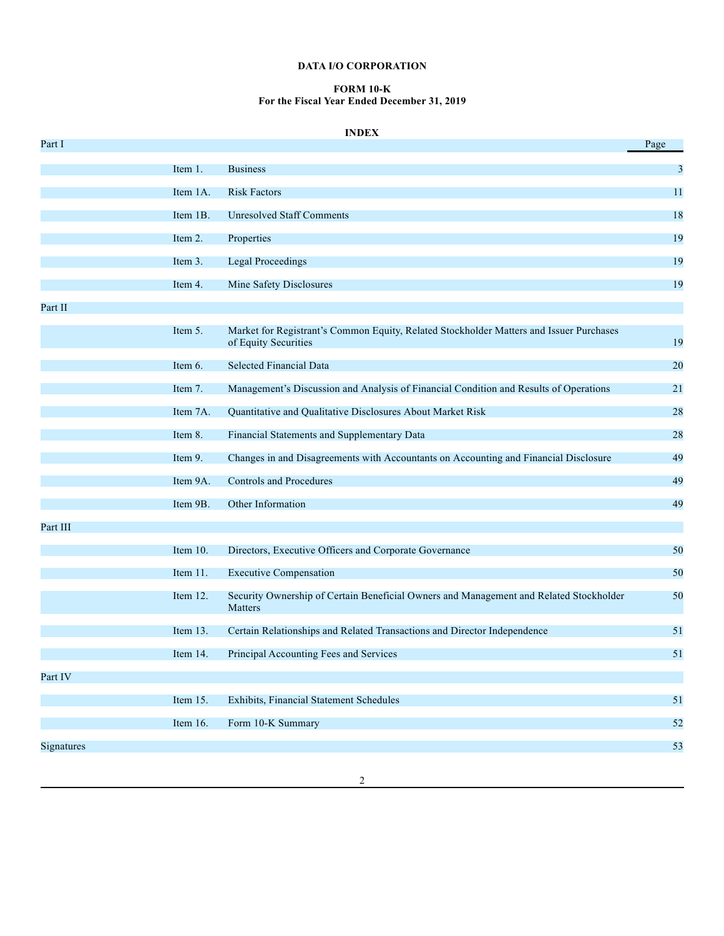# **DATA I/O CORPORATION**

#### **FORM 10-K For the Fiscal Year Ended December 31, 2019**

# **INDEX**

| Part I     |             |                                                                                                                 | Page                    |
|------------|-------------|-----------------------------------------------------------------------------------------------------------------|-------------------------|
|            | Item 1.     | <b>Business</b>                                                                                                 | $\overline{\mathbf{3}}$ |
|            | Item 1A.    | <b>Risk Factors</b>                                                                                             | 11                      |
|            | Item 1B.    | <b>Unresolved Staff Comments</b>                                                                                | 18                      |
|            | Item 2.     | Properties                                                                                                      | 19                      |
|            | Item 3.     | <b>Legal Proceedings</b>                                                                                        | 19                      |
|            | Item 4.     | Mine Safety Disclosures                                                                                         | 19                      |
| Part II    |             |                                                                                                                 |                         |
|            | Item 5.     | Market for Registrant's Common Equity, Related Stockholder Matters and Issuer Purchases<br>of Equity Securities | 19                      |
|            | Item $6.$   | <b>Selected Financial Data</b>                                                                                  | 20                      |
|            | Item 7.     | Management's Discussion and Analysis of Financial Condition and Results of Operations                           | 21                      |
|            | Item 7A.    | Quantitative and Qualitative Disclosures About Market Risk                                                      | 28                      |
|            | Item 8.     | Financial Statements and Supplementary Data                                                                     | 28                      |
|            | Item 9.     | Changes in and Disagreements with Accountants on Accounting and Financial Disclosure                            | 49                      |
|            | Item 9A.    | <b>Controls and Procedures</b>                                                                                  | 49                      |
|            | Item 9B.    | Other Information                                                                                               | 49                      |
| Part III   |             |                                                                                                                 |                         |
|            | Item 10.    | Directors, Executive Officers and Corporate Governance                                                          | 50                      |
|            | Item 11.    | <b>Executive Compensation</b>                                                                                   | 50                      |
|            | Item $12$ . | Security Ownership of Certain Beneficial Owners and Management and Related Stockholder<br>Matters               | 50                      |
|            | Item 13.    | Certain Relationships and Related Transactions and Director Independence                                        | 51                      |
|            | Item $14$ . | Principal Accounting Fees and Services                                                                          | 51                      |
| Part IV    |             |                                                                                                                 |                         |
|            | Item 15.    | Exhibits, Financial Statement Schedules                                                                         | 51                      |
|            | Item 16.    | Form 10-K Summary                                                                                               | 52                      |
| Signatures |             |                                                                                                                 | 53                      |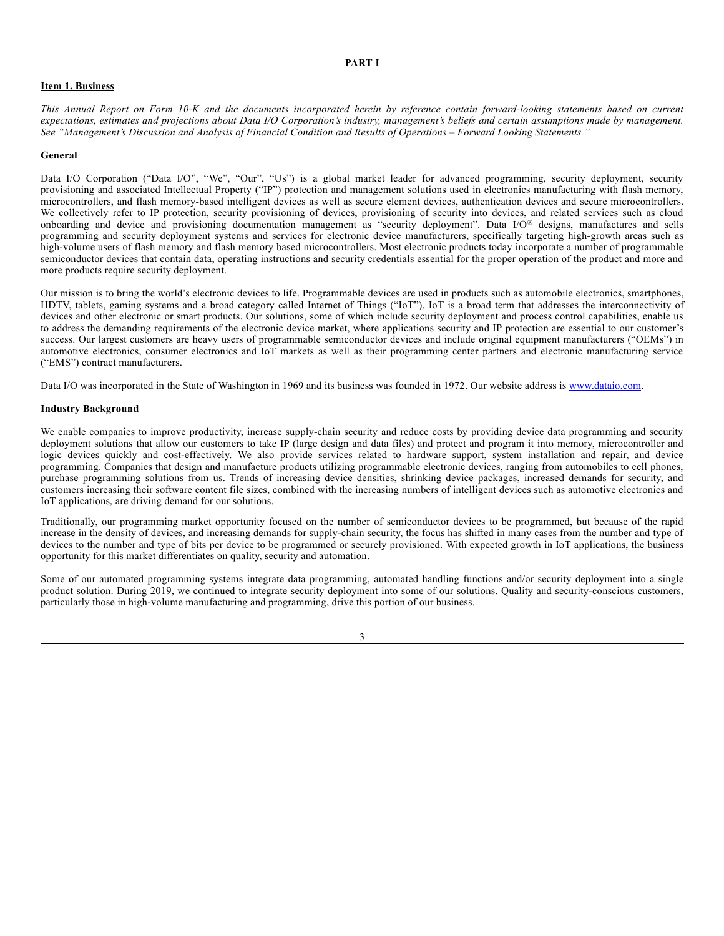## **PART I**

#### **Item 1. Business**

This Annual Report on Form 10-K and the documents incorporated herein by reference contain forward-looking statements based on current expectations, estimates and projections about Data I/O Corporation's industry, management's beliefs and certain assumptions made by management. See "Management's Discussion and Analysis of Financial Condition and Results of Operations – Forward Looking Statements.'

#### **General**

Data I/O Corporation ("Data I/O", "We", "Our", "Us") is a global market leader for advanced programming, security deployment, security provisioning and associated Intellectual Property ("IP") protection and management solutions used in electronics manufacturing with flash memory, microcontrollers, and flash memory-based intelligent devices as well as secure element devices, authentication devices and secure microcontrollers. We collectively refer to IP protection, security provisioning of devices, provisioning of security into devices, and related services such as cloud onboarding and device and provisioning documentation management as "security deployment". Data I/O*®* designs, manufactures and sells programming and security deployment systems and services for electronic device manufacturers, specifically targeting high-growth areas such as high-volume users of flash memory and flash memory based microcontrollers. Most electronic products today incorporate a number of programmable semiconductor devices that contain data, operating instructions and security credentials essential for the proper operation of the product and more and more products require security deployment.

Our mission is to bring the world's electronic devices to life. Programmable devices are used in products such as automobile electronics, smartphones, HDTV, tablets, gaming systems and a broad category called Internet of Things ("IoT"). IoT is a broad term that addresses the interconnectivity of devices and other electronic or smart products. Our solutions, some of which include security deployment and process control capabilities, enable us to address the demanding requirements of the electronic device market, where applications security and IP protection are essential to our customer's success. Our largest customers are heavy users of programmable semiconductor devices and include original equipment manufacturers ("OEMs") in automotive electronics, consumer electronics and IoT markets as well as their programming center partners and electronic manufacturing service ("EMS") contract manufacturers.

Data I/O was incorporated in the State of Washington in 1969 and its business was founded in 1972. Our website address is www.dataio.com.

## **Industry Background**

We enable companies to improve productivity, increase supply-chain security and reduce costs by providing device data programming and security deployment solutions that allow our customers to take IP (large design and data files) and protect and program it into memory, microcontroller and logic devices quickly and cost-effectively. We also provide services related to hardware support, system installation and repair, and device programming. Companies that design and manufacture products utilizing programmable electronic devices, ranging from automobiles to cell phones, purchase programming solutions from us. Trends of increasing device densities, shrinking device packages, increased demands for security, and customers increasing their software content file sizes, combined with the increasing numbers of intelligent devices such as automotive electronics and IoT applications, are driving demand for our solutions.

Traditionally, our programming market opportunity focused on the number of semiconductor devices to be programmed, but because of the rapid increase in the density of devices, and increasing demands for supply-chain security, the focus has shifted in many cases from the number and type of devices to the number and type of bits per device to be programmed or securely provisioned. With expected growth in IoT applications, the business opportunity for this market differentiates on quality, security and automation.

Some of our automated programming systems integrate data programming, automated handling functions and/or security deployment into a single product solution. During 2019, we continued to integrate security deployment into some of our solutions. Quality and security-conscious customers, particularly those in high-volume manufacturing and programming, drive this portion of our business.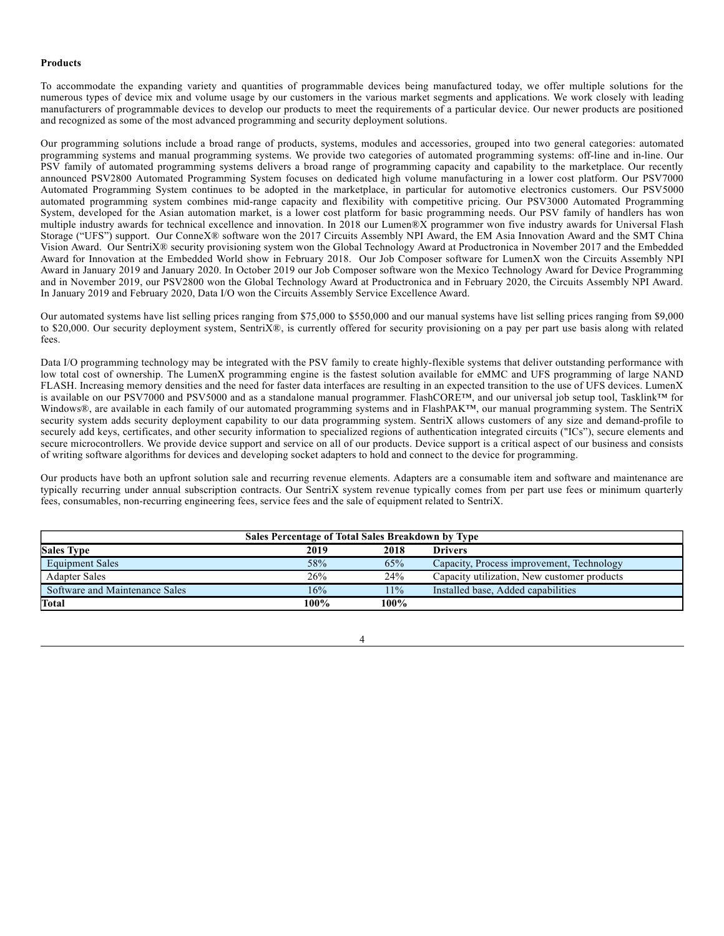## **Products**

To accommodate the expanding variety and quantities of programmable devices being manufactured today, we offer multiple solutions for the numerous types of device mix and volume usage by our customers in the various market segments and applications. We work closely with leading manufacturers of programmable devices to develop our products to meet the requirements of a particular device. Our newer products are positioned and recognized as some of the most advanced programming and security deployment solutions.

Our programming solutions include a broad range of products, systems, modules and accessories, grouped into two general categories: automated programming systems and manual programming systems. We provide two categories of automated programming systems: off-line and in-line. Our PSV family of automated programming systems delivers a broad range of programming capacity and capability to the marketplace. Our recently announced PSV2800 Automated Programming System focuses on dedicated high volume manufacturing in a lower cost platform. Our PSV7000 Automated Programming System continues to be adopted in the marketplace, in particular for automotive electronics customers. Our PSV5000 automated programming system combines mid-range capacity and flexibility with competitive pricing. Our PSV3000 Automated Programming System, developed for the Asian automation market, is a lower cost platform for basic programming needs. Our PSV family of handlers has won multiple industry awards for technical excellence and innovation. In 2018 our Lumen®X programmer won five industry awards for Universal Flash Storage ("UFS") support. Our ConneX® software won the 2017 Circuits Assembly NPI Award, the EM Asia Innovation Award and the SMT China Vision Award. Our SentriX® security provisioning system won the Global Technology Award at Productronica in November 2017 and the Embedded Award for Innovation at the Embedded World show in February 2018. Our Job Composer software for LumenX won the Circuits Assembly NPI Award in January 2019 and January 2020. In October 2019 our Job Composer software won the Mexico Technology Award for Device Programming and in November 2019, our PSV2800 won the Global Technology Award at Productronica and in February 2020, the Circuits Assembly NPI Award. In January 2019 and February 2020, Data I/O won the Circuits Assembly Service Excellence Award.

Our automated systems have list selling prices ranging from \$75,000 to \$550,000 and our manual systems have list selling prices ranging from \$9,000 to \$20,000. Our security deployment system, SentriX®, is currently offered for security provisioning on a pay per part use basis along with related fees.

Data I/O programming technology may be integrated with the PSV family to create highly-flexible systems that deliver outstanding performance with low total cost of ownership. The LumenX programming engine is the fastest solution available for eMMC and UFS programming of large NAND FLASH. Increasing memory densities and the need for faster data interfaces are resulting in an expected transition to the use of UFS devices. LumenX is available on our PSV7000 and PSV5000 and as a standalone manual programmer. FlashCORE™, and our universal job setup tool, Tasklink™ for Windows®, are available in each family of our automated programming systems and in FlashPAK™, our manual programming system. The SentriX security system adds security deployment capability to our data programming system. SentriX allows customers of any size and demand-profile to securely add keys, certificates, and other security information to specialized regions of authentication integrated circuits ("ICs"), secure elements and secure microcontrollers. We provide device support and service on all of our products. Device support is a critical aspect of our business and consists of writing software algorithms for devices and developing socket adapters to hold and connect to the device for programming.

Our products have both an upfront solution sale and recurring revenue elements. Adapters are a consumable item and software and maintenance are typically recurring under annual subscription contracts. Our SentriX system revenue typically comes from per part use fees or minimum quarterly fees, consumables, non-recurring engineering fees, service fees and the sale of equipment related to SentriX.

| Sales Percentage of Total Sales Breakdown by Type |      |      |                                             |  |  |
|---------------------------------------------------|------|------|---------------------------------------------|--|--|
| <b>Sales Type</b>                                 | 2019 | 2018 | <b>Drivers</b>                              |  |  |
| <b>Equipment Sales</b>                            | 58%  | 65%  | Capacity, Process improvement, Technology   |  |  |
| <b>Adapter Sales</b>                              | 26%  | 24%  | Capacity utilization, New customer products |  |  |
| Software and Maintenance Sales                    | 16%  | 11%  | Installed base, Added capabilities          |  |  |
| <b>Total</b>                                      | 100% | 100% |                                             |  |  |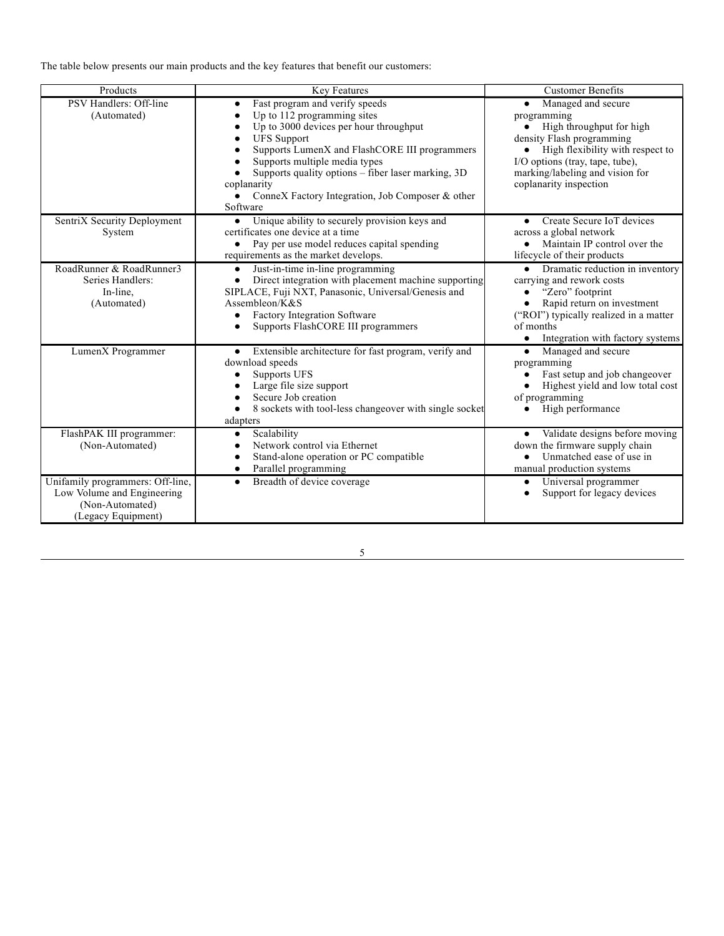The table below presents our main products and the key features that benefit our customers:

| Products                                                                                                | <b>Key Features</b>                                                                                                                                                                                                                                                                                                                                                            | <b>Customer Benefits</b>                                                                                                                                                                                                                                   |
|---------------------------------------------------------------------------------------------------------|--------------------------------------------------------------------------------------------------------------------------------------------------------------------------------------------------------------------------------------------------------------------------------------------------------------------------------------------------------------------------------|------------------------------------------------------------------------------------------------------------------------------------------------------------------------------------------------------------------------------------------------------------|
| PSV Handlers: Off-line<br>(Automated)                                                                   | Fast program and verify speeds<br>$\bullet$<br>Up to 112 programming sites<br>Up to 3000 devices per hour throughput<br><b>UFS</b> Support<br>Supports LumenX and FlashCORE III programmers<br>Supports multiple media types<br>Supports quality options – fiber laser marking, 3D<br>coplanarity<br>ConneX Factory Integration, Job Composer & other<br>$\bullet$<br>Software | Managed and secure<br>$\bullet$<br>programming<br>High throughput for high<br>$\bullet$<br>density Flash programming<br>• High flexibility with respect to<br>I/O options (tray, tape, tube),<br>marking/labeling and vision for<br>coplanarity inspection |
| SentriX Security Deployment<br>System                                                                   | Unique ability to securely provision keys and<br>$\bullet$<br>certificates one device at a time<br>Pay per use model reduces capital spending<br>requirements as the market develops.                                                                                                                                                                                          | Create Secure IoT devices<br>$\bullet$<br>across a global network<br>Maintain IP control over the<br>$\bullet$<br>lifecycle of their products                                                                                                              |
| RoadRunner & RoadRunner3<br>Series Handlers:<br>In-line.<br>(Automated)                                 | Just-in-time in-line programming<br>$\bullet$<br>Direct integration with placement machine supporting<br>SIPLACE, Fuji NXT, Panasonic, Universal/Genesis and<br>Assembleon/ $K & S$<br>Factory Integration Software<br>$\bullet$<br>Supports FlashCORE III programmers                                                                                                         | • Dramatic reduction in inventory<br>carrying and rework costs<br>"Zero" footprint<br>$\bullet$<br>Rapid return on investment<br>("ROI") typically realized in a matter<br>of months<br>Integration with factory systems<br>$\bullet$                      |
| LumenX Programmer                                                                                       | Extensible architecture for fast program, verify and<br>download speeds<br><b>Supports UFS</b><br>Large file size support<br>Secure Job creation<br>8 sockets with tool-less changeover with single socket<br>adapters                                                                                                                                                         | Managed and secure<br>$\bullet$<br>programming<br>Fast setup and job changeover<br>$\bullet$<br>Highest yield and low total cost<br>of programming<br>High performance<br>$\bullet$                                                                        |
| FlashPAK III programmer:<br>(Non-Automated)                                                             | Scalability<br>$\bullet$<br>Network control via Ethernet<br>$\bullet$<br>Stand-alone operation or PC compatible<br>Parallel programming<br>$\bullet$                                                                                                                                                                                                                           | Validate designs before moving<br>$\bullet$<br>down the firmware supply chain<br>Unmatched ease of use in<br>$\bullet$<br>manual production systems                                                                                                        |
| Unifamily programmers: Off-line,<br>Low Volume and Engineering<br>(Non-Automated)<br>(Legacy Equipment) | Breadth of device coverage<br>$\bullet$                                                                                                                                                                                                                                                                                                                                        | Universal programmer<br>$\bullet$<br>Support for legacy devices<br>$\bullet$                                                                                                                                                                               |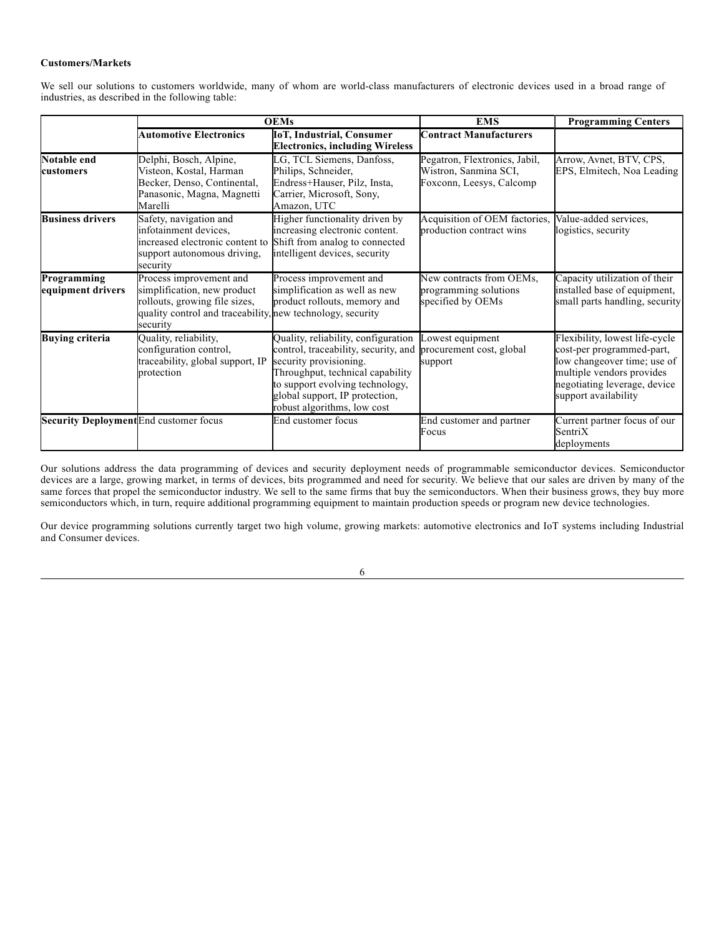## **Customers/Markets**

We sell our solutions to customers worldwide, many of whom are world-class manufacturers of electronic devices used in a broad range of industries, as described in the following table:

|                                               |                                                                                                                                                                   | <b>OEMs</b>                                                                                                                                                                                                                                   | <b>EMS</b>                                                                         | <b>Programming Centers</b>                                                                                                                                                      |
|-----------------------------------------------|-------------------------------------------------------------------------------------------------------------------------------------------------------------------|-----------------------------------------------------------------------------------------------------------------------------------------------------------------------------------------------------------------------------------------------|------------------------------------------------------------------------------------|---------------------------------------------------------------------------------------------------------------------------------------------------------------------------------|
|                                               | <b>Automotive Electronics</b>                                                                                                                                     | <b>IoT, Industrial, Consumer</b><br><b>Electronics, including Wireless</b>                                                                                                                                                                    | <b>Contract Manufacturers</b>                                                      |                                                                                                                                                                                 |
| <b>Notable end</b><br>customers               | Delphi, Bosch, Alpine,<br>Visteon, Kostal, Harman<br>Becker, Denso, Continental,<br>Panasonic, Magna, Magnetti<br>Marelli                                         | LG, TCL Siemens, Danfoss,<br>Philips, Schneider,<br>Endress+Hauser, Pilz, Insta,<br>Carrier, Microsoft, Sony,<br>Amazon, UTC                                                                                                                  | Pegatron, Flextronics, Jabil,<br>Wistron, Sanmina SCI,<br>Foxconn, Leesys, Calcomp | Arrow, Avnet, BTV, CPS,<br>EPS, Elmitech, Noa Leading                                                                                                                           |
| <b>Business drivers</b>                       | Safety, navigation and<br>infotainment devices,<br>increased electronic content to<br>support autonomous driving,<br>security                                     | Higher functionality driven by<br>increasing electronic content.<br>Shift from analog to connected<br>intelligent devices, security                                                                                                           | Acquisition of OEM factories,<br>production contract wins                          | Value-added services,<br>logistics, security                                                                                                                                    |
| Programming<br>equipment drivers              | Process improvement and<br>simplification, new product<br>rollouts, growing file sizes,<br>quality control and traceability, new technology, security<br>security | Process improvement and<br>simplification as well as new<br>product rollouts, memory and                                                                                                                                                      | New contracts from OEMs,<br>programming solutions<br>specified by OEMs             | Capacity utilization of their<br>installed base of equipment,<br>small parts handling, security                                                                                 |
| <b>Buying criteria</b>                        | Quality, reliability,<br>configuration control,<br>traceability, global support, IP<br>protection                                                                 | Quality, reliability, configuration<br>control, traceability, security, and<br>security provisioning.<br>Throughput, technical capability<br>to support evolving technology,<br>global support, IP protection,<br>robust algorithms, low cost | Lowest equipment<br>procurement cost, global<br>support                            | Flexibility, lowest life-cycle<br>cost-per programmed-part,<br>low changeover time; use of<br>multiple vendors provides<br>negotiating leverage, device<br>support availability |
| <b>Security Deployment</b> End customer focus |                                                                                                                                                                   | End customer focus                                                                                                                                                                                                                            | End customer and partner<br>Focus                                                  | Current partner focus of our<br>SentriX<br>deployments                                                                                                                          |

Our solutions address the data programming of devices and security deployment needs of programmable semiconductor devices. Semiconductor devices are a large, growing market, in terms of devices, bits programmed and need for security. We believe that our sales are driven by many of the same forces that propel the semiconductor industry. We sell to the same firms that buy the semiconductors. When their business grows, they buy more semiconductors which, in turn, require additional programming equipment to maintain production speeds or program new device technologies.

Our device programming solutions currently target two high volume, growing markets: automotive electronics and IoT systems including Industrial and Consumer devices.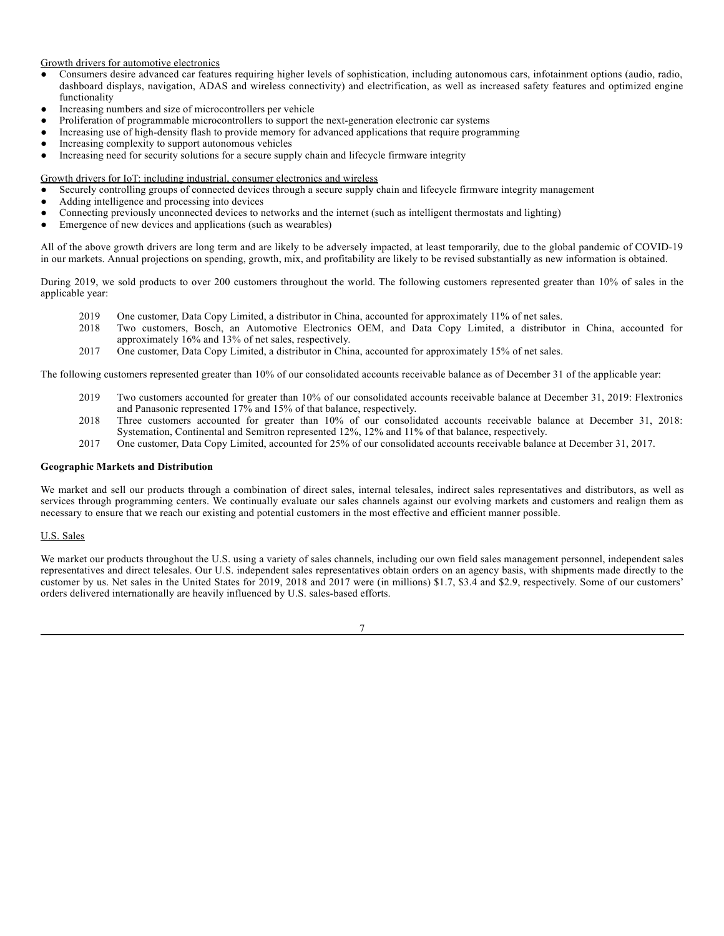## Growth drivers for automotive electronics

- Consumers desire advanced car features requiring higher levels of sophistication, including autonomous cars, infotainment options (audio, radio, dashboard displays, navigation, ADAS and wireless connectivity) and electrification, as well as increased safety features and optimized engine functionality
- Increasing numbers and size of microcontrollers per vehicle
- Proliferation of programmable microcontrollers to support the next-generation electronic car systems
- Increasing use of high-density flash to provide memory for advanced applications that require programming
- Increasing complexity to support autonomous vehicles
- Increasing need for security solutions for a secure supply chain and lifecycle firmware integrity

## Growth drivers for IoT: including industrial, consumer electronics and wireless

- Securely controlling groups of connected devices through a secure supply chain and lifecycle firmware integrity management
- Adding intelligence and processing into devices
- Connecting previously unconnected devices to networks and the internet (such as intelligent thermostats and lighting)
- Emergence of new devices and applications (such as wearables)

All of the above growth drivers are long term and are likely to be adversely impacted, at least temporarily, due to the global pandemic of COVID-19 in our markets. Annual projections on spending, growth, mix, and profitability are likely to be revised substantially as new information is obtained.

During 2019, we sold products to over 200 customers throughout the world. The following customers represented greater than 10% of sales in the applicable year:

- 2019 One customer, Data Copy Limited, a distributor in China, accounted for approximately 11% of net sales.
- 2018 Two customers, Bosch, an Automotive Electronics OEM, and Data Copy Limited, a distributor in China, accounted for approximately 16% and 13% of net sales, respectively.
- 2017 One customer, Data Copy Limited, a distributor in China, accounted for approximately 15% of net sales.

The following customers represented greater than 10% of our consolidated accounts receivable balance as of December 31 of the applicable year:

- 2019 Two customers accounted for greater than 10% of our consolidated accounts receivable balance at December 31, 2019: Flextronics and Panasonic represented 17% and 15% of that balance, respectively.
- 2018 Three customers accounted for greater than 10% of our consolidated accounts receivable balance at December 31, 2018: Systemation, Continental and Semitron represented 12%, 12% and 11% of that balance, respectively.
- 2017 One customer, Data Copy Limited, accounted for 25% of our consolidated accounts receivable balance at December 31, 2017.

## **Geographic Markets and Distribution**

We market and sell our products through a combination of direct sales, internal telesales, indirect sales representatives and distributors, as well as services through programming centers. We continually evaluate our sales channels against our evolving markets and customers and realign them as necessary to ensure that we reach our existing and potential customers in the most effective and efficient manner possible.

## U.S. Sales

We market our products throughout the U.S. using a variety of sales channels, including our own field sales management personnel, independent sales representatives and direct telesales. Our U.S. independent sales representatives obtain orders on an agency basis, with shipments made directly to the customer by us. Net sales in the United States for 2019, 2018 and 2017 were (in millions) \$1.7, \$3.4 and \$2.9, respectively. Some of our customers' orders delivered internationally are heavily influenced by U.S. sales-based efforts.

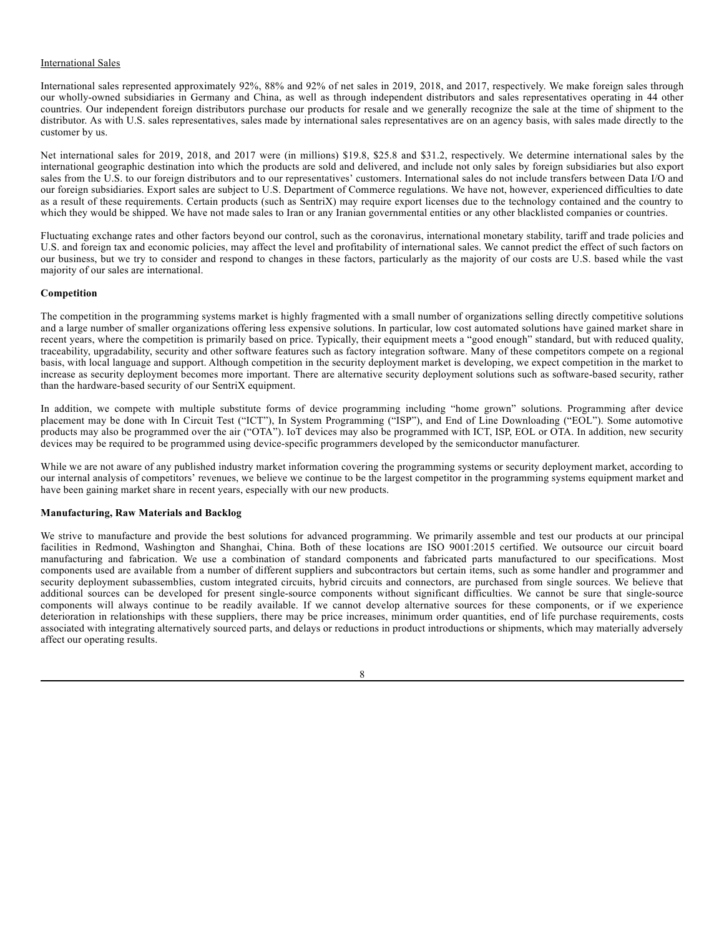#### International Sales

International sales represented approximately 92%, 88% and 92% of net sales in 2019, 2018, and 2017, respectively. We make foreign sales through our wholly-owned subsidiaries in Germany and China, as well as through independent distributors and sales representatives operating in 44 other countries. Our independent foreign distributors purchase our products for resale and we generally recognize the sale at the time of shipment to the distributor. As with U.S. sales representatives, sales made by international sales representatives are on an agency basis, with sales made directly to the customer by us.

Net international sales for 2019, 2018, and 2017 were (in millions) \$19.8, \$25.8 and \$31.2, respectively. We determine international sales by the international geographic destination into which the products are sold and delivered, and include not only sales by foreign subsidiaries but also export sales from the U.S. to our foreign distributors and to our representatives' customers. International sales do not include transfers between Data I/O and our foreign subsidiaries. Export sales are subject to U.S. Department of Commerce regulations. We have not, however, experienced difficulties to date as a result of these requirements. Certain products (such as SentriX) may require export licenses due to the technology contained and the country to which they would be shipped. We have not made sales to Iran or any Iranian governmental entities or any other blacklisted companies or countries.

Fluctuating exchange rates and other factors beyond our control, such as the coronavirus, international monetary stability, tariff and trade policies and U.S. and foreign tax and economic policies, may affect the level and profitability of international sales. We cannot predict the effect of such factors on our business, but we try to consider and respond to changes in these factors, particularly as the majority of our costs are U.S. based while the vast majority of our sales are international.

#### **Competition**

The competition in the programming systems market is highly fragmented with a small number of organizations selling directly competitive solutions and a large number of smaller organizations offering less expensive solutions. In particular, low cost automated solutions have gained market share in recent years, where the competition is primarily based on price. Typically, their equipment meets a "good enough" standard, but with reduced quality, traceability, upgradability, security and other software features such as factory integration software. Many of these competitors compete on a regional basis, with local language and support. Although competition in the security deployment market is developing, we expect competition in the market to increase as security deployment becomes more important. There are alternative security deployment solutions such as software-based security, rather than the hardware-based security of our SentriX equipment.

In addition, we compete with multiple substitute forms of device programming including "home grown" solutions. Programming after device placement may be done with In Circuit Test ("ICT"), In System Programming ("ISP"), and End of Line Downloading ("EOL"). Some automotive products may also be programmed over the air ("OTA"). IoT devices may also be programmed with ICT, ISP, EOL or OTA. In addition, new security devices may be required to be programmed using device-specific programmers developed by the semiconductor manufacturer.

While we are not aware of any published industry market information covering the programming systems or security deployment market, according to our internal analysis of competitors' revenues, we believe we continue to be the largest competitor in the programming systems equipment market and have been gaining market share in recent years, especially with our new products.

## **Manufacturing, Raw Materials and Backlog**

We strive to manufacture and provide the best solutions for advanced programming. We primarily assemble and test our products at our principal facilities in Redmond, Washington and Shanghai, China. Both of these locations are ISO 9001:2015 certified. We outsource our circuit board manufacturing and fabrication. We use a combination of standard components and fabricated parts manufactured to our specifications. Most components used are available from a number of different suppliers and subcontractors but certain items, such as some handler and programmer and security deployment subassemblies, custom integrated circuits, hybrid circuits and connectors, are purchased from single sources. We believe that additional sources can be developed for present single-source components without significant difficulties. We cannot be sure that single-source components will always continue to be readily available. If we cannot develop alternative sources for these components, or if we experience deterioration in relationships with these suppliers, there may be price increases, minimum order quantities, end of life purchase requirements, costs associated with integrating alternatively sourced parts, and delays or reductions in product introductions or shipments, which may materially adversely affect our operating results.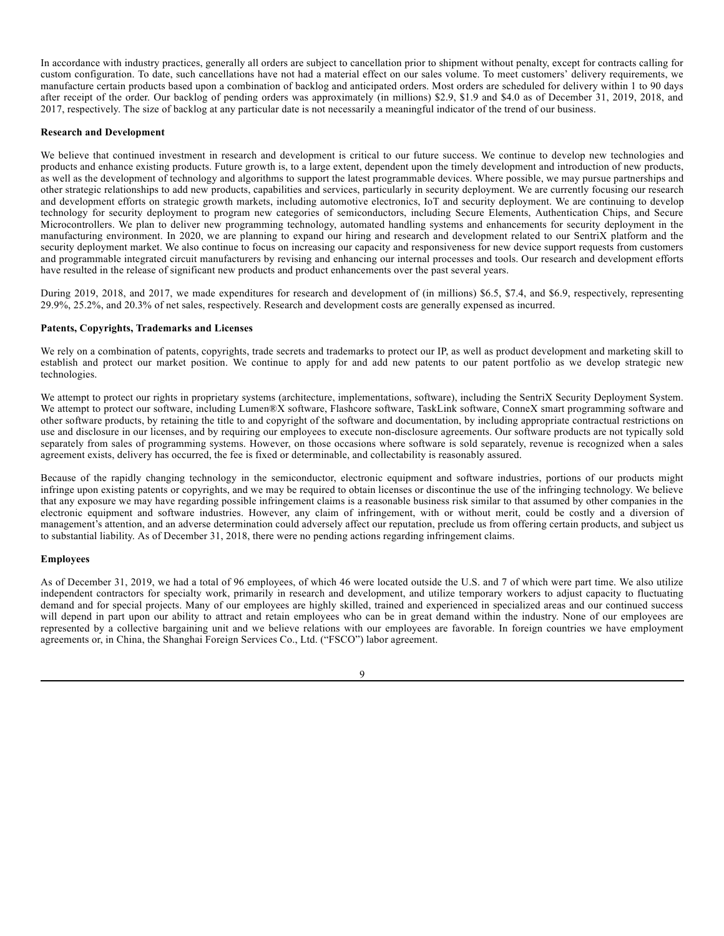In accordance with industry practices, generally all orders are subject to cancellation prior to shipment without penalty, except for contracts calling for custom configuration. To date, such cancellations have not had a material effect on our sales volume. To meet customers' delivery requirements, we manufacture certain products based upon a combination of backlog and anticipated orders. Most orders are scheduled for delivery within 1 to 90 days after receipt of the order. Our backlog of pending orders was approximately (in millions) \$2.9, \$1.9 and \$4.0 as of December 31, 2019, 2018, and 2017, respectively. The size of backlog at any particular date is not necessarily a meaningful indicator of the trend of our business.

#### **Research and Development**

We believe that continued investment in research and development is critical to our future success. We continue to develop new technologies and products and enhance existing products. Future growth is, to a large extent, dependent upon the timely development and introduction of new products, as well as the development of technology and algorithms to support the latest programmable devices. Where possible, we may pursue partnerships and other strategic relationships to add new products, capabilities and services, particularly in security deployment. We are currently focusing our research and development efforts on strategic growth markets, including automotive electronics, IoT and security deployment. We are continuing to develop technology for security deployment to program new categories of semiconductors, including Secure Elements, Authentication Chips, and Secure Microcontrollers. We plan to deliver new programming technology, automated handling systems and enhancements for security deployment in the manufacturing environment. In 2020, we are planning to expand our hiring and research and development related to our SentriX platform and the security deployment market. We also continue to focus on increasing our capacity and responsiveness for new device support requests from customers and programmable integrated circuit manufacturers by revising and enhancing our internal processes and tools. Our research and development efforts have resulted in the release of significant new products and product enhancements over the past several years.

During 2019, 2018, and 2017, we made expenditures for research and development of (in millions) \$6.5, \$7.4, and \$6.9, respectively, representing 29.9%, 25.2%, and 20.3% of net sales, respectively. Research and development costs are generally expensed as incurred.

#### **Patents, Copyrights, Trademarks and Licenses**

We rely on a combination of patents, copyrights, trade secrets and trademarks to protect our IP, as well as product development and marketing skill to establish and protect our market position. We continue to apply for and add new patents to our patent portfolio as we develop strategic new technologies.

We attempt to protect our rights in proprietary systems (architecture, implementations, software), including the SentriX Security Deployment System. We attempt to protect our software, including Lumen®X software, Flashcore software, TaskLink software, ConneX smart programming software and other software products, by retaining the title to and copyright of the software and documentation, by including appropriate contractual restrictions on use and disclosure in our licenses, and by requiring our employees to execute non-disclosure agreements. Our software products are not typically sold separately from sales of programming systems. However, on those occasions where software is sold separately, revenue is recognized when a sales agreement exists, delivery has occurred, the fee is fixed or determinable, and collectability is reasonably assured.

Because of the rapidly changing technology in the semiconductor, electronic equipment and software industries, portions of our products might infringe upon existing patents or copyrights, and we may be required to obtain licenses or discontinue the use of the infringing technology. We believe that any exposure we may have regarding possible infringement claims is a reasonable business risk similar to that assumed by other companies in the electronic equipment and software industries. However, any claim of infringement, with or without merit, could be costly and a diversion of management's attention, and an adverse determination could adversely affect our reputation, preclude us from offering certain products, and subject us to substantial liability. As of December 31, 2018, there were no pending actions regarding infringement claims.

#### **Employees**

As of December 31, 2019, we had a total of 96 employees, of which 46 were located outside the U.S. and 7 of which were part time. We also utilize independent contractors for specialty work, primarily in research and development, and utilize temporary workers to adjust capacity to fluctuating demand and for special projects. Many of our employees are highly skilled, trained and experienced in specialized areas and our continued success will depend in part upon our ability to attract and retain employees who can be in great demand within the industry. None of our employees are represented by a collective bargaining unit and we believe relations with our employees are favorable. In foreign countries we have employment agreements or, in China, the Shanghai Foreign Services Co., Ltd. ("FSCO") labor agreement.

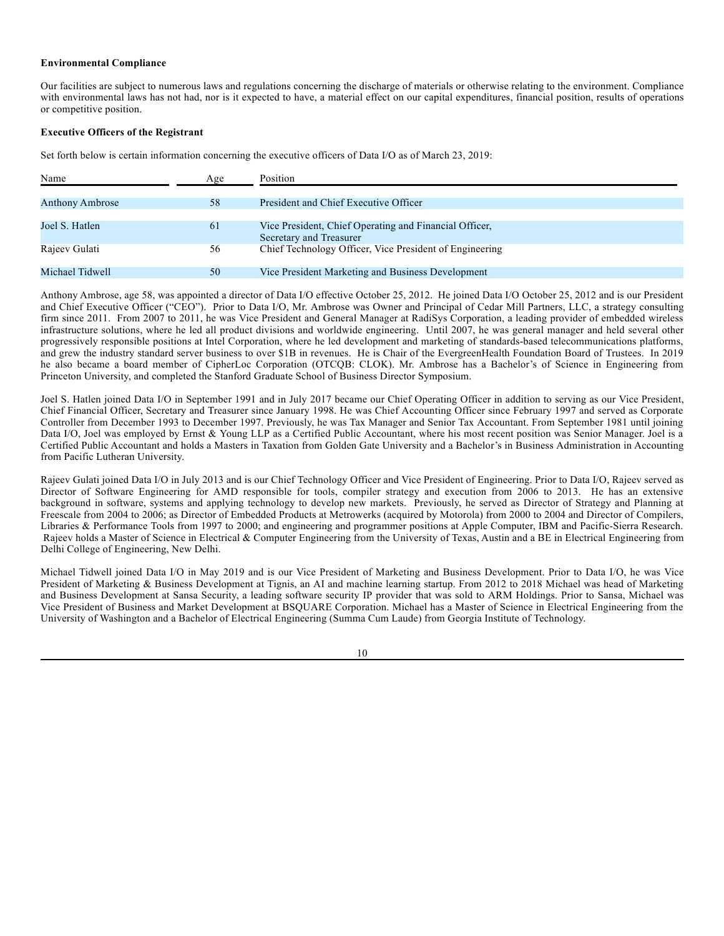## **Environmental Compliance**

Our facilities are subject to numerous laws and regulations concerning the discharge of materials or otherwise relating to the environment. Compliance with environmental laws has not had, nor is it expected to have, a material effect on our capital expenditures, financial position, results of operations or competitive position.

#### **Executive Officers of the Registrant**

Set forth below is certain information concerning the executive officers of Data I/O as of March 23, 2019:

| Name                   | Age | Position                                                |
|------------------------|-----|---------------------------------------------------------|
|                        |     |                                                         |
| <b>Anthony Ambrose</b> | 58  | President and Chief Executive Officer                   |
|                        |     |                                                         |
| Joel S. Hatlen         | 61  | Vice President, Chief Operating and Financial Officer,  |
|                        |     | Secretary and Treasurer                                 |
| Rajeev Gulati          | 56  | Chief Technology Officer, Vice President of Engineering |
|                        |     |                                                         |
| Michael Tidwell        | 50  | Vice President Marketing and Business Development       |

Anthony Ambrose, age 58, was appointed a director of Data I/O effective October 25, 2012. He joined Data I/O October 25, 2012 and is our President and Chief Executive Officer ("CEO"). Prior to Data I/O, Mr. Ambrose was Owner and Principal of Cedar Mill Partners, LLC, a strategy consulting firm since 2011. From 2007 to 2011, he was Vice President and General Manager at RadiSys Corporation, a leading provider of embedded wireless infrastructure solutions, where he led all product divisions and worldwide engineering. Until 2007, he was general manager and held several other progressively responsible positions at Intel Corporation, where he led development and marketing of standards-based telecommunications platforms, and grew the industry standard server business to over \$1B in revenues. He is Chair of the EvergreenHealth Foundation Board of Trustees. In 2019 he also became a board member of CipherLoc Corporation (OTCQB: CLOK). Mr. Ambrose has a Bachelor's of Science in Engineering from Princeton University, and completed the Stanford Graduate School of Business Director Symposium.

Joel S. Hatlen joined Data I/O in September 1991 and in July 2017 became our Chief Operating Officer in addition to serving as our Vice President, Chief Financial Officer, Secretary and Treasurer since January 1998. He was Chief Accounting Officer since February 1997 and served as Corporate Controller from December 1993 to December 1997. Previously, he was Tax Manager and Senior Tax Accountant. From September 1981 until joining Data I/O, Joel was employed by Ernst & Young LLP as a Certified Public Accountant, where his most recent position was Senior Manager. Joel is a Certified Public Accountant and holds a Masters in Taxation from Golden Gate University and a Bachelor's in Business Administration in Accounting from Pacific Lutheran University.

Rajeev Gulati joined Data I/O in July 2013 and is our Chief Technology Officer and Vice President of Engineering. Prior to Data I/O, Rajeev served as Director of Software Engineering for AMD responsible for tools, compiler strategy and execution from 2006 to 2013. He has an extensive background in software, systems and applying technology to develop new markets. Previously, he served as Director of Strategy and Planning at Freescale from 2004 to 2006; as Director of Embedded Products at Metrowerks (acquired by Motorola) from 2000 to 2004 and Director of Compilers, Libraries & Performance Tools from 1997 to 2000; and engineering and programmer positions at Apple Computer, IBM and Pacific-Sierra Research. Rajeev holds a Master of Science in Electrical & Computer Engineering from the University of Texas, Austin and a BE in Electrical Engineering from Delhi College of Engineering, New Delhi.

Michael Tidwell joined Data I/O in May 2019 and is our Vice President of Marketing and Business Development. Prior to Data I/O, he was Vice President of Marketing & Business Development at Tignis, an AI and machine learning startup. From 2012 to 2018 Michael was head of Marketing and Business Development at Sansa Security, a leading software security IP provider that was sold to ARM Holdings. Prior to Sansa, Michael was Vice President of Business and Market Development at BSQUARE Corporation. Michael has a Master of Science in Electrical Engineering from the University of Washington and a Bachelor of Electrical Engineering (Summa Cum Laude) from Georgia Institute of Technology.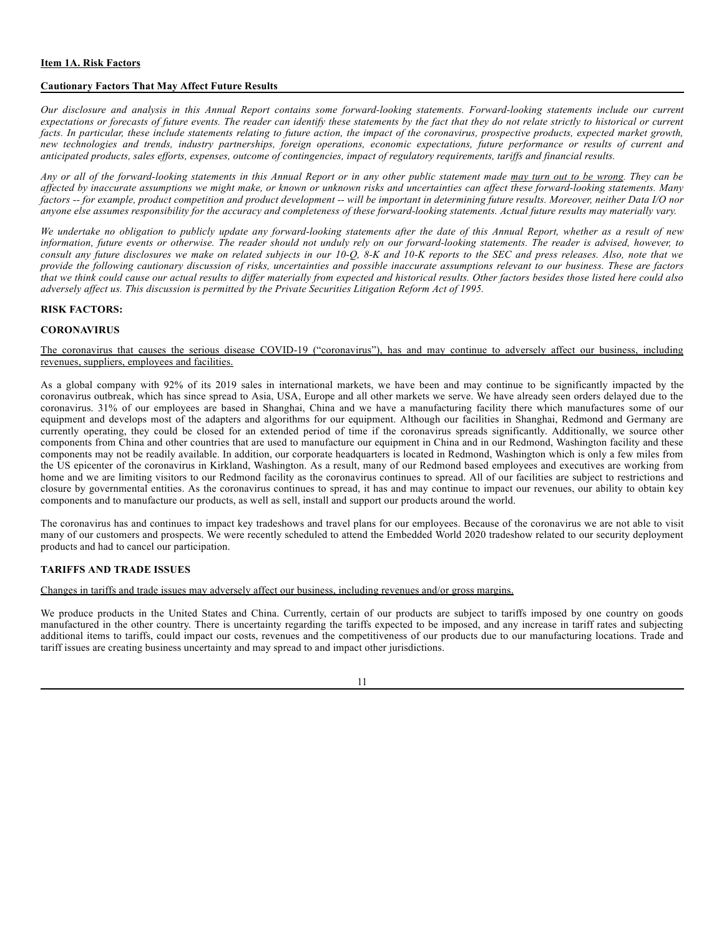## **Item 1A. Risk Factors**

## **Cautionary Factors That May Affect Future Results**

Our disclosure and analysis in this Annual Report contains some forward-looking statements. Forward-looking statements include our current expectations or forecasts of future events. The reader can identify these statements by the fact that they do not relate strictly to historical or current facts. In particular, these include statements relating to future action, the impact of the coronavirus, prospective products, expected market growth, new technologies and trends, industry partnerships, foreign operations, economic expectations, future performance or results of current and anticipated products, sales efforts, expenses, outcome of contingencies, impact of regulatory requirements, tariffs and financial results.

Any or all of the forward-looking statements in this Annual Report or in any other public statement made may turn out to be wrong. They can be affected by inaccurate assumptions we might make, or known or unknown risks and uncertainties can affect these forward-looking statements. Many factors -- for example, product competition and product development -- will be important in determining future results. Moreover, neither Data I/O nor anyone else assumes responsibility for the accuracy and completeness of these forward-looking statements. Actual future results may materially vary.

We undertake no obligation to publicly update any forward-looking statements after the date of this Annual Report, whether as a result of new information, future events or otherwise. The reader should not unduly rely on our forward-looking statements. The reader is advised, however, to consult any future disclosures we make on related subjects in our 10-Q, 8-K and 10-K reports to the SEC and press releases. Also, note that we provide the following cautionary discussion of risks, uncertainties and possible inaccurate assumptions relevant to our business. These are factors that we think could cause our actual results to differ materially from expected and historical results. Other factors besides those listed here could also adversely affect us. This discussion is permitted by the Private Securities Litigation Reform Act of 1995.

## **RISK FACTORS:**

## **CORONAVIRUS**

The coronavirus that causes the serious disease COVID-19 ("coronavirus"), has and may continue to adversely affect our business, including revenues, suppliers, employees and facilities.

As a global company with 92% of its 2019 sales in international markets, we have been and may continue to be significantly impacted by the coronavirus outbreak, which has since spread to Asia, USA, Europe and all other markets we serve. We have already seen orders delayed due to the coronavirus. 31% of our employees are based in Shanghai, China and we have a manufacturing facility there which manufactures some of our equipment and develops most of the adapters and algorithms for our equipment. Although our facilities in Shanghai, Redmond and Germany are currently operating, they could be closed for an extended period of time if the coronavirus spreads significantly. Additionally, we source other components from China and other countries that are used to manufacture our equipment in China and in our Redmond, Washington facility and these components may not be readily available. In addition, our corporate headquarters is located in Redmond, Washington which is only a few miles from the US epicenter of the coronavirus in Kirkland, Washington. As a result, many of our Redmond based employees and executives are working from home and we are limiting visitors to our Redmond facility as the coronavirus continues to spread. All of our facilities are subject to restrictions and closure by governmental entities. As the coronavirus continues to spread, it has and may continue to impact our revenues, our ability to obtain key components and to manufacture our products, as well as sell, install and support our products around the world.

The coronavirus has and continues to impact key tradeshows and travel plans for our employees. Because of the coronavirus we are not able to visit many of our customers and prospects. We were recently scheduled to attend the Embedded World 2020 tradeshow related to our security deployment products and had to cancel our participation.

# **TARIFFS AND TRADE ISSUES**

## Changes in tariffs and trade issues may adversely affect our business, including revenues and/or gross margins.

We produce products in the United States and China. Currently, certain of our products are subject to tariffs imposed by one country on goods manufactured in the other country. There is uncertainty regarding the tariffs expected to be imposed, and any increase in tariff rates and subjecting additional items to tariffs, could impact our costs, revenues and the competitiveness of our products due to our manufacturing locations. Trade and tariff issues are creating business uncertainty and may spread to and impact other jurisdictions.

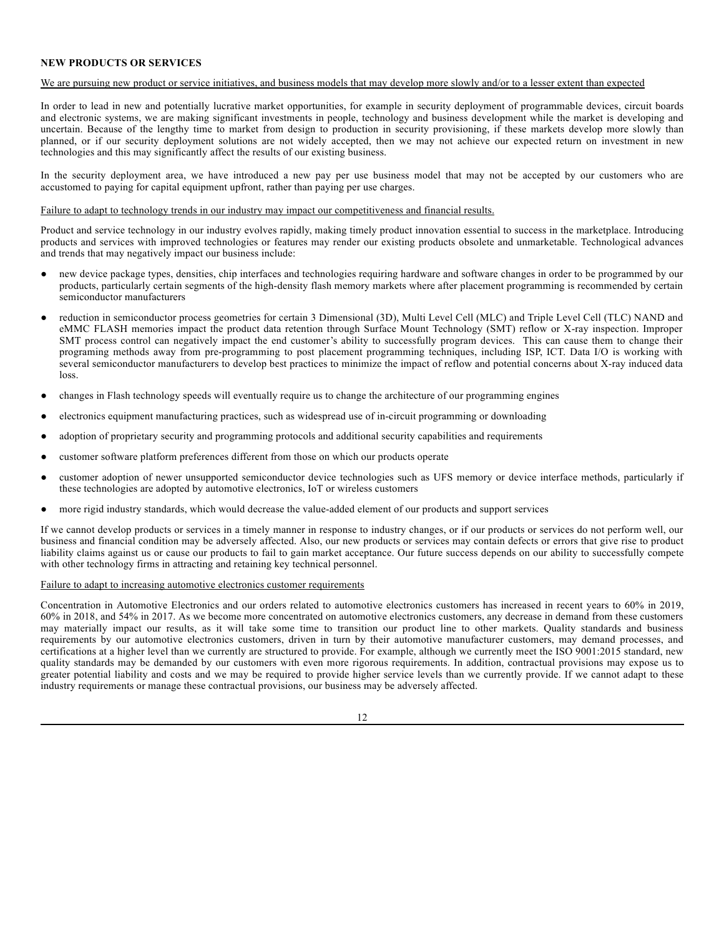## **NEW PRODUCTS OR SERVICES**

#### We are pursuing new product or service initiatives, and business models that may develop more slowly and/or to a lesser extent than expected

In order to lead in new and potentially lucrative market opportunities, for example in security deployment of programmable devices, circuit boards and electronic systems, we are making significant investments in people, technology and business development while the market is developing and uncertain. Because of the lengthy time to market from design to production in security provisioning, if these markets develop more slowly than planned, or if our security deployment solutions are not widely accepted, then we may not achieve our expected return on investment in new technologies and this may significantly affect the results of our existing business.

In the security deployment area, we have introduced a new pay per use business model that may not be accepted by our customers who are accustomed to paying for capital equipment upfront, rather than paying per use charges.

#### Failure to adapt to technology trends in our industry may impact our competitiveness and financial results.

Product and service technology in our industry evolves rapidly, making timely product innovation essential to success in the marketplace. Introducing products and services with improved technologies or features may render our existing products obsolete and unmarketable. Technological advances and trends that may negatively impact our business include:

- new device package types, densities, chip interfaces and technologies requiring hardware and software changes in order to be programmed by our products, particularly certain segments of the high-density flash memory markets where after placement programming is recommended by certain semiconductor manufacturers
- reduction in semiconductor process geometries for certain 3 Dimensional (3D), Multi Level Cell (MLC) and Triple Level Cell (TLC) NAND and eMMC FLASH memories impact the product data retention through Surface Mount Technology (SMT) reflow or X-ray inspection. Improper SMT process control can negatively impact the end customer's ability to successfully program devices. This can cause them to change their programing methods away from pre-programming to post placement programming techniques, including ISP, ICT. Data I/O is working with several semiconductor manufacturers to develop best practices to minimize the impact of reflow and potential concerns about X-ray induced data loss.
- changes in Flash technology speeds will eventually require us to change the architecture of our programming engines
- electronics equipment manufacturing practices, such as widespread use of in-circuit programming or downloading
- adoption of proprietary security and programming protocols and additional security capabilities and requirements
- customer software platform preferences different from those on which our products operate
- customer adoption of newer unsupported semiconductor device technologies such as UFS memory or device interface methods, particularly if these technologies are adopted by automotive electronics, IoT or wireless customers
- more rigid industry standards, which would decrease the value-added element of our products and support services

If we cannot develop products or services in a timely manner in response to industry changes, or if our products or services do not perform well, our business and financial condition may be adversely affected. Also, our new products or services may contain defects or errors that give rise to product liability claims against us or cause our products to fail to gain market acceptance. Our future success depends on our ability to successfully compete with other technology firms in attracting and retaining key technical personnel.

#### Failure to adapt to increasing automotive electronics customer requirements

Concentration in Automotive Electronics and our orders related to automotive electronics customers has increased in recent years to 60% in 2019, 60% in 2018, and 54% in 2017. As we become more concentrated on automotive electronics customers, any decrease in demand from these customers may materially impact our results, as it will take some time to transition our product line to other markets. Quality standards and business requirements by our automotive electronics customers, driven in turn by their automotive manufacturer customers, may demand processes, and certifications at a higher level than we currently are structured to provide. For example, although we currently meet the ISO 9001:2015 standard, new quality standards may be demanded by our customers with even more rigorous requirements. In addition, contractual provisions may expose us to greater potential liability and costs and we may be required to provide higher service levels than we currently provide. If we cannot adapt to these industry requirements or manage these contractual provisions, our business may be adversely affected.

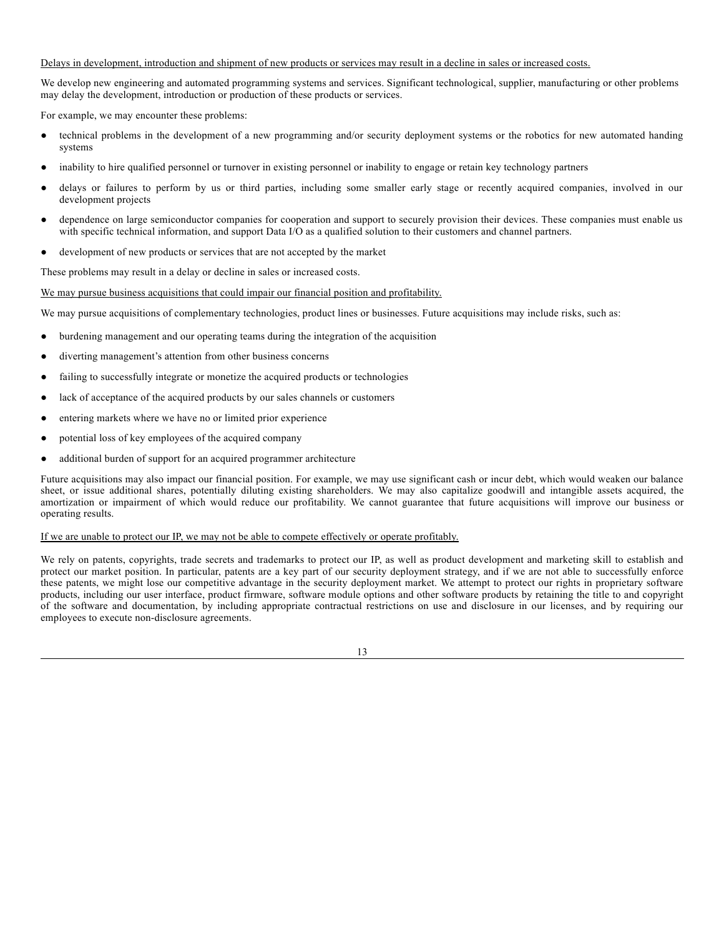#### Delays in development, introduction and shipment of new products or services may result in a decline in sales or increased costs.

We develop new engineering and automated programming systems and services. Significant technological, supplier, manufacturing or other problems may delay the development, introduction or production of these products or services.

For example, we may encounter these problems:

- technical problems in the development of a new programming and/or security deployment systems or the robotics for new automated handing systems
- inability to hire qualified personnel or turnover in existing personnel or inability to engage or retain key technology partners
- delays or failures to perform by us or third parties, including some smaller early stage or recently acquired companies, involved in our development projects
- dependence on large semiconductor companies for cooperation and support to securely provision their devices. These companies must enable us with specific technical information, and support Data I/O as a qualified solution to their customers and channel partners.
- development of new products or services that are not accepted by the market

These problems may result in a delay or decline in sales or increased costs.

## We may pursue business acquisitions that could impair our financial position and profitability.

We may pursue acquisitions of complementary technologies, product lines or businesses. Future acquisitions may include risks, such as:

- burdening management and our operating teams during the integration of the acquisition
- diverting management's attention from other business concerns
- failing to successfully integrate or monetize the acquired products or technologies
- lack of acceptance of the acquired products by our sales channels or customers
- entering markets where we have no or limited prior experience
- potential loss of key employees of the acquired company
- additional burden of support for an acquired programmer architecture

Future acquisitions may also impact our financial position. For example, we may use significant cash or incur debt, which would weaken our balance sheet, or issue additional shares, potentially diluting existing shareholders. We may also capitalize goodwill and intangible assets acquired, the amortization or impairment of which would reduce our profitability. We cannot guarantee that future acquisitions will improve our business or operating results.

#### If we are unable to protect our IP, we may not be able to compete effectively or operate profitably.

We rely on patents, copyrights, trade secrets and trademarks to protect our IP, as well as product development and marketing skill to establish and protect our market position. In particular, patents are a key part of our security deployment strategy, and if we are not able to successfully enforce these patents, we might lose our competitive advantage in the security deployment market. We attempt to protect our rights in proprietary software products, including our user interface, product firmware, software module options and other software products by retaining the title to and copyright of the software and documentation, by including appropriate contractual restrictions on use and disclosure in our licenses, and by requiring our employees to execute non-disclosure agreements.

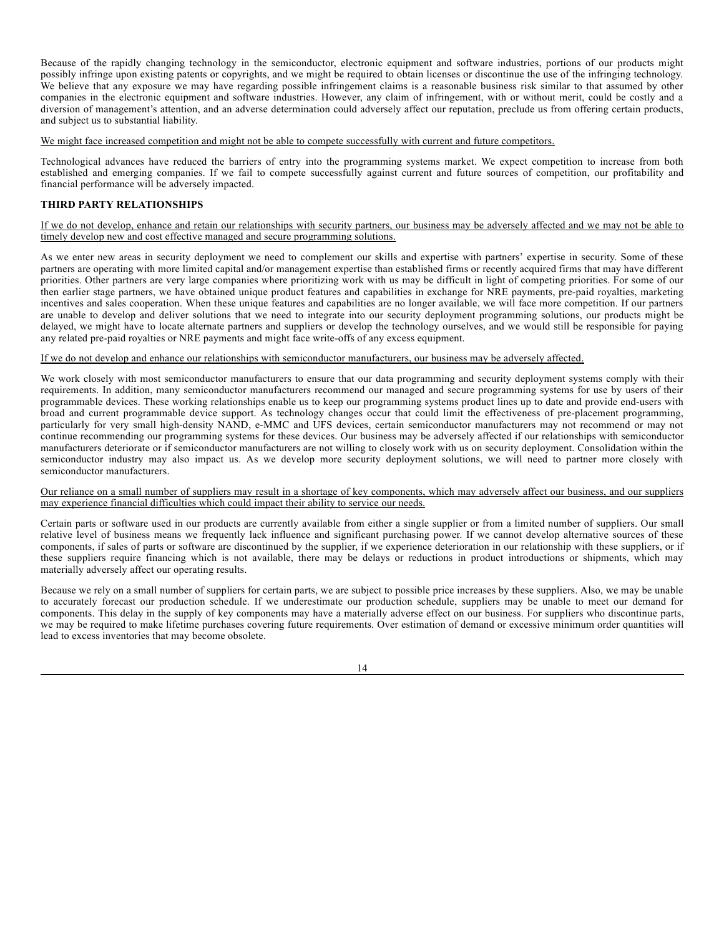Because of the rapidly changing technology in the semiconductor, electronic equipment and software industries, portions of our products might possibly infringe upon existing patents or copyrights, and we might be required to obtain licenses or discontinue the use of the infringing technology. We believe that any exposure we may have regarding possible infringement claims is a reasonable business risk similar to that assumed by other companies in the electronic equipment and software industries. However, any claim of infringement, with or without merit, could be costly and a diversion of management's attention, and an adverse determination could adversely affect our reputation, preclude us from offering certain products, and subject us to substantial liability.

#### We might face increased competition and might not be able to compete successfully with current and future competitors.

Technological advances have reduced the barriers of entry into the programming systems market. We expect competition to increase from both established and emerging companies. If we fail to compete successfully against current and future sources of competition, our profitability and financial performance will be adversely impacted.

## **THIRD PARTY RELATIONSHIPS**

#### If we do not develop, enhance and retain our relationships with security partners, our business may be adversely affected and we may not be able to timely develop new and cost effective managed and secure programming solutions.

As we enter new areas in security deployment we need to complement our skills and expertise with partners' expertise in security. Some of these partners are operating with more limited capital and/or management expertise than established firms or recently acquired firms that may have different priorities. Other partners are very large companies where prioritizing work with us may be difficult in light of competing priorities. For some of our then earlier stage partners, we have obtained unique product features and capabilities in exchange for NRE payments, pre-paid royalties, marketing incentives and sales cooperation. When these unique features and capabilities are no longer available, we will face more competition. If our partners are unable to develop and deliver solutions that we need to integrate into our security deployment programming solutions, our products might be delayed, we might have to locate alternate partners and suppliers or develop the technology ourselves, and we would still be responsible for paying any related pre-paid royalties or NRE payments and might face write-offs of any excess equipment.

#### If we do not develop and enhance our relationships with semiconductor manufacturers, our business may be adversely affected.

We work closely with most semiconductor manufacturers to ensure that our data programming and security deployment systems comply with their requirements. In addition, many semiconductor manufacturers recommend our managed and secure programming systems for use by users of their programmable devices. These working relationships enable us to keep our programming systems product lines up to date and provide end-users with broad and current programmable device support. As technology changes occur that could limit the effectiveness of pre-placement programming, particularly for very small high-density NAND, e-MMC and UFS devices, certain semiconductor manufacturers may not recommend or may not continue recommending our programming systems for these devices. Our business may be adversely affected if our relationships with semiconductor manufacturers deteriorate or if semiconductor manufacturers are not willing to closely work with us on security deployment. Consolidation within the semiconductor industry may also impact us. As we develop more security deployment solutions, we will need to partner more closely with semiconductor manufacturers.

## Our reliance on a small number of suppliers may result in a shortage of key components, which may adversely affect our business, and our suppliers may experience financial difficulties which could impact their ability to service our needs.

Certain parts or software used in our products are currently available from either a single supplier or from a limited number of suppliers. Our small relative level of business means we frequently lack influence and significant purchasing power. If we cannot develop alternative sources of these components, if sales of parts or software are discontinued by the supplier, if we experience deterioration in our relationship with these suppliers, or if these suppliers require financing which is not available, there may be delays or reductions in product introductions or shipments, which may materially adversely affect our operating results.

Because we rely on a small number of suppliers for certain parts, we are subject to possible price increases by these suppliers. Also, we may be unable to accurately forecast our production schedule. If we underestimate our production schedule, suppliers may be unable to meet our demand for components. This delay in the supply of key components may have a materially adverse effect on our business. For suppliers who discontinue parts, we may be required to make lifetime purchases covering future requirements. Over estimation of demand or excessive minimum order quantities will lead to excess inventories that may become obsolete.

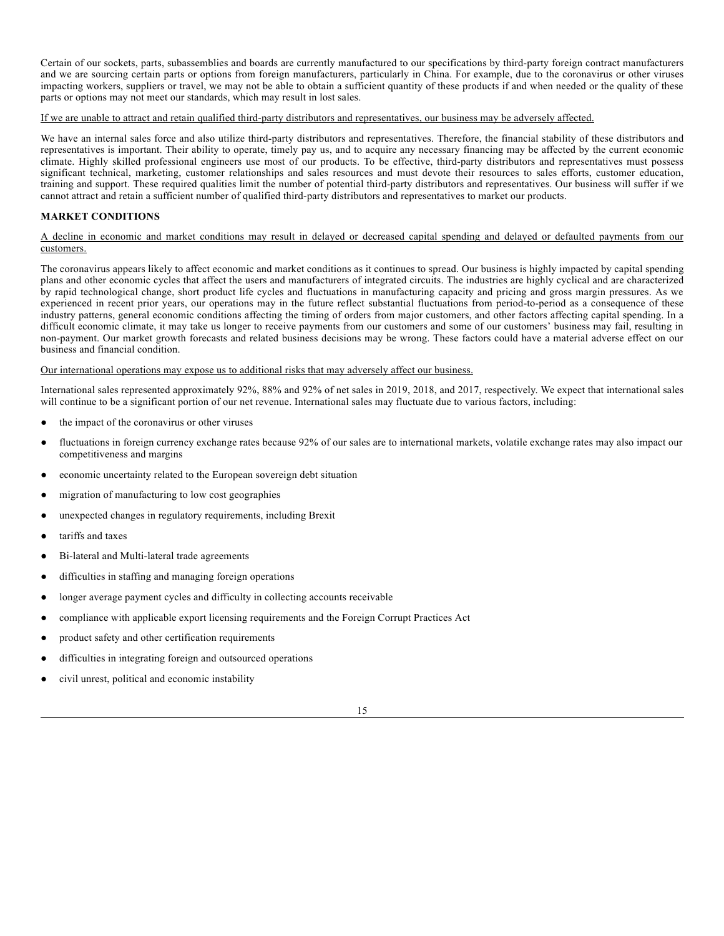Certain of our sockets, parts, subassemblies and boards are currently manufactured to our specifications by third-party foreign contract manufacturers and we are sourcing certain parts or options from foreign manufacturers, particularly in China. For example, due to the coronavirus or other viruses impacting workers, suppliers or travel, we may not be able to obtain a sufficient quantity of these products if and when needed or the quality of these parts or options may not meet our standards, which may result in lost sales.

#### If we are unable to attract and retain qualified third-party distributors and representatives, our business may be adversely affected.

We have an internal sales force and also utilize third-party distributors and representatives. Therefore, the financial stability of these distributors and representatives is important. Their ability to operate, timely pay us, and to acquire any necessary financing may be affected by the current economic climate. Highly skilled professional engineers use most of our products. To be effective, third-party distributors and representatives must possess significant technical, marketing, customer relationships and sales resources and must devote their resources to sales efforts, customer education, training and support. These required qualities limit the number of potential third-party distributors and representatives. Our business will suffer if we cannot attract and retain a sufficient number of qualified third-party distributors and representatives to market our products.

## **MARKET CONDITIONS**

## A decline in economic and market conditions may result in delayed or decreased capital spending and delayed or defaulted payments from our customers.

The coronavirus appears likely to affect economic and market conditions as it continues to spread. Our business is highly impacted by capital spending plans and other economic cycles that affect the users and manufacturers of integrated circuits. The industries are highly cyclical and are characterized by rapid technological change, short product life cycles and fluctuations in manufacturing capacity and pricing and gross margin pressures. As we experienced in recent prior years, our operations may in the future reflect substantial fluctuations from period-to-period as a consequence of these industry patterns, general economic conditions affecting the timing of orders from major customers, and other factors affecting capital spending. In a difficult economic climate, it may take us longer to receive payments from our customers and some of our customers' business may fail, resulting in non-payment. Our market growth forecasts and related business decisions may be wrong. These factors could have a material adverse effect on our business and financial condition.

## Our international operations may expose us to additional risks that may adversely affect our business.

International sales represented approximately 92%, 88% and 92% of net sales in 2019, 2018, and 2017, respectively. We expect that international sales will continue to be a significant portion of our net revenue. International sales may fluctuate due to various factors, including:

- the impact of the coronavirus or other viruses
- fluctuations in foreign currency exchange rates because 92% of our sales are to international markets, volatile exchange rates may also impact our competitiveness and margins
- economic uncertainty related to the European sovereign debt situation
- migration of manufacturing to low cost geographies
- unexpected changes in regulatory requirements, including Brexit
- tariffs and taxes
- Bi-lateral and Multi-lateral trade agreements
- difficulties in staffing and managing foreign operations
- longer average payment cycles and difficulty in collecting accounts receivable
- compliance with applicable export licensing requirements and the Foreign Corrupt Practices Act
- product safety and other certification requirements
- difficulties in integrating foreign and outsourced operations
- civil unrest, political and economic instability

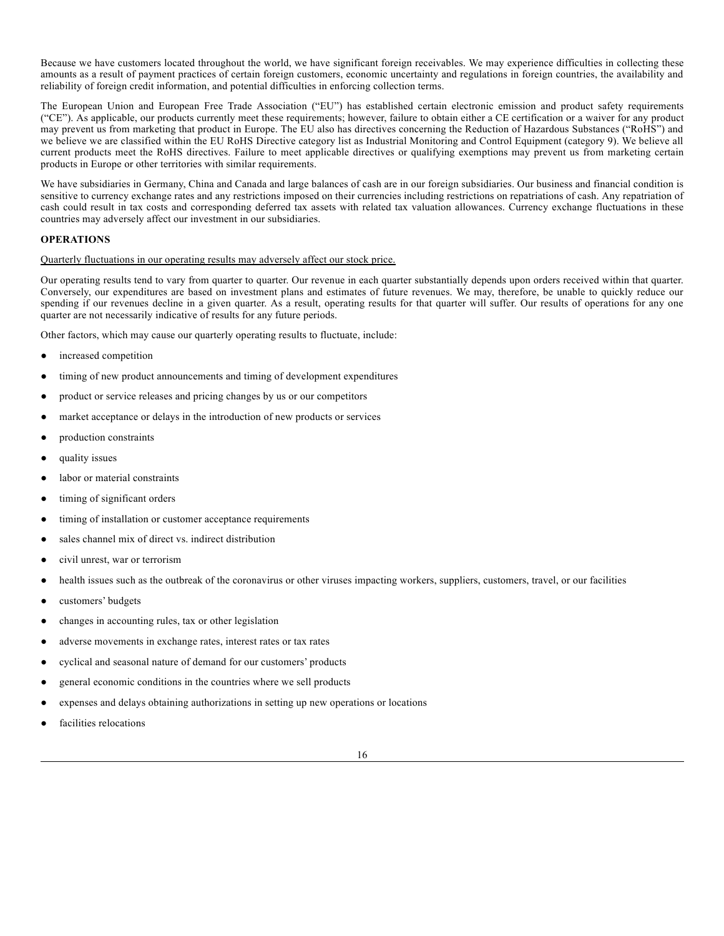Because we have customers located throughout the world, we have significant foreign receivables. We may experience difficulties in collecting these amounts as a result of payment practices of certain foreign customers, economic uncertainty and regulations in foreign countries, the availability and reliability of foreign credit information, and potential difficulties in enforcing collection terms.

The European Union and European Free Trade Association ("EU") has established certain electronic emission and product safety requirements ("CE"). As applicable, our products currently meet these requirements; however, failure to obtain either a CE certification or a waiver for any product may prevent us from marketing that product in Europe. The EU also has directives concerning the Reduction of Hazardous Substances ("RoHS") and we believe we are classified within the EU RoHS Directive category list as Industrial Monitoring and Control Equipment (category 9). We believe all current products meet the RoHS directives. Failure to meet applicable directives or qualifying exemptions may prevent us from marketing certain products in Europe or other territories with similar requirements.

We have subsidiaries in Germany, China and Canada and large balances of cash are in our foreign subsidiaries. Our business and financial condition is sensitive to currency exchange rates and any restrictions imposed on their currencies including restrictions on repatriations of cash. Any repatriation of cash could result in tax costs and corresponding deferred tax assets with related tax valuation allowances. Currency exchange fluctuations in these countries may adversely affect our investment in our subsidiaries.

## **OPERATIONS**

## Quarterly fluctuations in our operating results may adversely affect our stock price.

Our operating results tend to vary from quarter to quarter. Our revenue in each quarter substantially depends upon orders received within that quarter. Conversely, our expenditures are based on investment plans and estimates of future revenues. We may, therefore, be unable to quickly reduce our spending if our revenues decline in a given quarter. As a result, operating results for that quarter will suffer. Our results of operations for any one quarter are not necessarily indicative of results for any future periods.

Other factors, which may cause our quarterly operating results to fluctuate, include:

- increased competition
- timing of new product announcements and timing of development expenditures
- product or service releases and pricing changes by us or our competitors
- market acceptance or delays in the introduction of new products or services
- production constraints
- quality issues
- labor or material constraints
- timing of significant orders
- timing of installation or customer acceptance requirements
- sales channel mix of direct vs. indirect distribution
- civil unrest, war or terrorism
- health issues such as the outbreak of the coronavirus or other viruses impacting workers, suppliers, customers, travel, or our facilities
- customers' budgets
- changes in accounting rules, tax or other legislation
- adverse movements in exchange rates, interest rates or tax rates
- cyclical and seasonal nature of demand for our customers' products
- general economic conditions in the countries where we sell products
- expenses and delays obtaining authorizations in setting up new operations or locations
- facilities relocations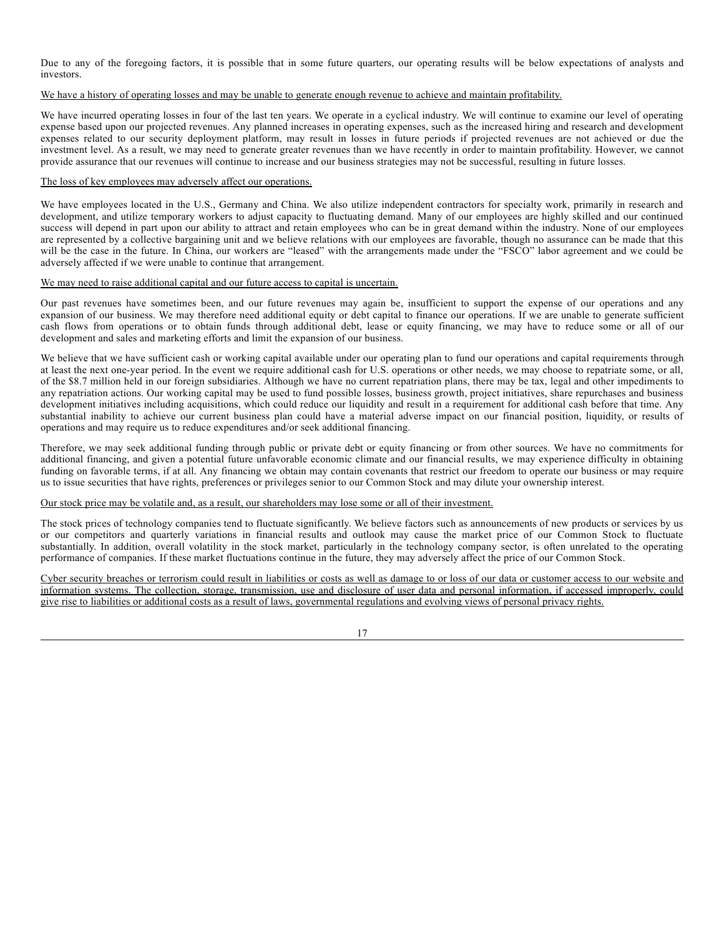Due to any of the foregoing factors, it is possible that in some future quarters, our operating results will be below expectations of analysts and investors.

#### We have a history of operating losses and may be unable to generate enough revenue to achieve and maintain profitability.

We have incurred operating losses in four of the last ten years. We operate in a cyclical industry. We will continue to examine our level of operating expense based upon our projected revenues. Any planned increases in operating expenses, such as the increased hiring and research and development expenses related to our security deployment platform, may result in losses in future periods if projected revenues are not achieved or due the investment level. As a result, we may need to generate greater revenues than we have recently in order to maintain profitability. However, we cannot provide assurance that our revenues will continue to increase and our business strategies may not be successful, resulting in future losses.

## The loss of key employees may adversely affect our operations.

We have employees located in the U.S., Germany and China. We also utilize independent contractors for specialty work, primarily in research and development, and utilize temporary workers to adjust capacity to fluctuating demand. Many of our employees are highly skilled and our continued success will depend in part upon our ability to attract and retain employees who can be in great demand within the industry. None of our employees are represented by a collective bargaining unit and we believe relations with our employees are favorable, though no assurance can be made that this will be the case in the future. In China, our workers are "leased" with the arrangements made under the "FSCO" labor agreement and we could be adversely affected if we were unable to continue that arrangement.

#### We may need to raise additional capital and our future access to capital is uncertain.

Our past revenues have sometimes been, and our future revenues may again be, insufficient to support the expense of our operations and any expansion of our business. We may therefore need additional equity or debt capital to finance our operations. If we are unable to generate sufficient cash flows from operations or to obtain funds through additional debt, lease or equity financing, we may have to reduce some or all of our development and sales and marketing efforts and limit the expansion of our business.

We believe that we have sufficient cash or working capital available under our operating plan to fund our operations and capital requirements through at least the next one-year period. In the event we require additional cash for U.S. operations or other needs, we may choose to repatriate some, or all, of the \$8.7 million held in our foreign subsidiaries. Although we have no current repatriation plans, there may be tax, legal and other impediments to any repatriation actions. Our working capital may be used to fund possible losses, business growth, project initiatives, share repurchases and business development initiatives including acquisitions, which could reduce our liquidity and result in a requirement for additional cash before that time. Any substantial inability to achieve our current business plan could have a material adverse impact on our financial position, liquidity, or results of operations and may require us to reduce expenditures and/or seek additional financing.

Therefore, we may seek additional funding through public or private debt or equity financing or from other sources. We have no commitments for additional financing, and given a potential future unfavorable economic climate and our financial results, we may experience difficulty in obtaining funding on favorable terms, if at all. Any financing we obtain may contain covenants that restrict our freedom to operate our business or may require us to issue securities that have rights, preferences or privileges senior to our Common Stock and may dilute your ownership interest.

## Our stock price may be volatile and, as a result, our shareholders may lose some or all of their investment.

The stock prices of technology companies tend to fluctuate significantly. We believe factors such as announcements of new products or services by us or our competitors and quarterly variations in financial results and outlook may cause the market price of our Common Stock to fluctuate substantially. In addition, overall volatility in the stock market, particularly in the technology company sector, is often unrelated to the operating performance of companies. If these market fluctuations continue in the future, they may adversely affect the price of our Common Stock.

Cyber security breaches or terrorism could result in liabilities or costs as well as damage to or loss of our data or customer access to our website and information systems. The collection, storage, transmission, use and disclosure of user data and personal information, if accessed improperly, could give rise to liabilities or additional costs as a result of laws, governmental regulations and evolving views of personal privacy rights.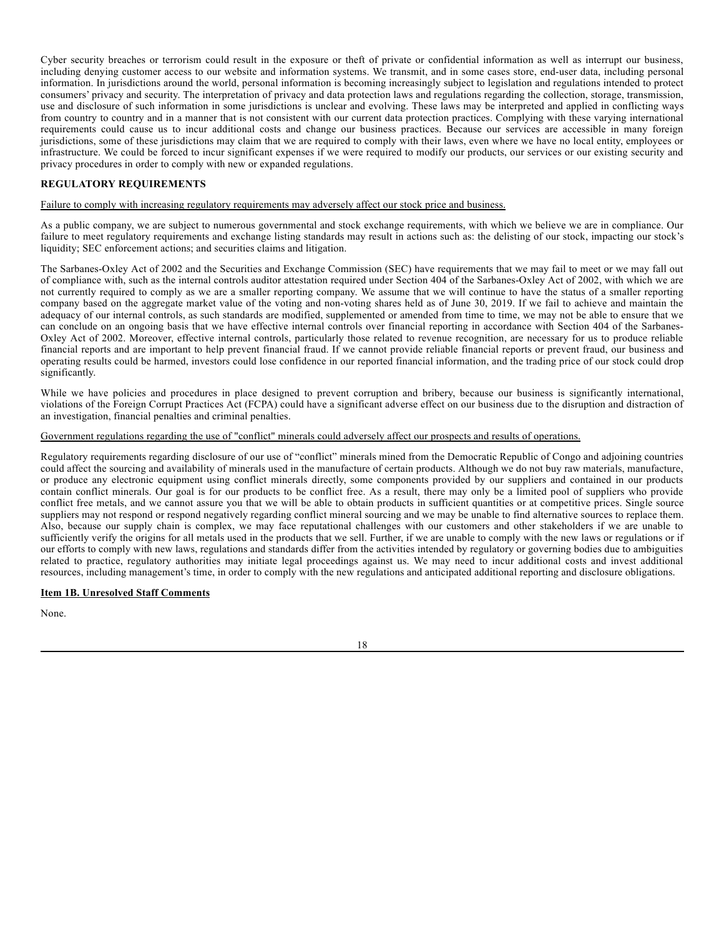Cyber security breaches or terrorism could result in the exposure or theft of private or confidential information as well as interrupt our business, including denying customer access to our website and information systems. We transmit, and in some cases store, end-user data, including personal information. In jurisdictions around the world, personal information is becoming increasingly subject to legislation and regulations intended to protect consumers' privacy and security. The interpretation of privacy and data protection laws and regulations regarding the collection, storage, transmission, use and disclosure of such information in some jurisdictions is unclear and evolving. These laws may be interpreted and applied in conflicting ways from country to country and in a manner that is not consistent with our current data protection practices. Complying with these varying international requirements could cause us to incur additional costs and change our business practices. Because our services are accessible in many foreign jurisdictions, some of these jurisdictions may claim that we are required to comply with their laws, even where we have no local entity, employees or infrastructure. We could be forced to incur significant expenses if we were required to modify our products, our services or our existing security and privacy procedures in order to comply with new or expanded regulations.

## **REGULATORY REQUIREMENTS**

#### Failure to comply with increasing regulatory requirements may adversely affect our stock price and business.

As a public company, we are subject to numerous governmental and stock exchange requirements, with which we believe we are in compliance. Our failure to meet regulatory requirements and exchange listing standards may result in actions such as: the delisting of our stock, impacting our stock's liquidity; SEC enforcement actions; and securities claims and litigation.

The Sarbanes-Oxley Act of 2002 and the Securities and Exchange Commission (SEC) have requirements that we may fail to meet or we may fall out of compliance with, such as the internal controls auditor attestation required under Section 404 of the Sarbanes-Oxley Act of 2002, with which we are not currently required to comply as we are a smaller reporting company. We assume that we will continue to have the status of a smaller reporting company based on the aggregate market value of the voting and non-voting shares held as of June 30, 2019. If we fail to achieve and maintain the adequacy of our internal controls, as such standards are modified, supplemented or amended from time to time, we may not be able to ensure that we can conclude on an ongoing basis that we have effective internal controls over financial reporting in accordance with Section 404 of the Sarbanes-Oxley Act of 2002. Moreover, effective internal controls, particularly those related to revenue recognition, are necessary for us to produce reliable financial reports and are important to help prevent financial fraud. If we cannot provide reliable financial reports or prevent fraud, our business and operating results could be harmed, investors could lose confidence in our reported financial information, and the trading price of our stock could drop significantly.

While we have policies and procedures in place designed to prevent corruption and bribery, because our business is significantly international, violations of the Foreign Corrupt Practices Act (FCPA) could have a significant adverse effect on our business due to the disruption and distraction of an investigation, financial penalties and criminal penalties.

#### Government regulations regarding the use of "conflict" minerals could adversely affect our prospects and results of operations.

Regulatory requirements regarding disclosure of our use of "conflict" minerals mined from the Democratic Republic of Congo and adjoining countries could affect the sourcing and availability of minerals used in the manufacture of certain products. Although we do not buy raw materials, manufacture, or produce any electronic equipment using conflict minerals directly, some components provided by our suppliers and contained in our products contain conflict minerals. Our goal is for our products to be conflict free. As a result, there may only be a limited pool of suppliers who provide conflict free metals, and we cannot assure you that we will be able to obtain products in sufficient quantities or at competitive prices. Single source suppliers may not respond or respond negatively regarding conflict mineral sourcing and we may be unable to find alternative sources to replace them. Also, because our supply chain is complex, we may face reputational challenges with our customers and other stakeholders if we are unable to sufficiently verify the origins for all metals used in the products that we sell. Further, if we are unable to comply with the new laws or regulations or if our efforts to comply with new laws, regulations and standards differ from the activities intended by regulatory or governing bodies due to ambiguities related to practice, regulatory authorities may initiate legal proceedings against us. We may need to incur additional costs and invest additional resources, including management's time, in order to comply with the new regulations and anticipated additional reporting and disclosure obligations.

## **Item 1B. Unresolved Staff Comments**

None.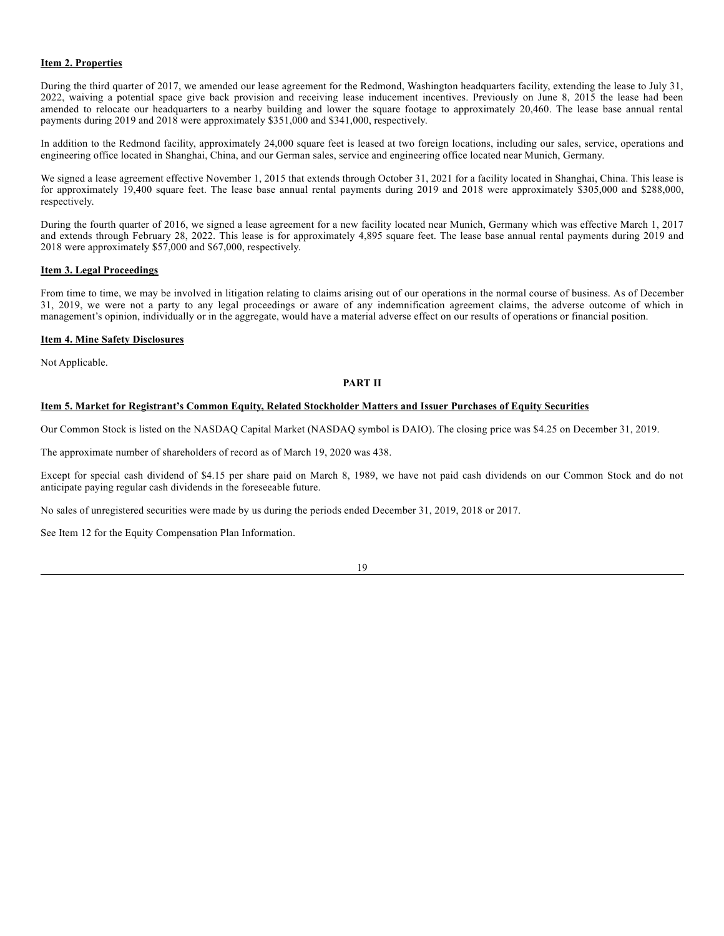# **Item 2. Properties**

During the third quarter of 2017, we amended our lease agreement for the Redmond, Washington headquarters facility, extending the lease to July 31, 2022, waiving a potential space give back provision and receiving lease inducement incentives. Previously on June 8, 2015 the lease had been amended to relocate our headquarters to a nearby building and lower the square footage to approximately 20,460. The lease base annual rental payments during 2019 and 2018 were approximately \$351,000 and \$341,000, respectively.

In addition to the Redmond facility, approximately 24,000 square feet is leased at two foreign locations, including our sales, service, operations and engineering office located in Shanghai, China, and our German sales, service and engineering office located near Munich, Germany.

We signed a lease agreement effective November 1, 2015 that extends through October 31, 2021 for a facility located in Shanghai, China. This lease is for approximately 19,400 square feet. The lease base annual rental payments during 2019 and 2018 were approximately \$305,000 and \$288,000, respectively.

During the fourth quarter of 2016, we signed a lease agreement for a new facility located near Munich, Germany which was effective March 1, 2017 and extends through February 28, 2022. This lease is for approximately 4,895 square feet. The lease base annual rental payments during 2019 and 2018 were approximately \$57,000 and \$67,000, respectively.

## **Item 3. Legal Proceedings**

From time to time, we may be involved in litigation relating to claims arising out of our operations in the normal course of business. As of December 31, 2019, we were not a party to any legal proceedings or aware of any indemnification agreement claims, the adverse outcome of which in management's opinion, individually or in the aggregate, would have a material adverse effect on our results of operations or financial position.

## **Item 4. Mine Safety Disclosures**

Not Applicable.

## **PART II**

## Item 5. Market for Registrant's Common Equity, Related Stockholder Matters and Issuer Purchases of Equity Securities

Our Common Stock is listed on the NASDAQ Capital Market (NASDAQ symbol is DAIO). The closing price was \$4.25 on December 31, 2019.

The approximate number of shareholders of record as of March 19, 2020 was 438.

Except for special cash dividend of \$4.15 per share paid on March 8, 1989, we have not paid cash dividends on our Common Stock and do not anticipate paying regular cash dividends in the foreseeable future.

No sales of unregistered securities were made by us during the periods ended December 31, 2019, 2018 or 2017.

See Item 12 for the Equity Compensation Plan Information.

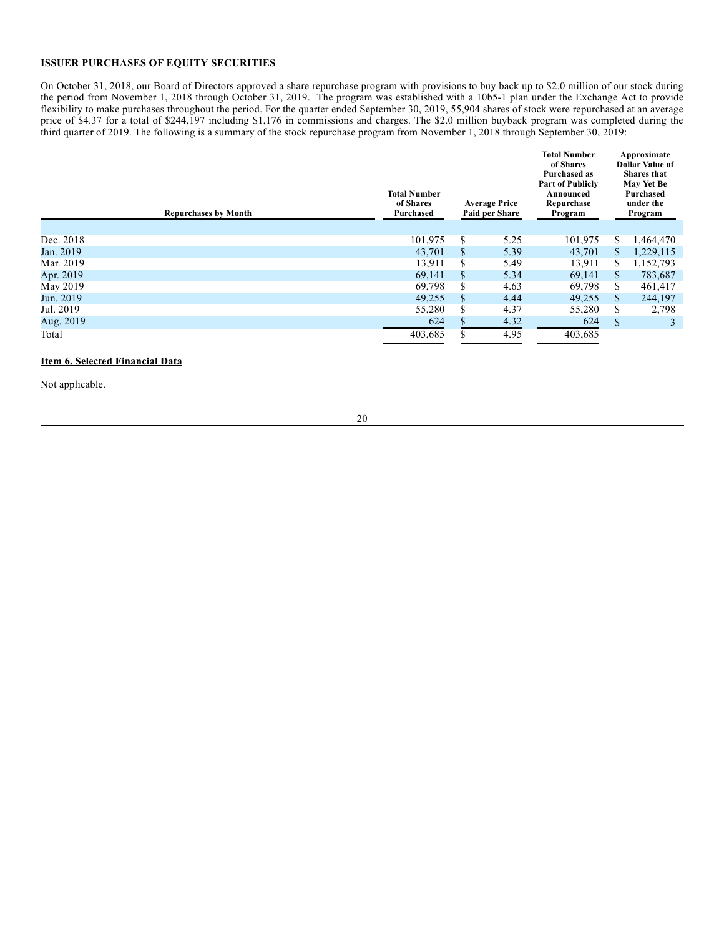## **ISSUER PURCHASES OF EQUITY SECURITIES**

On October 31, 2018, our Board of Directors approved a share repurchase program with provisions to buy back up to \$2.0 million of our stock during the period from November 1, 2018 through October 31, 2019. The program was established with a 10b5-1 plan under the Exchange Act to provide flexibility to make purchases throughout the period. For the quarter ended September 30, 2019, 55,904 shares of stock were repurchased at an average price of \$4.37 for a total of \$244,197 including \$1,176 in commissions and charges. The \$2.0 million buyback program was completed during the third quarter of 2019. The following is a summary of the stock repurchase program from November 1, 2018 through September 30, 2019:

|           | <b>Repurchases by Month</b> | <b>Total Number</b><br>of Shares<br>Purchased |    | <b>Average Price</b><br>Paid per Share | <b>Total Number</b><br>of Shares<br>Purchased as<br><b>Part of Publicly</b><br>Announced<br>Repurchase<br>Program |     | Approximate<br><b>Dollar Value of</b><br><b>Shares</b> that<br><b>May Yet Be</b><br>Purchased<br>under the<br>Program |
|-----------|-----------------------------|-----------------------------------------------|----|----------------------------------------|-------------------------------------------------------------------------------------------------------------------|-----|-----------------------------------------------------------------------------------------------------------------------|
|           |                             |                                               |    |                                        |                                                                                                                   |     |                                                                                                                       |
| Dec. 2018 |                             | 101,975                                       | \$ | 5.25                                   | 101,975                                                                                                           | S.  | 1,464,470                                                                                                             |
| Jan. 2019 |                             | 43,701                                        | S  | 5.39                                   | 43,701                                                                                                            | \$. | 1,229,115                                                                                                             |
| Mar. 2019 |                             | 13,911                                        | S  | 5.49                                   | 13,911                                                                                                            | S   | 1,152,793                                                                                                             |
| Apr. 2019 |                             | 69,141                                        | S  | 5.34                                   | 69,141                                                                                                            | S.  | 783,687                                                                                                               |
| May 2019  |                             | 69,798                                        | S  | 4.63                                   | 69,798                                                                                                            | S.  | 461,417                                                                                                               |
| Jun. 2019 |                             | 49,255                                        | S  | 4.44                                   | 49,255                                                                                                            | \$  | 244,197                                                                                                               |
| Jul. 2019 |                             | 55,280                                        | \$ | 4.37                                   | 55,280                                                                                                            | \$  | 2,798                                                                                                                 |
| Aug. 2019 |                             | 624                                           | \$ | 4.32                                   | 624                                                                                                               | \$  | 3                                                                                                                     |
| Total     |                             | 403,685                                       |    | 4.95                                   | 403,685                                                                                                           |     |                                                                                                                       |

## **Item 6. Selected Financial Data**

Not applicable.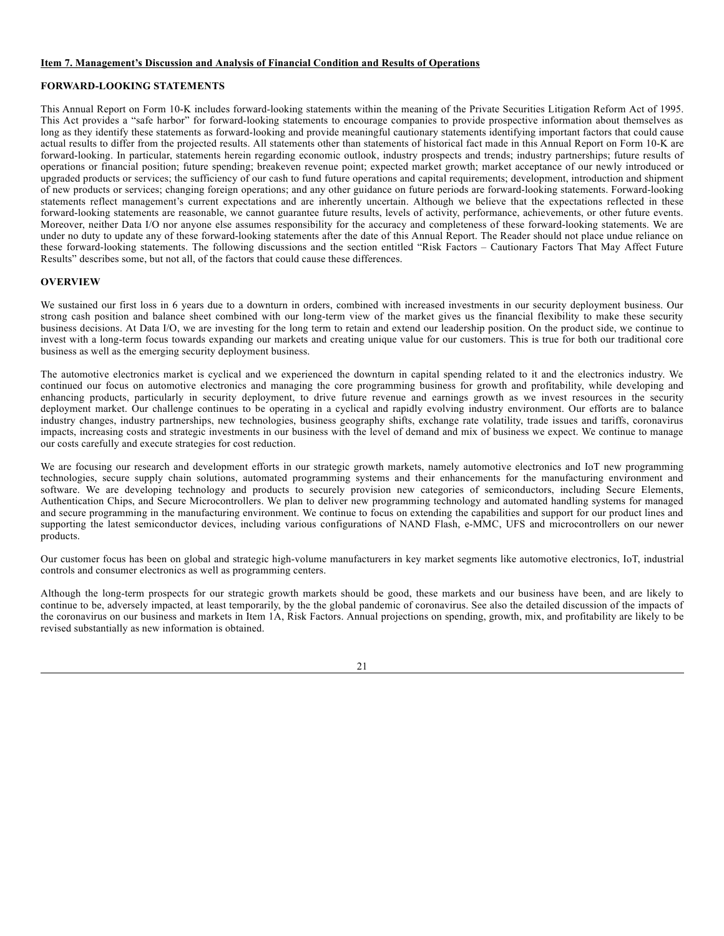#### **Item 7. Management's Discussion and Analysis of Financial Condition and Results of Operations**

## **FORWARD-LOOKING STATEMENTS**

This Annual Report on Form 10-K includes forward-looking statements within the meaning of the Private Securities Litigation Reform Act of 1995. This Act provides a "safe harbor" for forward-looking statements to encourage companies to provide prospective information about themselves as long as they identify these statements as forward-looking and provide meaningful cautionary statements identifying important factors that could cause actual results to differ from the projected results. All statements other than statements of historical fact made in this Annual Report on Form 10-K are forward-looking. In particular, statements herein regarding economic outlook, industry prospects and trends; industry partnerships; future results of operations or financial position; future spending; breakeven revenue point; expected market growth; market acceptance of our newly introduced or upgraded products or services; the sufficiency of our cash to fund future operations and capital requirements; development, introduction and shipment of new products or services; changing foreign operations; and any other guidance on future periods are forward-looking statements. Forward-looking statements reflect management's current expectations and are inherently uncertain. Although we believe that the expectations reflected in these forward-looking statements are reasonable, we cannot guarantee future results, levels of activity, performance, achievements, or other future events. Moreover, neither Data I/O nor anyone else assumes responsibility for the accuracy and completeness of these forward-looking statements. We are under no duty to update any of these forward-looking statements after the date of this Annual Report. The Reader should not place undue reliance on these forward-looking statements. The following discussions and the section entitled "Risk Factors – Cautionary Factors That May Affect Future Results" describes some, but not all, of the factors that could cause these differences.

#### **OVERVIEW**

We sustained our first loss in 6 years due to a downturn in orders, combined with increased investments in our security deployment business. Our strong cash position and balance sheet combined with our long-term view of the market gives us the financial flexibility to make these security business decisions. At Data I/O, we are investing for the long term to retain and extend our leadership position. On the product side, we continue to invest with a long-term focus towards expanding our markets and creating unique value for our customers. This is true for both our traditional core business as well as the emerging security deployment business.

The automotive electronics market is cyclical and we experienced the downturn in capital spending related to it and the electronics industry. We continued our focus on automotive electronics and managing the core programming business for growth and profitability, while developing and enhancing products, particularly in security deployment, to drive future revenue and earnings growth as we invest resources in the security deployment market. Our challenge continues to be operating in a cyclical and rapidly evolving industry environment. Our efforts are to balance industry changes, industry partnerships, new technologies, business geography shifts, exchange rate volatility, trade issues and tariffs, coronavirus impacts, increasing costs and strategic investments in our business with the level of demand and mix of business we expect. We continue to manage our costs carefully and execute strategies for cost reduction.

We are focusing our research and development efforts in our strategic growth markets, namely automotive electronics and IoT new programming technologies, secure supply chain solutions, automated programming systems and their enhancements for the manufacturing environment and software. We are developing technology and products to securely provision new categories of semiconductors, including Secure Elements, Authentication Chips, and Secure Microcontrollers. We plan to deliver new programming technology and automated handling systems for managed and secure programming in the manufacturing environment. We continue to focus on extending the capabilities and support for our product lines and supporting the latest semiconductor devices, including various configurations of NAND Flash, e-MMC, UFS and microcontrollers on our newer products.

Our customer focus has been on global and strategic high-volume manufacturers in key market segments like automotive electronics, IoT, industrial controls and consumer electronics as well as programming centers.

Although the long-term prospects for our strategic growth markets should be good, these markets and our business have been, and are likely to continue to be, adversely impacted, at least temporarily, by the the global pandemic of coronavirus. See also the detailed discussion of the impacts of the coronavirus on our business and markets in Item 1A, Risk Factors. Annual projections on spending, growth, mix, and profitability are likely to be revised substantially as new information is obtained.

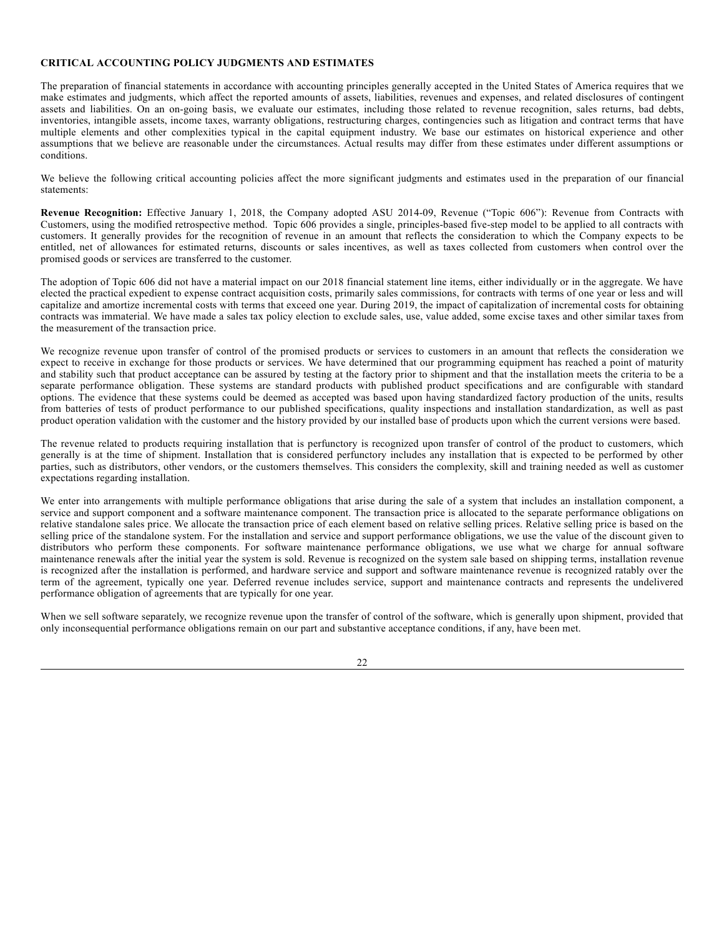## **CRITICAL ACCOUNTING POLICY JUDGMENTS AND ESTIMATES**

The preparation of financial statements in accordance with accounting principles generally accepted in the United States of America requires that we make estimates and judgments, which affect the reported amounts of assets, liabilities, revenues and expenses, and related disclosures of contingent assets and liabilities. On an on-going basis, we evaluate our estimates, including those related to revenue recognition, sales returns, bad debts, inventories, intangible assets, income taxes, warranty obligations, restructuring charges, contingencies such as litigation and contract terms that have multiple elements and other complexities typical in the capital equipment industry. We base our estimates on historical experience and other assumptions that we believe are reasonable under the circumstances. Actual results may differ from these estimates under different assumptions or conditions.

We believe the following critical accounting policies affect the more significant judgments and estimates used in the preparation of our financial statements:

**Revenue Recognition:** Effective January 1, 2018, the Company adopted ASU 2014-09, Revenue ("Topic 606"): Revenue from Contracts with Customers, using the modified retrospective method. Topic 606 provides a single, principles-based five-step model to be applied to all contracts with customers. It generally provides for the recognition of revenue in an amount that reflects the consideration to which the Company expects to be entitled, net of allowances for estimated returns, discounts or sales incentives, as well as taxes collected from customers when control over the promised goods or services are transferred to the customer.

The adoption of Topic 606 did not have a material impact on our 2018 financial statement line items, either individually or in the aggregate. We have elected the practical expedient to expense contract acquisition costs, primarily sales commissions, for contracts with terms of one year or less and will capitalize and amortize incremental costs with terms that exceed one year. During 2019, the impact of capitalization of incremental costs for obtaining contracts was immaterial. We have made a sales tax policy election to exclude sales, use, value added, some excise taxes and other similar taxes from the measurement of the transaction price.

We recognize revenue upon transfer of control of the promised products or services to customers in an amount that reflects the consideration we expect to receive in exchange for those products or services. We have determined that our programming equipment has reached a point of maturity and stability such that product acceptance can be assured by testing at the factory prior to shipment and that the installation meets the criteria to be a separate performance obligation. These systems are standard products with published product specifications and are configurable with standard options. The evidence that these systems could be deemed as accepted was based upon having standardized factory production of the units, results from batteries of tests of product performance to our published specifications, quality inspections and installation standardization, as well as past product operation validation with the customer and the history provided by our installed base of products upon which the current versions were based.

The revenue related to products requiring installation that is perfunctory is recognized upon transfer of control of the product to customers, which generally is at the time of shipment. Installation that is considered perfunctory includes any installation that is expected to be performed by other parties, such as distributors, other vendors, or the customers themselves. This considers the complexity, skill and training needed as well as customer expectations regarding installation.

We enter into arrangements with multiple performance obligations that arise during the sale of a system that includes an installation component, a service and support component and a software maintenance component. The transaction price is allocated to the separate performance obligations on relative standalone sales price. We allocate the transaction price of each element based on relative selling prices. Relative selling price is based on the selling price of the standalone system. For the installation and service and support performance obligations, we use the value of the discount given to distributors who perform these components. For software maintenance performance obligations, we use what we charge for annual software maintenance renewals after the initial year the system is sold. Revenue is recognized on the system sale based on shipping terms, installation revenue is recognized after the installation is performed, and hardware service and support and software maintenance revenue is recognized ratably over the term of the agreement, typically one year. Deferred revenue includes service, support and maintenance contracts and represents the undelivered performance obligation of agreements that are typically for one year.

When we sell software separately, we recognize revenue upon the transfer of control of the software, which is generally upon shipment, provided that only inconsequential performance obligations remain on our part and substantive acceptance conditions, if any, have been met.

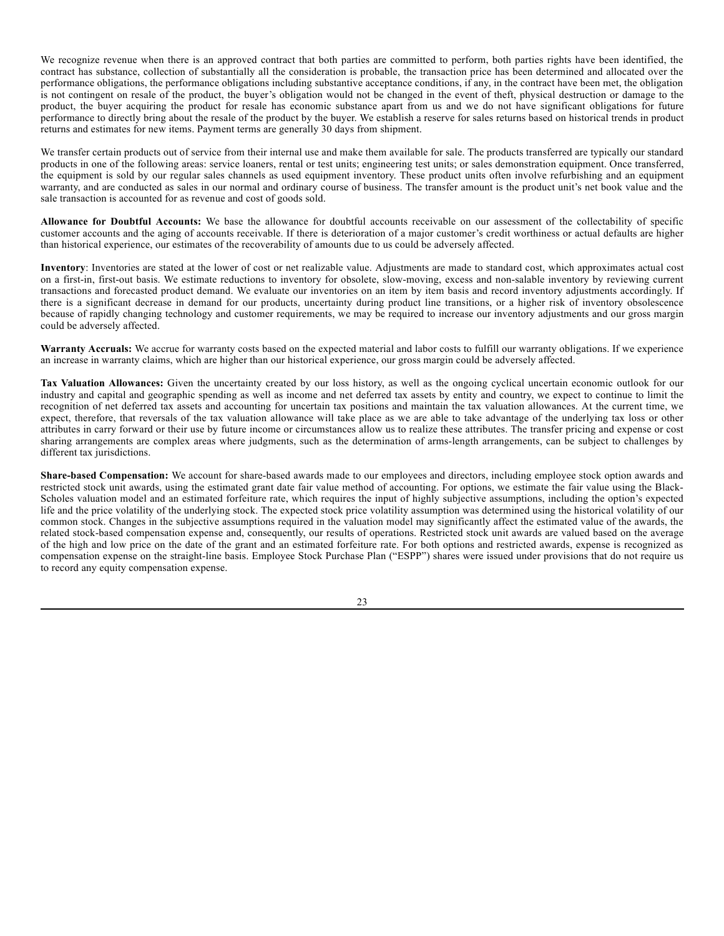We recognize revenue when there is an approved contract that both parties are committed to perform, both parties rights have been identified, the contract has substance, collection of substantially all the consideration is probable, the transaction price has been determined and allocated over the performance obligations, the performance obligations including substantive acceptance conditions, if any, in the contract have been met, the obligation is not contingent on resale of the product, the buyer's obligation would not be changed in the event of theft, physical destruction or damage to the product, the buyer acquiring the product for resale has economic substance apart from us and we do not have significant obligations for future performance to directly bring about the resale of the product by the buyer. We establish a reserve for sales returns based on historical trends in product returns and estimates for new items. Payment terms are generally 30 days from shipment.

We transfer certain products out of service from their internal use and make them available for sale. The products transferred are typically our standard products in one of the following areas: service loaners, rental or test units; engineering test units; or sales demonstration equipment. Once transferred, the equipment is sold by our regular sales channels as used equipment inventory. These product units often involve refurbishing and an equipment warranty, and are conducted as sales in our normal and ordinary course of business. The transfer amount is the product unit's net book value and the sale transaction is accounted for as revenue and cost of goods sold.

**Allowance for Doubtful Accounts:** We base the allowance for doubtful accounts receivable on our assessment of the collectability of specific customer accounts and the aging of accounts receivable. If there is deterioration of a major customer's credit worthiness or actual defaults are higher than historical experience, our estimates of the recoverability of amounts due to us could be adversely affected.

**Inventory**: Inventories are stated at the lower of cost or net realizable value. Adjustments are made to standard cost, which approximates actual cost on a first-in, first-out basis. We estimate reductions to inventory for obsolete, slow-moving, excess and non-salable inventory by reviewing current transactions and forecasted product demand. We evaluate our inventories on an item by item basis and record inventory adjustments accordingly. If there is a significant decrease in demand for our products, uncertainty during product line transitions, or a higher risk of inventory obsolescence because of rapidly changing technology and customer requirements, we may be required to increase our inventory adjustments and our gross margin could be adversely affected.

**Warranty Accruals:** We accrue for warranty costs based on the expected material and labor costs to fulfill our warranty obligations. If we experience an increase in warranty claims, which are higher than our historical experience, our gross margin could be adversely affected.

**Tax Valuation Allowances:** Given the uncertainty created by our loss history, as well as the ongoing cyclical uncertain economic outlook for our industry and capital and geographic spending as well as income and net deferred tax assets by entity and country, we expect to continue to limit the recognition of net deferred tax assets and accounting for uncertain tax positions and maintain the tax valuation allowances. At the current time, we expect, therefore, that reversals of the tax valuation allowance will take place as we are able to take advantage of the underlying tax loss or other attributes in carry forward or their use by future income or circumstances allow us to realize these attributes. The transfer pricing and expense or cost sharing arrangements are complex areas where judgments, such as the determination of arms-length arrangements, can be subject to challenges by different tax jurisdictions.

**Share-based Compensation:** We account for share-based awards made to our employees and directors, including employee stock option awards and restricted stock unit awards, using the estimated grant date fair value method of accounting. For options, we estimate the fair value using the Black-Scholes valuation model and an estimated forfeiture rate, which requires the input of highly subjective assumptions, including the option's expected life and the price volatility of the underlying stock. The expected stock price volatility assumption was determined using the historical volatility of our common stock. Changes in the subjective assumptions required in the valuation model may significantly affect the estimated value of the awards, the related stock-based compensation expense and, consequently, our results of operations. Restricted stock unit awards are valued based on the average of the high and low price on the date of the grant and an estimated forfeiture rate. For both options and restricted awards, expense is recognized as compensation expense on the straight-line basis. Employee Stock Purchase Plan ("ESPP") shares were issued under provisions that do not require us to record any equity compensation expense.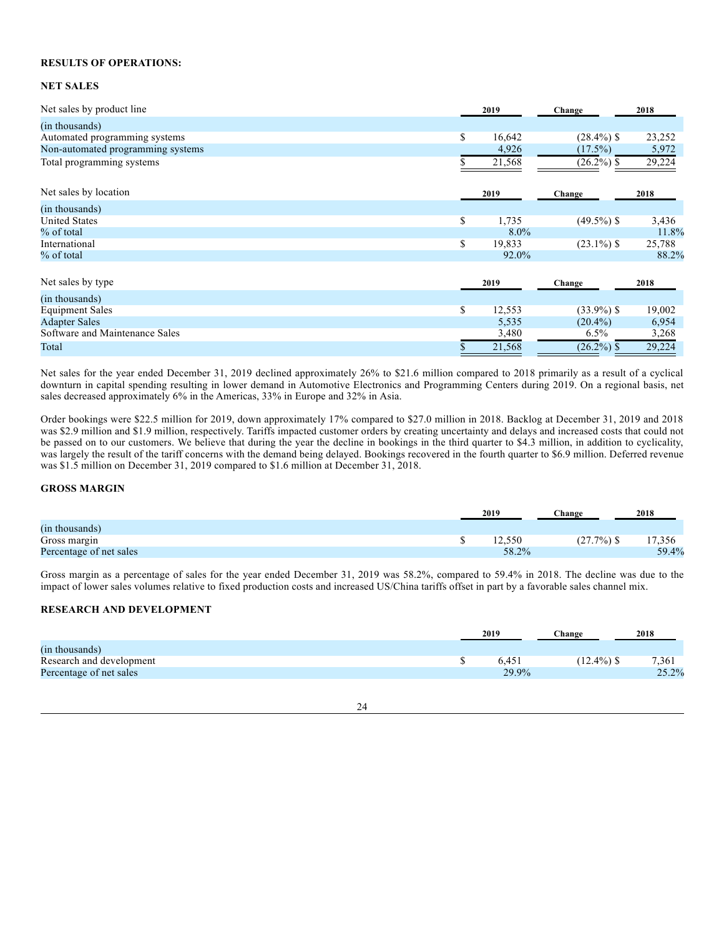# **RESULTS OF OPERATIONS:**

# **NET SALES**

| Net sales by product line.        | 2019         | Change        | 2018   |
|-----------------------------------|--------------|---------------|--------|
| (in thousands)                    |              |               |        |
| Automated programming systems     | \$<br>16,642 | $(28.4\%)$ \$ | 23,252 |
| Non-automated programming systems | 4,926        | $(17.5\%)$    | 5,972  |
| Total programming systems         | 21,568       | $(26.2\%)$ \$ | 29,224 |
| Net sales by location             | 2019         | Change        | 2018   |
| (in thousands)                    |              |               |        |
| <b>United States</b>              | \$<br>1,735  | $(49.5\%)$ \$ | 3,436  |
| % of total                        | $8.0\%$      |               | 11.8%  |
| International                     | \$<br>19,833 | $(23.1\%)$ \$ | 25,788 |
| % of total                        | 92.0%        |               | 88.2%  |
| Net sales by type                 | 2019         | Change        | 2018   |
| (in thousands)                    |              |               |        |
| <b>Equipment Sales</b>            | \$<br>12,553 | $(33.9\%)$ \$ | 19,002 |
| <b>Adapter Sales</b>              | 5,535        | $(20.4\%)$    | 6,954  |
| Software and Maintenance Sales    | 3,480        | 6.5%          | 3,268  |
| Total                             | 21,568       | $(26.2\%)$ \$ | 29,224 |

Net sales for the year ended December 31, 2019 declined approximately 26% to \$21.6 million compared to 2018 primarily as a result of a cyclical downturn in capital spending resulting in lower demand in Automotive Electronics and Programming Centers during 2019. On a regional basis, net sales decreased approximately 6% in the Americas, 33% in Europe and 32% in Asia.

Order bookings were \$22.5 million for 2019, down approximately 17% compared to \$27.0 million in 2018. Backlog at December 31, 2019 and 2018 was \$2.9 million and \$1.9 million, respectively. Tariffs impacted customer orders by creating uncertainty and delays and increased costs that could not be passed on to our customers. We believe that during the year the decline in bookings in the third quarter to \$4.3 million, in addition to cyclicality, was largely the result of the tariff concerns with the demand being delayed. Bookings recovered in the fourth quarter to \$6.9 million. Deferred revenue was \$1.5 million on December 31, 2019 compared to \$1.6 million at December 31, 2018.

## **GROSS MARGIN**

|                         | 2019<br><b>Change</b> |               | 2018   |
|-------------------------|-----------------------|---------------|--------|
| (in thousands)          |                       |               |        |
| Gross margin            | 12.550                | $(27.7\%)$ \$ | 17,356 |
| Percentage of net sales | 58.2%                 |               | 59.4%  |

Gross margin as a percentage of sales for the year ended December 31, 2019 was 58.2%, compared to 59.4% in 2018. The decline was due to the impact of lower sales volumes relative to fixed production costs and increased US/China tariffs offset in part by a favorable sales channel mix.

## **RESEARCH AND DEVELOPMENT**

|                          | 2019  | ∑hange        | 2018     |
|--------------------------|-------|---------------|----------|
| (in thousands)           |       |               |          |
| Research and development | 6.451 | $(12.4\%)$ \$ | 7.361    |
| Percentage of net sales  | 29.9% |               | $25.2\%$ |

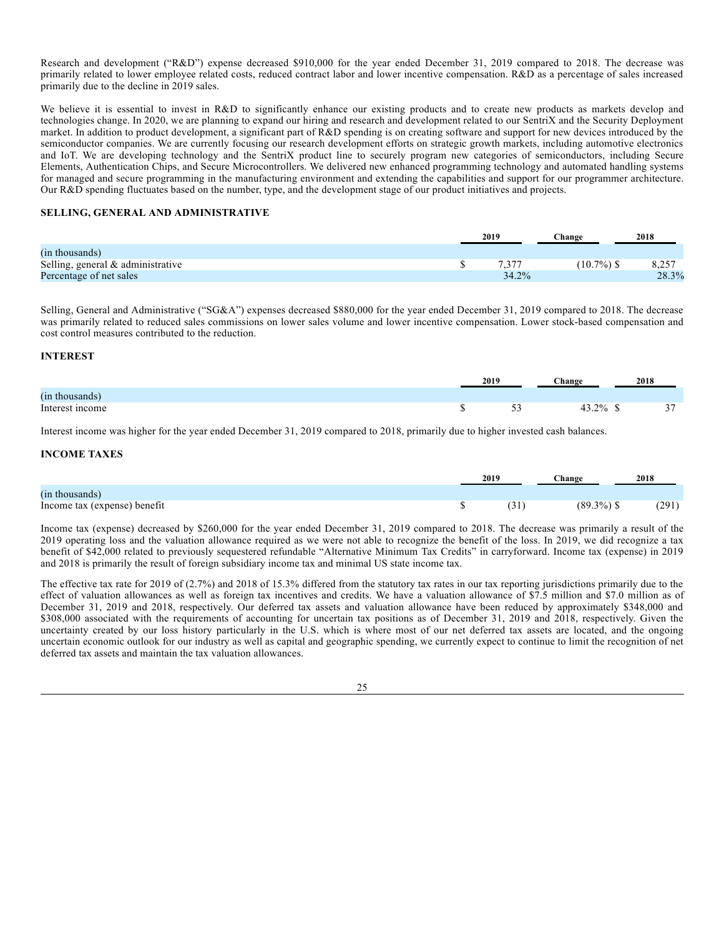Research and development ("R&D") expense decreased \$910,000 for the year ended December 31, 2019 compared to 2018. The decrease was primarily related to lower employee related costs, reduced contract labor and lower incentive compensation. R&D as a percentage of sales increased primarily due to the decline in 2019 sales.

We believe it is essential to invest in R&D to significantly enhance our existing products and to create new products as markets develop and technologies change. In 2020, we are planning to expand our hiring and research and development related to our SentriX and the Security Deployment market. In addition to product development, a significant part of R&D spending is on creating software and support for new devices introduced by the semiconductor companies. We are currently focusing our research development efforts on strategic growth markets, including automotive electronics and IoT. We are developing technology and the SentriX product line to securely program new categories of semiconductors, including Secure Elements, Authentication Chips, and Secure Microcontrollers. We delivered new enhanced programming technology and automated handling systems for managed and secure programming in the manufacturing environment and extending the capabilities and support for our programmer architecture. Our R&D spending fluctuates based on the number, type, and the development stage of our product initiatives and projects.

## **SELLING, GENERAL AND ADMINISTRATIVE**

|                                      | 2019  | <b>Change</b> | 2018       |
|--------------------------------------|-------|---------------|------------|
| (in thousands)                       |       |               |            |
| Selling, general $\&$ administrative | 7 377 | $(10.7\%)$ \$ | $8.25^{-}$ |
| Percentage of net sales              | 34.2% |               | 28.3%      |

Selling, General and Administrative ("SG&A") expenses decreased \$880,000 for the year ended December 31, 2019 compared to 2018. The decrease was primarily related to reduced sales commissions on lower sales volume and lower incentive compensation. Lower stock-based compensation and cost control measures contributed to the reduction.

## **INTEREST**

|                 | 2019     | Change | 2018          |
|-----------------|----------|--------|---------------|
| (in thousands)  |          |        |               |
| Interest income | 53<br>-- | 43.2%  | $\sim$ $\sim$ |

Interest income was higher for the year ended December 31, 2019 compared to 2018, primarily due to higher invested cash balances.

#### **INCOME TAXES**

|                              | 2019 | Change        | 2018  |
|------------------------------|------|---------------|-------|
| (in thousands)               |      |               |       |
| Income tax (expense) benefit |      | $(89.3\%)$ \$ | (291) |

Income tax (expense) decreased by \$260,000 for the year ended December 31, 2019 compared to 2018. The decrease was primarily a result of the 2019 operating loss and the valuation allowance required as we were not able to recognize the benefit of the loss. In 2019, we did recognize a tax benefit of \$42,000 related to previously sequestered refundable "Alternative Minimum Tax Credits" in carryforward. Income tax (expense) in 2019 and 2018 is primarily the result of foreign subsidiary income tax and minimal US state income tax.

The effective tax rate for 2019 of (2.7%) and 2018 of 15.3% differed from the statutory tax rates in our tax reporting jurisdictions primarily due to the effect of valuation allowances as well as foreign tax incentives and credits. We have a valuation allowance of \$7.5 million and \$7.0 million as of December 31, 2019 and 2018, respectively. Our deferred tax assets and valuation allowance have been reduced by approximately \$348,000 and \$308,000 associated with the requirements of accounting for uncertain tax positions as of December 31, 2019 and 2018, respectively. Given the uncertainty created by our loss history particularly in the U.S. which is where most of our net deferred tax assets are located, and the ongoing uncertain economic outlook for our industry as well as capital and geographic spending, we currently expect to continue to limit the recognition of net deferred tax assets and maintain the tax valuation allowances.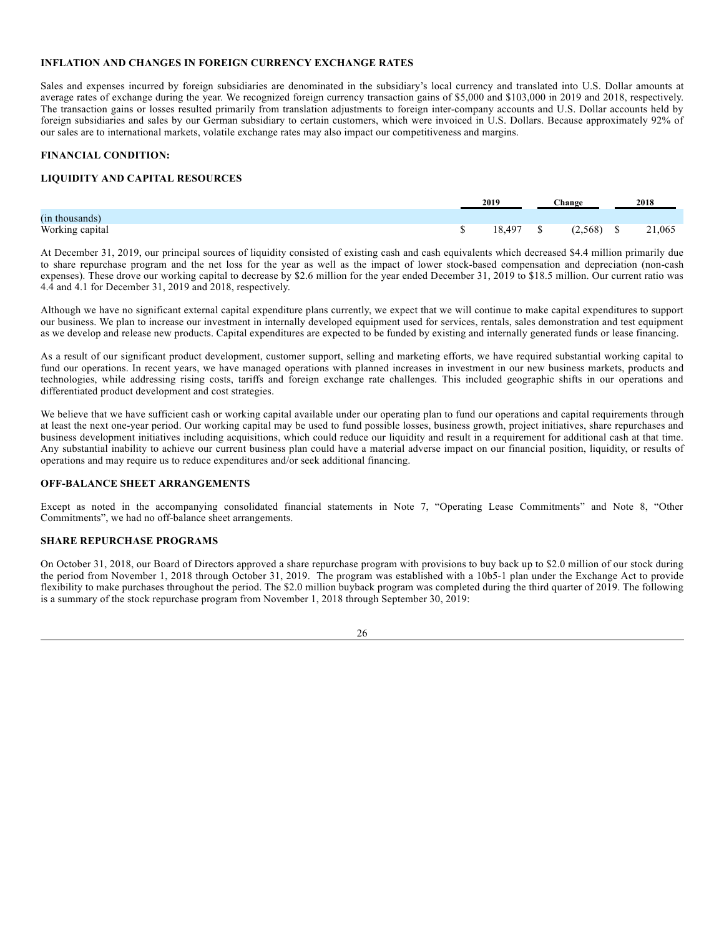## **INFLATION AND CHANGES IN FOREIGN CURRENCY EXCHANGE RATES**

Sales and expenses incurred by foreign subsidiaries are denominated in the subsidiary's local currency and translated into U.S. Dollar amounts at average rates of exchange during the year. We recognized foreign currency transaction gains of \$5,000 and \$103,000 in 2019 and 2018, respectively. The transaction gains or losses resulted primarily from translation adjustments to foreign inter-company accounts and U.S. Dollar accounts held by foreign subsidiaries and sales by our German subsidiary to certain customers, which were invoiced in U.S. Dollars. Because approximately 92% of our sales are to international markets, volatile exchange rates may also impact our competitiveness and margins.

#### **FINANCIAL CONDITION:**

## **LIQUIDITY AND CAPITAL RESOURCES**

|                 | 2019      |  | <b>Change</b> | 2018 |        |  |
|-----------------|-----------|--|---------------|------|--------|--|
| (in thousands)  |           |  |               |      |        |  |
| Working capital | 18.497 \$ |  | $(2,568)$ \$  |      | 21,065 |  |

At December 31, 2019, our principal sources of liquidity consisted of existing cash and cash equivalents which decreased \$4.4 million primarily due to share repurchase program and the net loss for the year as well as the impact of lower stock-based compensation and depreciation (non-cash expenses). These drove our working capital to decrease by \$2.6 million for the year ended December 31, 2019 to \$18.5 million. Our current ratio was 4.4 and 4.1 for December 31, 2019 and 2018, respectively.

Although we have no significant external capital expenditure plans currently, we expect that we will continue to make capital expenditures to support our business. We plan to increase our investment in internally developed equipment used for services, rentals, sales demonstration and test equipment as we develop and release new products. Capital expenditures are expected to be funded by existing and internally generated funds or lease financing.

As a result of our significant product development, customer support, selling and marketing efforts, we have required substantial working capital to fund our operations. In recent years, we have managed operations with planned increases in investment in our new business markets, products and technologies, while addressing rising costs, tariffs and foreign exchange rate challenges. This included geographic shifts in our operations and differentiated product development and cost strategies.

We believe that we have sufficient cash or working capital available under our operating plan to fund our operations and capital requirements through at least the next one-year period. Our working capital may be used to fund possible losses, business growth, project initiatives, share repurchases and business development initiatives including acquisitions, which could reduce our liquidity and result in a requirement for additional cash at that time. Any substantial inability to achieve our current business plan could have a material adverse impact on our financial position, liquidity, or results of operations and may require us to reduce expenditures and/or seek additional financing.

## **OFF-BALANCE SHEET ARRANGEMENTS**

Except as noted in the accompanying consolidated financial statements in Note 7, "Operating Lease Commitments" and Note 8, "Other Commitments", we had no off-balance sheet arrangements.

## **SHARE REPURCHASE PROGRAMS**

On October 31, 2018, our Board of Directors approved a share repurchase program with provisions to buy back up to \$2.0 million of our stock during the period from November 1, 2018 through October 31, 2019. The program was established with a 10b5-1 plan under the Exchange Act to provide flexibility to make purchases throughout the period. The \$2.0 million buyback program was completed during the third quarter of 2019. The following is a summary of the stock repurchase program from November 1, 2018 through September 30, 2019:

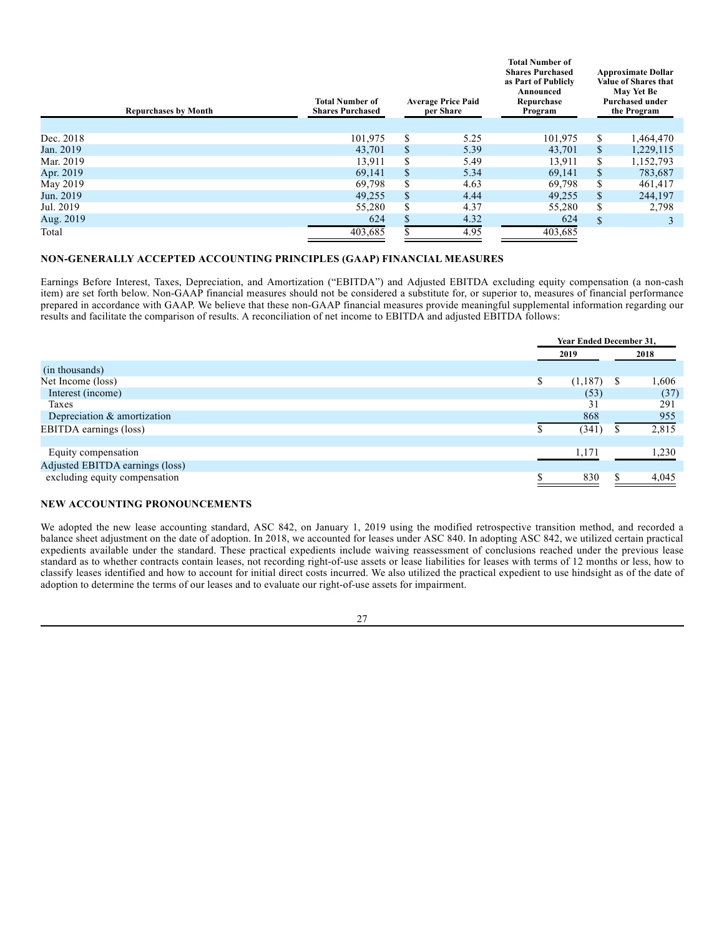| <b>Repurchases by Month</b> | <b>Total Number of</b><br><b>Shares Purchased</b> |               | <b>Average Price Paid</b><br>per Share | <b>Total Number of</b><br><b>Shares Purchased</b><br>as Part of Publicly<br>Announced<br>Repurchase<br>Program |    | <b>Approximate Dollar</b><br><b>Value of Shares that</b><br><b>May Yet Be</b><br><b>Purchased under</b><br>the Program |
|-----------------------------|---------------------------------------------------|---------------|----------------------------------------|----------------------------------------------------------------------------------------------------------------|----|------------------------------------------------------------------------------------------------------------------------|
| Dec. 2018                   | 101,975                                           | S             | 5.25                                   | 101,975                                                                                                        | S  | 1,464,470                                                                                                              |
| Jan. 2019                   | 43,701                                            | <sup>\$</sup> | 5.39                                   | 43,701                                                                                                         | S  | 1,229,115                                                                                                              |
| Mar. 2019                   | 13,911                                            | S             | 5.49                                   | 13,911                                                                                                         | \$ | 1,152,793                                                                                                              |
| Apr. 2019                   | 69,141                                            | $\mathbb{S}$  | 5.34                                   | 69,141                                                                                                         | \$ | 783,687                                                                                                                |
| May 2019                    | 69.798                                            | S             | 4.63                                   | 69.798                                                                                                         | ъ  | 461,417                                                                                                                |
| Jun. 2019                   | 49,255                                            | $\mathbb{S}$  | 4.44                                   | 49.255                                                                                                         | \$ | 244,197                                                                                                                |
| Jul. 2019                   | 55,280                                            | S             | 4.37                                   | 55,280                                                                                                         | \$ | 2,798                                                                                                                  |
| Aug. 2019                   | 624                                               |               | 4.32                                   | 624                                                                                                            | \$ |                                                                                                                        |
| Total                       | 403,685                                           |               | 4.95                                   | 403,685                                                                                                        |    |                                                                                                                        |

## **NON-GENERALLY ACCEPTED ACCOUNTING PRINCIPLES (GAAP) FINANCIAL MEASURES**

Earnings Before Interest, Taxes, Depreciation, and Amortization ("EBITDA") and Adjusted EBITDA excluding equity compensation (a non-cash item) are set forth below. Non-GAAP financial measures should not be considered a substitute for, or superior to, measures of financial performance prepared in accordance with GAAP. We believe that these non-GAAP financial measures provide meaningful supplemental information regarding our results and facilitate the comparison of results. A reconciliation of net income to EBITDA and adjusted EBITDA follows:

|                                 | <b>Year Ended December 31.</b> |   |       |  |  |
|---------------------------------|--------------------------------|---|-------|--|--|
|                                 | 2019                           |   | 2018  |  |  |
| (in thousands)                  |                                |   |       |  |  |
| Net Income (loss)               | (1,187)                        | ъ | 1,606 |  |  |
| Interest (income)               | (53)                           |   | (37)  |  |  |
| Taxes                           | 31                             |   | 291   |  |  |
| Depreciation & amortization     | 868                            |   | 955   |  |  |
| EBITDA earnings (loss)          | (341)                          |   | 2,815 |  |  |
|                                 |                                |   |       |  |  |
| Equity compensation             | 1,171                          |   | 1,230 |  |  |
| Adjusted EBITDA earnings (loss) |                                |   |       |  |  |
| excluding equity compensation   | 830                            |   | 4,045 |  |  |

## **NEW ACCOUNTING PRONOUNCEMENTS**

We adopted the new lease accounting standard, ASC 842, on January 1, 2019 using the modified retrospective transition method, and recorded a balance sheet adjustment on the date of adoption. In 2018, we accounted for leases under ASC 840. In adopting ASC 842, we utilized certain practical expedients available under the standard. These practical expedients include waiving reassessment of conclusions reached under the previous lease standard as to whether contracts contain leases, not recording right-of-use assets or lease liabilities for leases with terms of 12 months or less, how to classify leases identified and how to account for initial direct costs incurred. We also utilized the practical expedient to use hindsight as of the date of adoption to determine the terms of our leases and to evaluate our right-of-use assets for impairment.

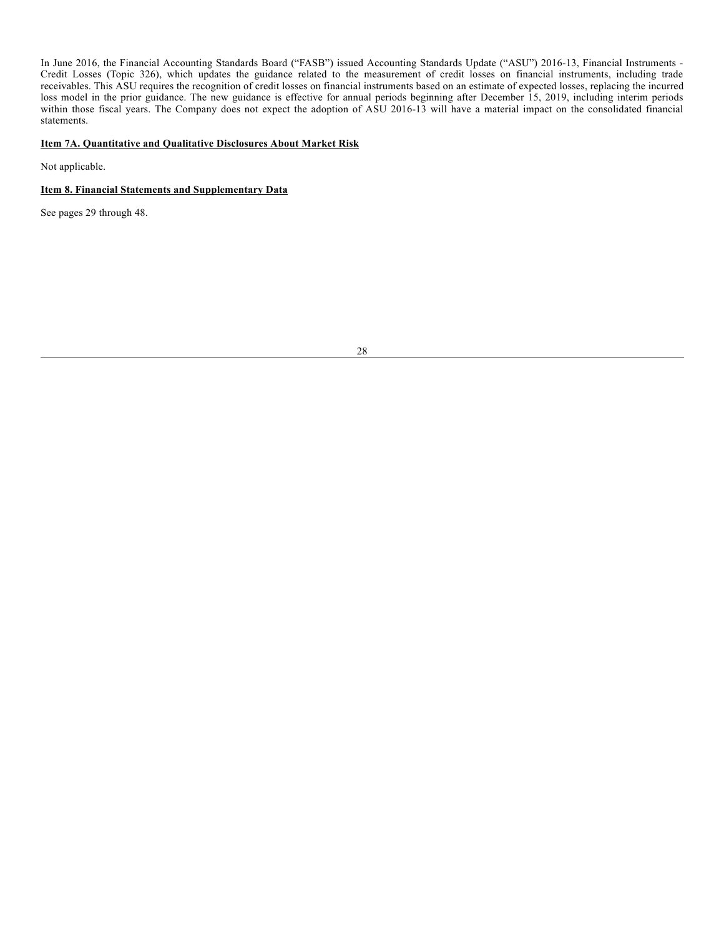In June 2016, the Financial Accounting Standards Board ("FASB") issued Accounting Standards Update ("ASU") 2016-13, Financial Instruments - Credit Losses (Topic 326), which updates the guidance related to the measurement of credit losses on financial instruments, including trade receivables. This ASU requires the recognition of credit losses on financial instruments based on an estimate of expected losses, replacing the incurred loss model in the prior guidance. The new guidance is effective for annual periods beginning after December 15, 2019, including interim periods within those fiscal years. The Company does not expect the adoption of ASU 2016-13 will have a material impact on the consolidated financial statements.

## **Item 7A. Quantitative and Qualitative Disclosures About Market Risk**

Not applicable.

## **Item 8. Financial Statements and Supplementary Data**

See pages 29 through 48.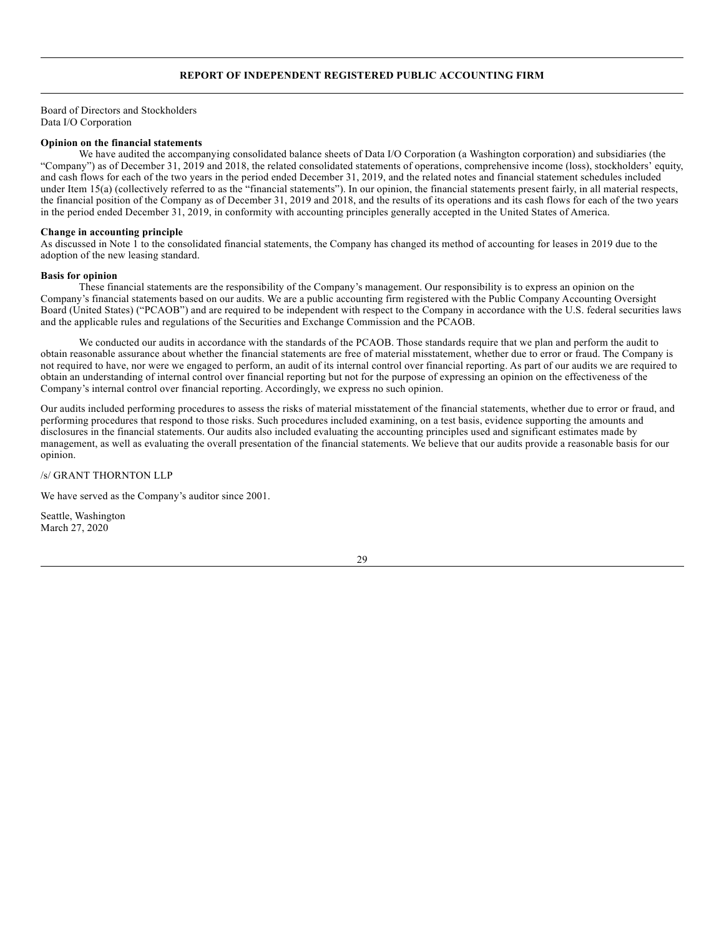## **REPORT OF INDEPENDENT REGISTERED PUBLIC ACCOUNTING FIRM**

Board of Directors and Stockholders Data I/O Corporation

#### **Opinion on the financial statements**

We have audited the accompanying consolidated balance sheets of Data I/O Corporation (a Washington corporation) and subsidiaries (the "Company") as of December 31, 2019 and 2018, the related consolidated statements of operations, comprehensive income (loss), stockholders' equity, and cash flows for each of the two years in the period ended December 31, 2019, and the related notes and financial statement schedules included under Item 15(a) (collectively referred to as the "financial statements"). In our opinion, the financial statements present fairly, in all material respects, the financial position of the Company as of December 31, 2019 and 2018, and the results of its operations and its cash flows for each of the two years in the period ended December 31, 2019, in conformity with accounting principles generally accepted in the United States of America.

#### **Change in accounting principle**

As discussed in Note 1 to the consolidated financial statements, the Company has changed its method of accounting for leases in 2019 due to the adoption of the new leasing standard.

#### **Basis for opinion**

These financial statements are the responsibility of the Company's management. Our responsibility is to express an opinion on the Company's financial statements based on our audits. We are a public accounting firm registered with the Public Company Accounting Oversight Board (United States) ("PCAOB") and are required to be independent with respect to the Company in accordance with the U.S. federal securities laws and the applicable rules and regulations of the Securities and Exchange Commission and the PCAOB.

We conducted our audits in accordance with the standards of the PCAOB. Those standards require that we plan and perform the audit to obtain reasonable assurance about whether the financial statements are free of material misstatement, whether due to error or fraud. The Company is not required to have, nor were we engaged to perform, an audit of its internal control over financial reporting. As part of our audits we are required to obtain an understanding of internal control over financial reporting but not for the purpose of expressing an opinion on the effectiveness of the Company's internal control over financial reporting. Accordingly, we express no such opinion.

Our audits included performing procedures to assess the risks of material misstatement of the financial statements, whether due to error or fraud, and performing procedures that respond to those risks. Such procedures included examining, on a test basis, evidence supporting the amounts and disclosures in the financial statements. Our audits also included evaluating the accounting principles used and significant estimates made by management, as well as evaluating the overall presentation of the financial statements. We believe that our audits provide a reasonable basis for our opinion.

## /s/ GRANT THORNTON LLP

We have served as the Company's auditor since 2001.

Seattle, Washington March 27, 2020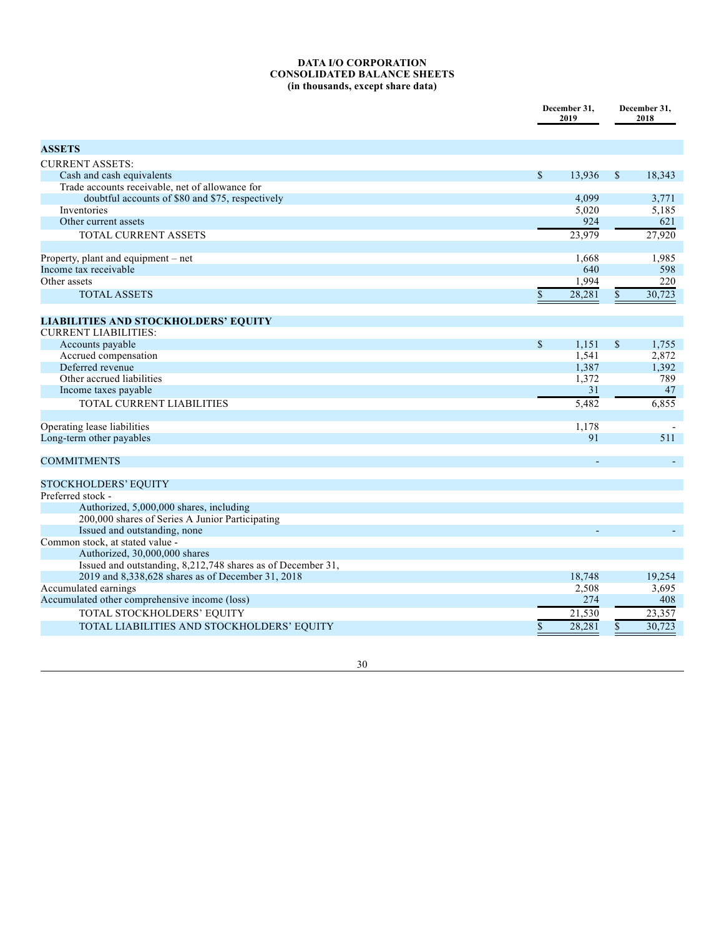#### **DATA I/O CORPORATION CONSOLIDATED BALANCE SHEETS (in thousands, except share data)**

|                                                                                                                  | December 31,<br>2019      |        |              | December 31,<br>2018 |
|------------------------------------------------------------------------------------------------------------------|---------------------------|--------|--------------|----------------------|
| <b>ASSETS</b>                                                                                                    |                           |        |              |                      |
| <b>CURRENT ASSETS:</b>                                                                                           |                           |        |              |                      |
| Cash and cash equivalents                                                                                        | $\mathbf{s}$              | 13,936 | $\mathbf S$  | 18,343               |
| Trade accounts receivable, net of allowance for                                                                  |                           |        |              |                      |
| doubtful accounts of \$80 and \$75, respectively                                                                 |                           | 4.099  |              | 3.771                |
| Inventories                                                                                                      |                           | 5,020  |              | 5,185                |
| Other current assets                                                                                             |                           | 924    |              | 621                  |
| TOTAL CURRENT ASSETS                                                                                             |                           | 23,979 |              | 27,920               |
| Property, plant and equipment – net                                                                              |                           | 1,668  |              | 1,985                |
| Income tax receivable                                                                                            |                           | 640    |              | 598                  |
| Other assets                                                                                                     |                           | 1,994  |              | 220                  |
| <b>TOTAL ASSETS</b>                                                                                              | S                         | 28,281 | $\mathbb{S}$ | 30,723               |
| <b>LIABILITIES AND STOCKHOLDERS' EQUITY</b>                                                                      |                           |        |              |                      |
| <b>CURRENT LIABILITIES:</b>                                                                                      |                           |        |              |                      |
| Accounts payable                                                                                                 | $\boldsymbol{\mathsf{S}}$ | 1,151  | $\mathbf S$  | 1,755                |
| Accrued compensation                                                                                             |                           | 1.541  |              | 2,872                |
| Deferred revenue                                                                                                 |                           | 1,387  |              | 1,392                |
| Other accrued liabilities                                                                                        |                           | 1,372  |              | 789                  |
| Income taxes payable                                                                                             |                           | 31     |              | 47                   |
| <b>TOTAL CURRENT LIABILITIES</b>                                                                                 |                           | 5,482  |              | 6,855                |
| Operating lease liabilities                                                                                      |                           | 1,178  |              |                      |
| Long-term other payables                                                                                         |                           | 91     |              | 511                  |
| <b>COMMITMENTS</b>                                                                                               |                           |        |              |                      |
|                                                                                                                  |                           |        |              |                      |
| STOCKHOLDERS' EQUITY                                                                                             |                           |        |              |                      |
| Preferred stock -                                                                                                |                           |        |              |                      |
| Authorized, 5,000,000 shares, including                                                                          |                           |        |              |                      |
| 200,000 shares of Series A Junior Participating                                                                  |                           |        |              |                      |
| Issued and outstanding, none                                                                                     |                           |        |              |                      |
| Common stock, at stated value -                                                                                  |                           |        |              |                      |
| Authorized, 30,000,000 shares                                                                                    |                           |        |              |                      |
| Issued and outstanding, 8,212,748 shares as of December 31,<br>2019 and 8,338,628 shares as of December 31, 2018 |                           | 18,748 |              | 19,254               |
| Accumulated earnings                                                                                             |                           | 2,508  |              | 3,695                |
| Accumulated other comprehensive income (loss)                                                                    |                           | 274    |              | 408                  |
| TOTAL STOCKHOLDERS' EQUITY                                                                                       |                           | 21,530 |              | 23,357               |
|                                                                                                                  |                           |        |              |                      |
| TOTAL LIABILITIES AND STOCKHOLDERS' EQUITY                                                                       | \$                        | 28,281 | \$           | 30.723               |

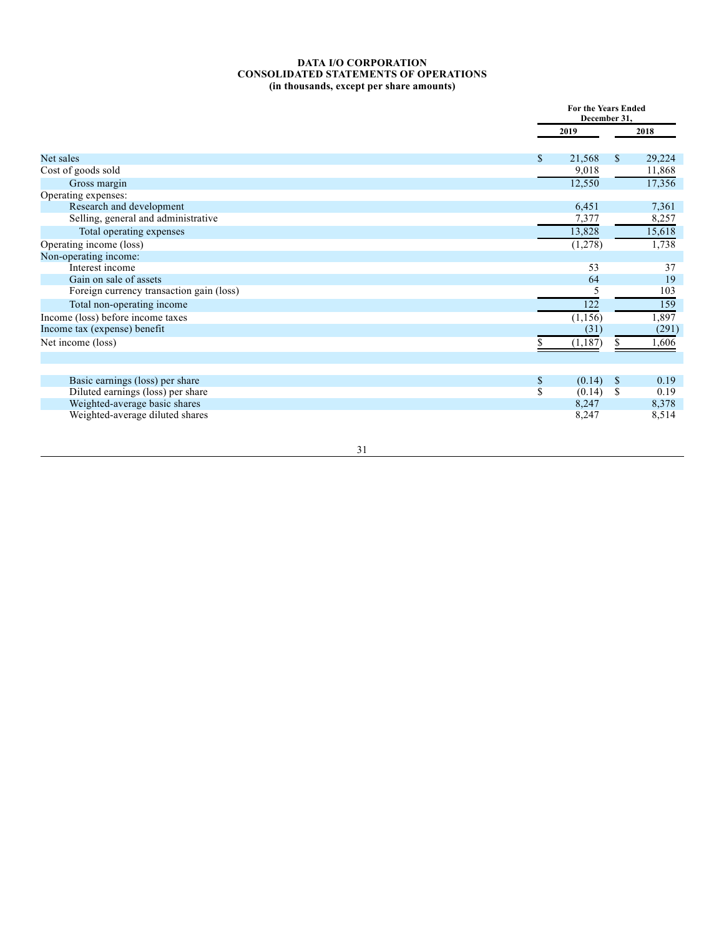#### **DATA I/O CORPORATION CONSOLIDATED STATEMENTS OF OPERATIONS (in thousands, except per share amounts)**

|                                          |                         | <b>For the Years Ended</b><br>December 31, |    |        |  |
|------------------------------------------|-------------------------|--------------------------------------------|----|--------|--|
|                                          |                         | 2019                                       |    | 2018   |  |
| Net sales                                | \$                      | 21,568                                     | \$ | 29,224 |  |
| Cost of goods sold                       |                         | 9,018                                      |    | 11,868 |  |
| Gross margin                             |                         | 12,550                                     |    | 17,356 |  |
| Operating expenses:                      |                         |                                            |    |        |  |
| Research and development                 |                         | 6,451                                      |    | 7,361  |  |
| Selling, general and administrative      |                         | 7,377                                      |    | 8,257  |  |
| Total operating expenses                 |                         | 13,828                                     |    | 15,618 |  |
| Operating income (loss)                  |                         | (1,278)                                    |    | 1,738  |  |
| Non-operating income:                    |                         |                                            |    |        |  |
| Interest income                          |                         | 53                                         |    | 37     |  |
| Gain on sale of assets                   |                         | 64                                         |    | 19     |  |
| Foreign currency transaction gain (loss) |                         | 5                                          |    | 103    |  |
| Total non-operating income               |                         | $\overline{122}$                           |    | 159    |  |
| Income (loss) before income taxes        |                         | (1,156)                                    |    | 1,897  |  |
| Income tax (expense) benefit             |                         | (31)                                       |    | (291)  |  |
| Net income (loss)                        |                         | (1,187)                                    |    | 1,606  |  |
|                                          |                         |                                            |    |        |  |
| Basic earnings (loss) per share          | \$                      | (0.14)                                     | \$ | 0.19   |  |
| Diluted earnings (loss) per share        | $\overline{\mathbb{S}}$ | (0.14)                                     | S  | 0.19   |  |
| Weighted-average basic shares            |                         | 8,247                                      |    | 8,378  |  |
| Weighted-average diluted shares          |                         | 8,247                                      |    | 8,514  |  |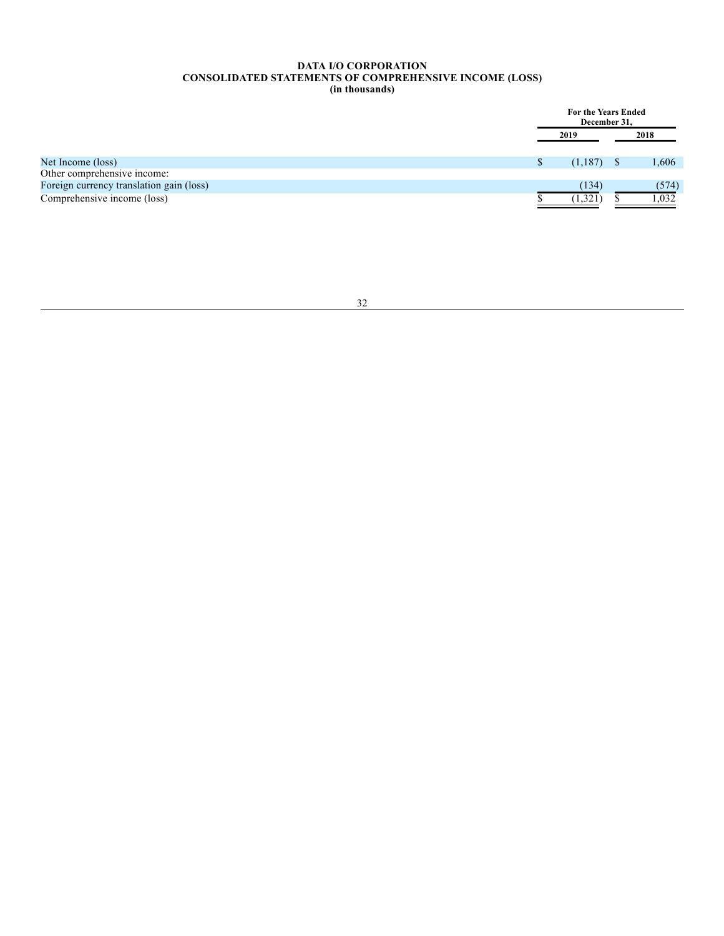#### **DATA I/O CORPORATION CONSOLIDATED STATEMENTS OF COMPREHENSIVE INCOME (LOSS) (in thousands)**

|                                                  | For the Years Ended<br>December 31, |  |       |  |  |  |
|--------------------------------------------------|-------------------------------------|--|-------|--|--|--|
|                                                  | 2019                                |  | 2018  |  |  |  |
| Net Income (loss)<br>Other comprehensive income: | (1,187)                             |  | 1,606 |  |  |  |
| Foreign currency translation gain (loss)         | (134)                               |  | (574) |  |  |  |
| Comprehensive income (loss)                      | 1,321                               |  | 1,032 |  |  |  |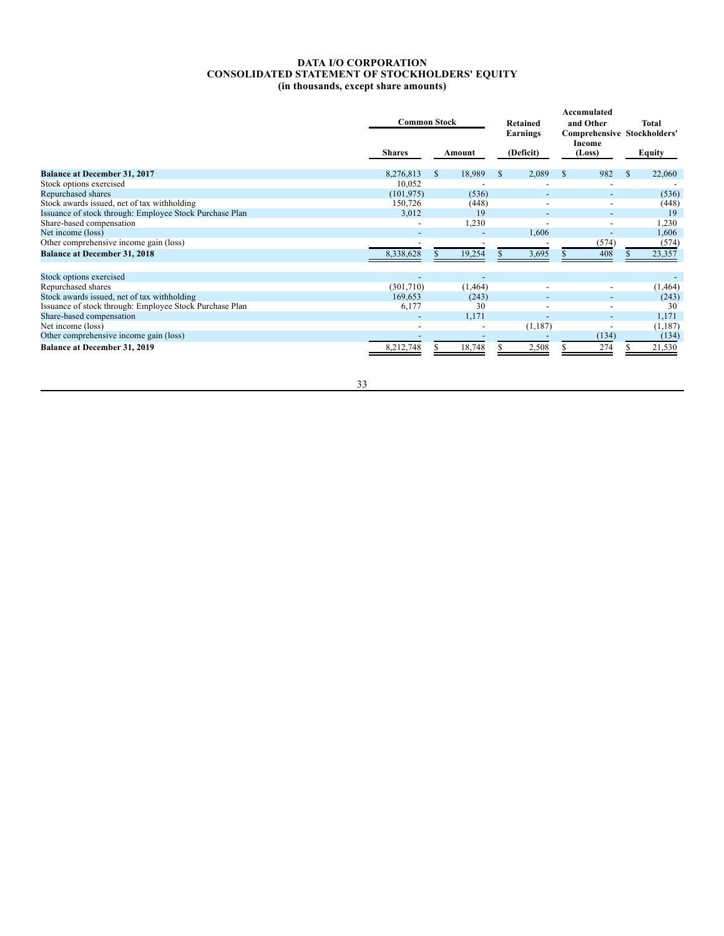#### **DATA I/O CORPORATION CONSOLIDATED STATEMENT OF STOCKHOLDERS' EQUITY (in thousands, except share amounts)**

|                                                         |               |    |         | <b>Common Stock</b> |                          | Retained<br>Earnings |                          |               | Accumulated<br>and Other<br>Income |  | Total<br>Comprehensive Stockholders' |
|---------------------------------------------------------|---------------|----|---------|---------------------|--------------------------|----------------------|--------------------------|---------------|------------------------------------|--|--------------------------------------|
|                                                         | <b>Shares</b> |    | Amount  |                     | (Deficit)                |                      | (Loss)                   |               | Equity                             |  |                                      |
| <b>Balance at December 31, 2017</b>                     | 8,276,813     | \$ | 18,989  | -S                  | 2,089                    | S.                   | 982                      | <sup>\$</sup> | 22,060                             |  |                                      |
| Stock options exercised                                 | 10,052        |    |         |                     |                          |                      |                          |               |                                    |  |                                      |
| Repurchased shares                                      | (101, 975)    |    | (536)   |                     |                          |                      |                          |               | (536)                              |  |                                      |
| Stock awards issued, net of tax withholding             | 150,726       |    | (448)   |                     |                          |                      | $\overline{\phantom{a}}$ |               | (448)                              |  |                                      |
| Issuance of stock through: Employee Stock Purchase Plan | 3,012         |    | 19      |                     |                          |                      |                          |               | 19                                 |  |                                      |
| Share-based compensation                                |               |    | 1,230   |                     | $\overline{a}$           |                      | $\overline{\phantom{0}}$ |               | 1,230                              |  |                                      |
| Net income (loss)                                       |               |    |         |                     | 1,606                    |                      | $\overline{\phantom{a}}$ |               | 1,606                              |  |                                      |
| Other comprehensive income gain (loss)                  |               |    |         |                     |                          |                      | (574)                    |               | (574)                              |  |                                      |
| <b>Balance at December 31, 2018</b>                     | 8,338,628     |    | 19,254  |                     | 3,695                    |                      | 408                      |               | 23,357                             |  |                                      |
| Stock options exercised                                 |               |    |         |                     |                          |                      |                          |               |                                    |  |                                      |
| Repurchased shares                                      | (301,710)     |    | (1,464) |                     |                          |                      |                          |               | (1, 464)                           |  |                                      |
| Stock awards issued, net of tax withholding             | 169,653       |    | (243)   |                     | $\overline{\phantom{a}}$ |                      |                          |               | (243)                              |  |                                      |
| Issuance of stock through: Employee Stock Purchase Plan | 6,177         |    | 30      |                     |                          |                      |                          |               | 30                                 |  |                                      |
| Share-based compensation                                |               |    | 1,171   |                     |                          |                      | $\overline{\phantom{a}}$ |               | 1,171                              |  |                                      |
| Net income (loss)                                       |               |    |         |                     | (1, 187)                 |                      |                          |               | (1, 187)                           |  |                                      |
| Other comprehensive income gain (loss)                  |               |    |         |                     |                          |                      | (134)                    |               | (134)                              |  |                                      |
| <b>Balance at December 31, 2019</b>                     | 8,212,748     |    | 18,748  |                     | 2,508                    |                      | 274                      |               | 21,530                             |  |                                      |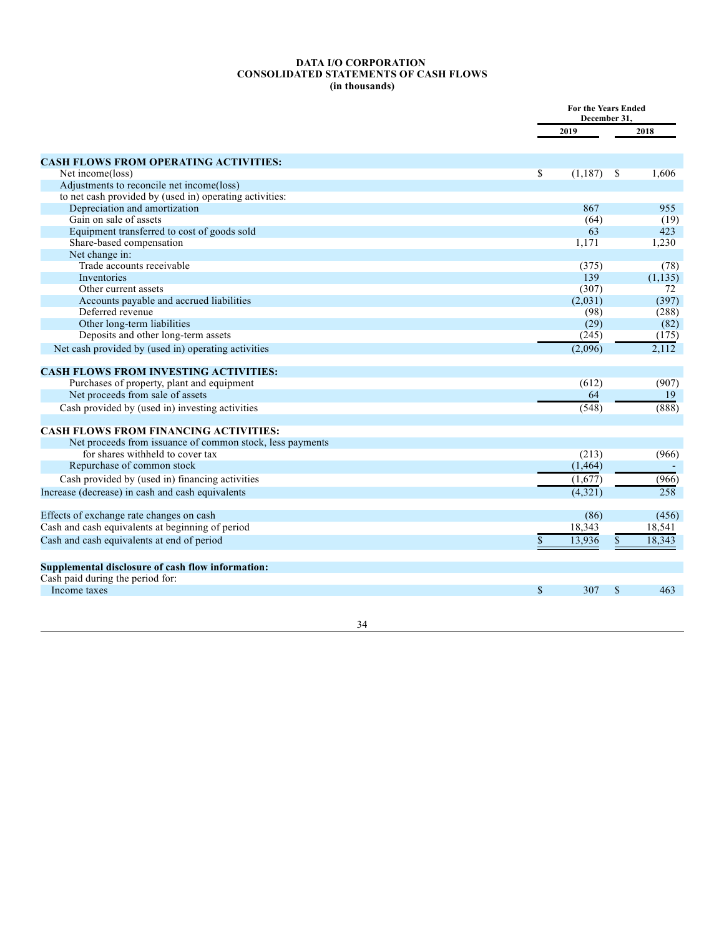#### **DATA I/O CORPORATION CONSOLIDATED STATEMENTS OF CASH FLOWS (in thousands)**

|                                                           |                    | For the Years Ended<br>December 31, |
|-----------------------------------------------------------|--------------------|-------------------------------------|
|                                                           | 2019               | 2018                                |
| <b>CASH FLOWS FROM OPERATING ACTIVITIES:</b>              |                    |                                     |
| Net income(loss)                                          | \$<br>(1,187)      | <sup>\$</sup><br>1,606              |
| Adjustments to reconcile net income(loss)                 |                    |                                     |
| to net cash provided by (used in) operating activities:   |                    |                                     |
| Depreciation and amortization                             | 867                | 955                                 |
| Gain on sale of assets                                    | (64)               | (19)                                |
| Equipment transferred to cost of goods sold               | 63                 | 423                                 |
| Share-based compensation                                  | 1,171              | 1,230                               |
| Net change in:                                            |                    |                                     |
| Trade accounts receivable                                 | (375)              | (78)                                |
| Inventories                                               | 139                | (1, 135)                            |
| Other current assets                                      | (307)              | 72                                  |
| Accounts payable and accrued liabilities                  | (2,031)            | (397)                               |
| Deferred revenue                                          | (98)               | (288)                               |
| Other long-term liabilities                               | (29)               | (82)                                |
| Deposits and other long-term assets                       | (245)              | (175)                               |
| Net cash provided by (used in) operating activities       | (2,096)            | 2,112                               |
| <b>CASH FLOWS FROM INVESTING ACTIVITIES:</b>              |                    |                                     |
| Purchases of property, plant and equipment                | (612)              | (907)                               |
| Net proceeds from sale of assets                          | 64                 | 19                                  |
| Cash provided by (used in) investing activities           | (548)              | (888)                               |
| <b>CASH FLOWS FROM FINANCING ACTIVITIES:</b>              |                    |                                     |
| Net proceeds from issuance of common stock, less payments |                    |                                     |
| for shares withheld to cover tax                          | (213)              | (966)                               |
| Repurchase of common stock                                | (1, 464)           |                                     |
| Cash provided by (used in) financing activities           | (1,677)            | (966)                               |
| Increase (decrease) in cash and cash equivalents          | (4,321)            | 258                                 |
| Effects of exchange rate changes on cash                  | (86)               | (456)                               |
| Cash and cash equivalents at beginning of period          | 18.343             | 18.541                              |
| Cash and cash equivalents at end of period                | 13,936<br>S        | 18,343<br>\$                        |
| Supplemental disclosure of cash flow information:         |                    |                                     |
| Cash paid during the period for:                          |                    |                                     |
| Income taxes                                              | $\mathbf S$<br>307 | 463<br>\$                           |
|                                                           |                    |                                     |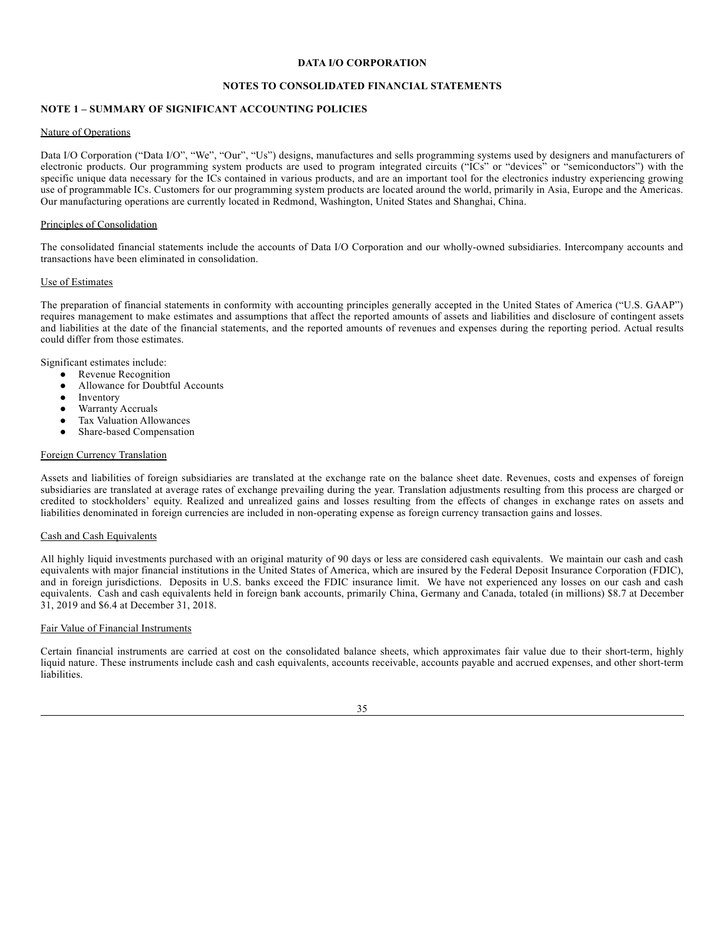## **DATA I/O CORPORATION**

## **NOTES TO CONSOLIDATED FINANCIAL STATEMENTS**

## **NOTE 1 – SUMMARY OF SIGNIFICANT ACCOUNTING POLICIES**

#### Nature of Operations

Data I/O Corporation ("Data I/O", "We", "Our", "Us") designs, manufactures and sells programming systems used by designers and manufacturers of electronic products. Our programming system products are used to program integrated circuits ("ICs" or "devices" or "semiconductors") with the specific unique data necessary for the ICs contained in various products, and are an important tool for the electronics industry experiencing growing use of programmable ICs. Customers for our programming system products are located around the world, primarily in Asia, Europe and the Americas. Our manufacturing operations are currently located in Redmond, Washington, United States and Shanghai, China.

#### Principles of Consolidation

The consolidated financial statements include the accounts of Data I/O Corporation and our wholly-owned subsidiaries. Intercompany accounts and transactions have been eliminated in consolidation.

#### Use of Estimates

The preparation of financial statements in conformity with accounting principles generally accepted in the United States of America ("U.S. GAAP") requires management to make estimates and assumptions that affect the reported amounts of assets and liabilities and disclosure of contingent assets and liabilities at the date of the financial statements, and the reported amounts of revenues and expenses during the reporting period. Actual results could differ from those estimates.

Significant estimates include:

- **Revenue Recognition**
- Allowance for Doubtful Accounts
- Inventory
- Warranty Accruals
- Tax Valuation Allowances
- Share-based Compensation

#### Foreign Currency Translation

Assets and liabilities of foreign subsidiaries are translated at the exchange rate on the balance sheet date. Revenues, costs and expenses of foreign subsidiaries are translated at average rates of exchange prevailing during the year. Translation adjustments resulting from this process are charged or credited to stockholders' equity. Realized and unrealized gains and losses resulting from the effects of changes in exchange rates on assets and liabilities denominated in foreign currencies are included in non-operating expense as foreign currency transaction gains and losses.

#### Cash and Cash Equivalents

All highly liquid investments purchased with an original maturity of 90 days or less are considered cash equivalents. We maintain our cash and cash equivalents with major financial institutions in the United States of America, which are insured by the Federal Deposit Insurance Corporation (FDIC), and in foreign jurisdictions. Deposits in U.S. banks exceed the FDIC insurance limit. We have not experienced any losses on our cash and cash equivalents. Cash and cash equivalents held in foreign bank accounts, primarily China, Germany and Canada, totaled (in millions) \$8.7 at December 31, 2019 and \$6.4 at December 31, 2018.

#### Fair Value of Financial Instruments

Certain financial instruments are carried at cost on the consolidated balance sheets, which approximates fair value due to their short-term, highly liquid nature. These instruments include cash and cash equivalents, accounts receivable, accounts payable and accrued expenses, and other short-term liabilities.

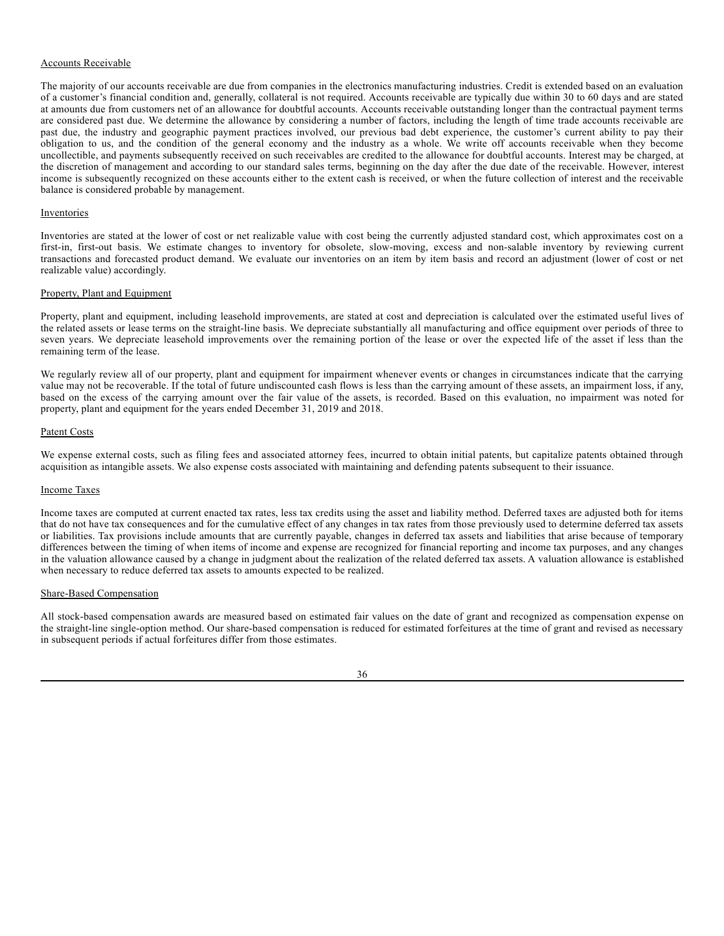## Accounts Receivable

The majority of our accounts receivable are due from companies in the electronics manufacturing industries. Credit is extended based on an evaluation of a customer's financial condition and, generally, collateral is not required. Accounts receivable are typically due within 30 to 60 days and are stated at amounts due from customers net of an allowance for doubtful accounts. Accounts receivable outstanding longer than the contractual payment terms are considered past due. We determine the allowance by considering a number of factors, including the length of time trade accounts receivable are past due, the industry and geographic payment practices involved, our previous bad debt experience, the customer's current ability to pay their obligation to us, and the condition of the general economy and the industry as a whole. We write off accounts receivable when they become uncollectible, and payments subsequently received on such receivables are credited to the allowance for doubtful accounts. Interest may be charged, at the discretion of management and according to our standard sales terms, beginning on the day after the due date of the receivable. However, interest income is subsequently recognized on these accounts either to the extent cash is received, or when the future collection of interest and the receivable balance is considered probable by management.

#### Inventories

Inventories are stated at the lower of cost or net realizable value with cost being the currently adjusted standard cost, which approximates cost on a first-in, first-out basis. We estimate changes to inventory for obsolete, slow-moving, excess and non-salable inventory by reviewing current transactions and forecasted product demand. We evaluate our inventories on an item by item basis and record an adjustment (lower of cost or net realizable value) accordingly.

#### Property, Plant and Equipment

Property, plant and equipment, including leasehold improvements, are stated at cost and depreciation is calculated over the estimated useful lives of the related assets or lease terms on the straight-line basis. We depreciate substantially all manufacturing and office equipment over periods of three to seven years. We depreciate leasehold improvements over the remaining portion of the lease or over the expected life of the asset if less than the remaining term of the lease.

We regularly review all of our property, plant and equipment for impairment whenever events or changes in circumstances indicate that the carrying value may not be recoverable. If the total of future undiscounted cash flows is less than the carrying amount of these assets, an impairment loss, if any, based on the excess of the carrying amount over the fair value of the assets, is recorded. Based on this evaluation, no impairment was noted for property, plant and equipment for the years ended December 31, 2019 and 2018.

#### Patent Costs

We expense external costs, such as filing fees and associated attorney fees, incurred to obtain initial patents, but capitalize patents obtained through acquisition as intangible assets. We also expense costs associated with maintaining and defending patents subsequent to their issuance.

#### Income Taxes

Income taxes are computed at current enacted tax rates, less tax credits using the asset and liability method. Deferred taxes are adjusted both for items that do not have tax consequences and for the cumulative effect of any changes in tax rates from those previously used to determine deferred tax assets or liabilities. Tax provisions include amounts that are currently payable, changes in deferred tax assets and liabilities that arise because of temporary differences between the timing of when items of income and expense are recognized for financial reporting and income tax purposes, and any changes in the valuation allowance caused by a change in judgment about the realization of the related deferred tax assets. A valuation allowance is established when necessary to reduce deferred tax assets to amounts expected to be realized.

#### Share-Based Compensation

All stock-based compensation awards are measured based on estimated fair values on the date of grant and recognized as compensation expense on the straight-line single-option method. Our share-based compensation is reduced for estimated forfeitures at the time of grant and revised as necessary in subsequent periods if actual forfeitures differ from those estimates.

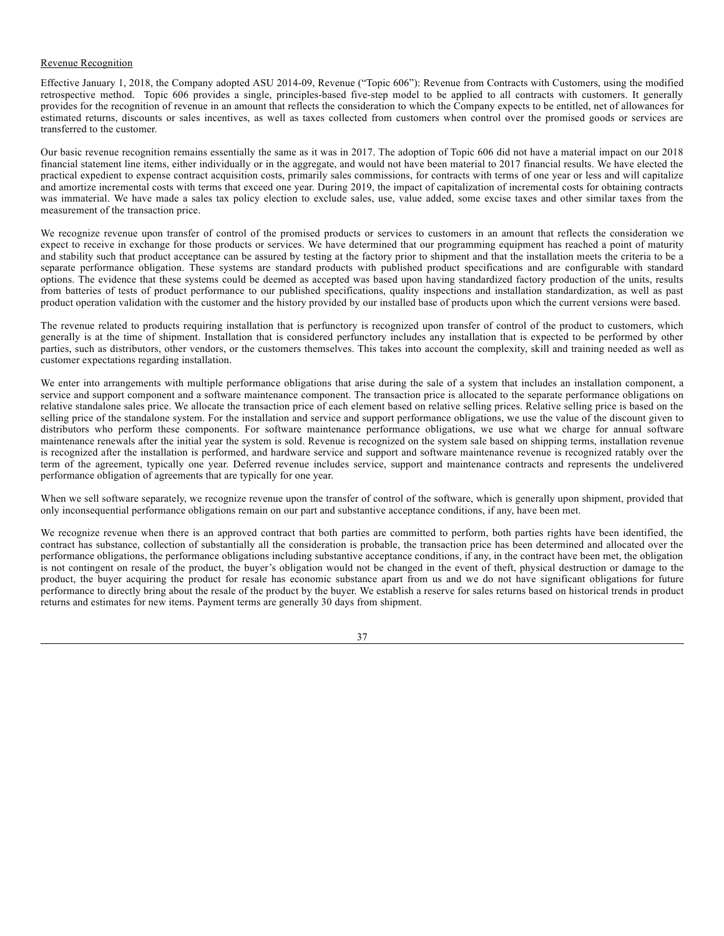## Revenue Recognition

Effective January 1, 2018, the Company adopted ASU 2014-09, Revenue ("Topic 606"): Revenue from Contracts with Customers, using the modified retrospective method. Topic 606 provides a single, principles-based five-step model to be applied to all contracts with customers. It generally provides for the recognition of revenue in an amount that reflects the consideration to which the Company expects to be entitled, net of allowances for estimated returns, discounts or sales incentives, as well as taxes collected from customers when control over the promised goods or services are transferred to the customer.

Our basic revenue recognition remains essentially the same as it was in 2017. The adoption of Topic 606 did not have a material impact on our 2018 financial statement line items, either individually or in the aggregate, and would not have been material to 2017 financial results. We have elected the practical expedient to expense contract acquisition costs, primarily sales commissions, for contracts with terms of one year or less and will capitalize and amortize incremental costs with terms that exceed one year. During 2019, the impact of capitalization of incremental costs for obtaining contracts was immaterial. We have made a sales tax policy election to exclude sales, use, value added, some excise taxes and other similar taxes from the measurement of the transaction price.

We recognize revenue upon transfer of control of the promised products or services to customers in an amount that reflects the consideration we expect to receive in exchange for those products or services. We have determined that our programming equipment has reached a point of maturity and stability such that product acceptance can be assured by testing at the factory prior to shipment and that the installation meets the criteria to be a separate performance obligation. These systems are standard products with published product specifications and are configurable with standard options. The evidence that these systems could be deemed as accepted was based upon having standardized factory production of the units, results from batteries of tests of product performance to our published specifications, quality inspections and installation standardization, as well as past product operation validation with the customer and the history provided by our installed base of products upon which the current versions were based.

The revenue related to products requiring installation that is perfunctory is recognized upon transfer of control of the product to customers, which generally is at the time of shipment. Installation that is considered perfunctory includes any installation that is expected to be performed by other parties, such as distributors, other vendors, or the customers themselves. This takes into account the complexity, skill and training needed as well as customer expectations regarding installation.

We enter into arrangements with multiple performance obligations that arise during the sale of a system that includes an installation component, a service and support component and a software maintenance component. The transaction price is allocated to the separate performance obligations on relative standalone sales price. We allocate the transaction price of each element based on relative selling prices. Relative selling price is based on the selling price of the standalone system. For the installation and service and support performance obligations, we use the value of the discount given to distributors who perform these components. For software maintenance performance obligations, we use what we charge for annual software maintenance renewals after the initial year the system is sold. Revenue is recognized on the system sale based on shipping terms, installation revenue is recognized after the installation is performed, and hardware service and support and software maintenance revenue is recognized ratably over the term of the agreement, typically one year. Deferred revenue includes service, support and maintenance contracts and represents the undelivered performance obligation of agreements that are typically for one year.

When we sell software separately, we recognize revenue upon the transfer of control of the software, which is generally upon shipment, provided that only inconsequential performance obligations remain on our part and substantive acceptance conditions, if any, have been met.

We recognize revenue when there is an approved contract that both parties are committed to perform, both parties rights have been identified, the contract has substance, collection of substantially all the consideration is probable, the transaction price has been determined and allocated over the performance obligations, the performance obligations including substantive acceptance conditions, if any, in the contract have been met, the obligation is not contingent on resale of the product, the buyer's obligation would not be changed in the event of theft, physical destruction or damage to the product, the buyer acquiring the product for resale has economic substance apart from us and we do not have significant obligations for future performance to directly bring about the resale of the product by the buyer. We establish a reserve for sales returns based on historical trends in product returns and estimates for new items. Payment terms are generally 30 days from shipment.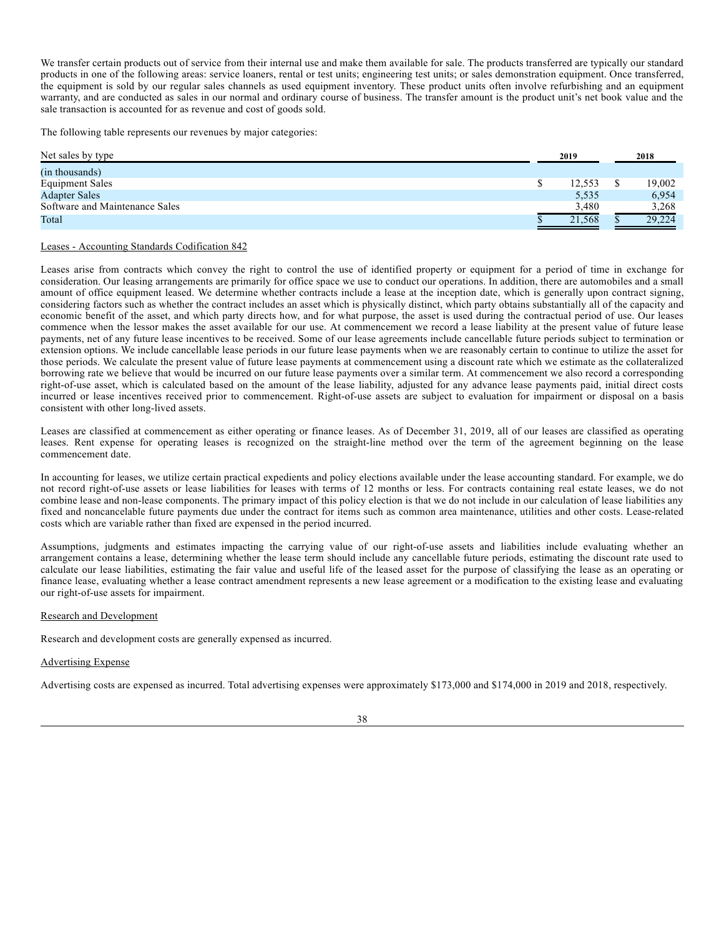We transfer certain products out of service from their internal use and make them available for sale. The products transferred are typically our standard products in one of the following areas: service loaners, rental or test units; engineering test units; or sales demonstration equipment. Once transferred, the equipment is sold by our regular sales channels as used equipment inventory. These product units often involve refurbishing and an equipment warranty, and are conducted as sales in our normal and ordinary course of business. The transfer amount is the product unit's net book value and the sale transaction is accounted for as revenue and cost of goods sold.

The following table represents our revenues by major categories:

| Net sales by type              | 2019 |        | 2018   |
|--------------------------------|------|--------|--------|
| (in thousands)                 |      |        |        |
| <b>Equipment Sales</b>         | P    | 12,553 | 19,002 |
| <b>Adapter Sales</b>           |      | 5,535  | 6,954  |
| Software and Maintenance Sales |      | 3,480  | 3,268  |
| Total                          |      | 21,568 | 29,224 |

#### Leases - Accounting Standards Codification 842

Leases arise from contracts which convey the right to control the use of identified property or equipment for a period of time in exchange for consideration. Our leasing arrangements are primarily for office space we use to conduct our operations. In addition, there are automobiles and a small amount of office equipment leased. We determine whether contracts include a lease at the inception date, which is generally upon contract signing, considering factors such as whether the contract includes an asset which is physically distinct, which party obtains substantially all of the capacity and economic benefit of the asset, and which party directs how, and for what purpose, the asset is used during the contractual period of use. Our leases commence when the lessor makes the asset available for our use. At commencement we record a lease liability at the present value of future lease payments, net of any future lease incentives to be received. Some of our lease agreements include cancellable future periods subject to termination or extension options. We include cancellable lease periods in our future lease payments when we are reasonably certain to continue to utilize the asset for those periods. We calculate the present value of future lease payments at commencement using a discount rate which we estimate as the collateralized borrowing rate we believe that would be incurred on our future lease payments over a similar term. At commencement we also record a corresponding right-of-use asset, which is calculated based on the amount of the lease liability, adjusted for any advance lease payments paid, initial direct costs incurred or lease incentives received prior to commencement. Right-of-use assets are subject to evaluation for impairment or disposal on a basis consistent with other long-lived assets.

Leases are classified at commencement as either operating or finance leases. As of December 31, 2019, all of our leases are classified as operating leases. Rent expense for operating leases is recognized on the straight-line method over the term of the agreement beginning on the lease commencement date.

In accounting for leases, we utilize certain practical expedients and policy elections available under the lease accounting standard. For example, we do not record right-of-use assets or lease liabilities for leases with terms of 12 months or less. For contracts containing real estate leases, we do not combine lease and non-lease components. The primary impact of this policy election is that we do not include in our calculation of lease liabilities any fixed and noncancelable future payments due under the contract for items such as common area maintenance, utilities and other costs. Lease-related costs which are variable rather than fixed are expensed in the period incurred.

Assumptions, judgments and estimates impacting the carrying value of our right-of-use assets and liabilities include evaluating whether an arrangement contains a lease, determining whether the lease term should include any cancellable future periods, estimating the discount rate used to calculate our lease liabilities, estimating the fair value and useful life of the leased asset for the purpose of classifying the lease as an operating or finance lease, evaluating whether a lease contract amendment represents a new lease agreement or a modification to the existing lease and evaluating our right-of-use assets for impairment.

## Research and Development

Research and development costs are generally expensed as incurred.

## Advertising Expense

Advertising costs are expensed as incurred. Total advertising expenses were approximately \$173,000 and \$174,000 in 2019 and 2018, respectively.

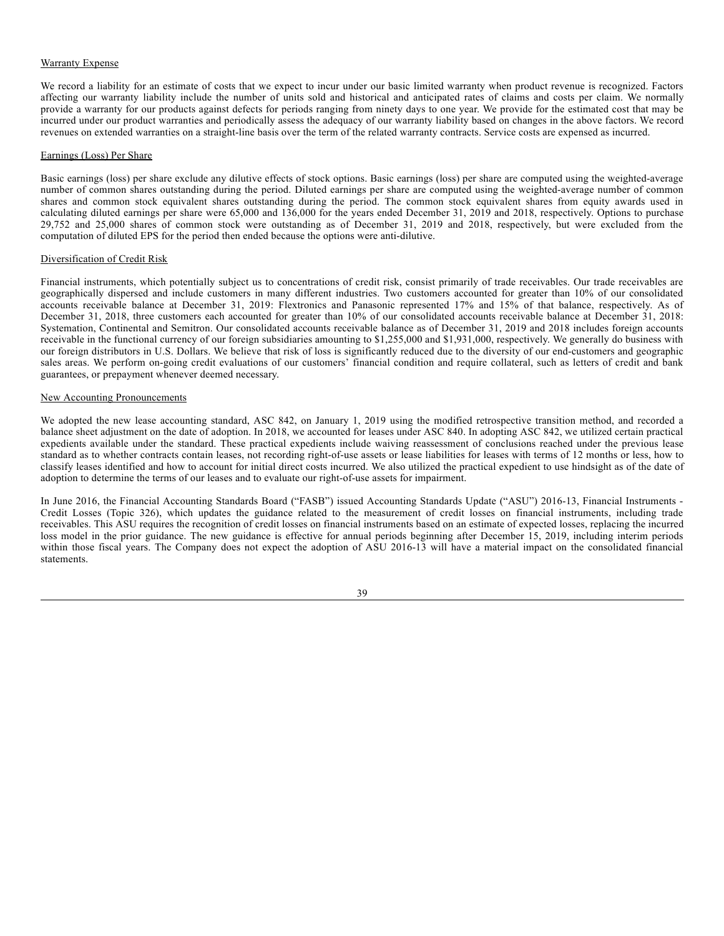## Warranty Expense

We record a liability for an estimate of costs that we expect to incur under our basic limited warranty when product revenue is recognized. Factors affecting our warranty liability include the number of units sold and historical and anticipated rates of claims and costs per claim. We normally provide a warranty for our products against defects for periods ranging from ninety days to one year. We provide for the estimated cost that may be incurred under our product warranties and periodically assess the adequacy of our warranty liability based on changes in the above factors. We record revenues on extended warranties on a straight-line basis over the term of the related warranty contracts. Service costs are expensed as incurred.

#### Earnings (Loss) Per Share

Basic earnings (loss) per share exclude any dilutive effects of stock options. Basic earnings (loss) per share are computed using the weighted-average number of common shares outstanding during the period. Diluted earnings per share are computed using the weighted-average number of common shares and common stock equivalent shares outstanding during the period. The common stock equivalent shares from equity awards used in calculating diluted earnings per share were 65,000 and 136,000 for the years ended December 31, 2019 and 2018, respectively. Options to purchase 29,752 and 25,000 shares of common stock were outstanding as of December 31, 2019 and 2018, respectively, but were excluded from the computation of diluted EPS for the period then ended because the options were anti-dilutive.

#### Diversification of Credit Risk

Financial instruments, which potentially subject us to concentrations of credit risk, consist primarily of trade receivables. Our trade receivables are geographically dispersed and include customers in many different industries. Two customers accounted for greater than 10% of our consolidated accounts receivable balance at December 31, 2019: Flextronics and Panasonic represented 17% and 15% of that balance, respectively. As of December 31, 2018, three customers each accounted for greater than 10% of our consolidated accounts receivable balance at December 31, 2018: Systemation, Continental and Semitron. Our consolidated accounts receivable balance as of December 31, 2019 and 2018 includes foreign accounts receivable in the functional currency of our foreign subsidiaries amounting to \$1,255,000 and \$1,931,000, respectively. We generally do business with our foreign distributors in U.S. Dollars. We believe that risk of loss is significantly reduced due to the diversity of our end-customers and geographic sales areas. We perform on-going credit evaluations of our customers' financial condition and require collateral, such as letters of credit and bank guarantees, or prepayment whenever deemed necessary.

# New Accounting Pronouncements

We adopted the new lease accounting standard, ASC 842, on January 1, 2019 using the modified retrospective transition method, and recorded a balance sheet adjustment on the date of adoption. In 2018, we accounted for leases under ASC 840. In adopting ASC 842, we utilized certain practical expedients available under the standard. These practical expedients include waiving reassessment of conclusions reached under the previous lease standard as to whether contracts contain leases, not recording right-of-use assets or lease liabilities for leases with terms of 12 months or less, how to classify leases identified and how to account for initial direct costs incurred. We also utilized the practical expedient to use hindsight as of the date of adoption to determine the terms of our leases and to evaluate our right-of-use assets for impairment.

In June 2016, the Financial Accounting Standards Board ("FASB") issued Accounting Standards Update ("ASU") 2016-13, Financial Instruments - Credit Losses (Topic 326), which updates the guidance related to the measurement of credit losses on financial instruments, including trade receivables. This ASU requires the recognition of credit losses on financial instruments based on an estimate of expected losses, replacing the incurred loss model in the prior guidance. The new guidance is effective for annual periods beginning after December 15, 2019, including interim periods within those fiscal years. The Company does not expect the adoption of ASU 2016-13 will have a material impact on the consolidated financial statements.

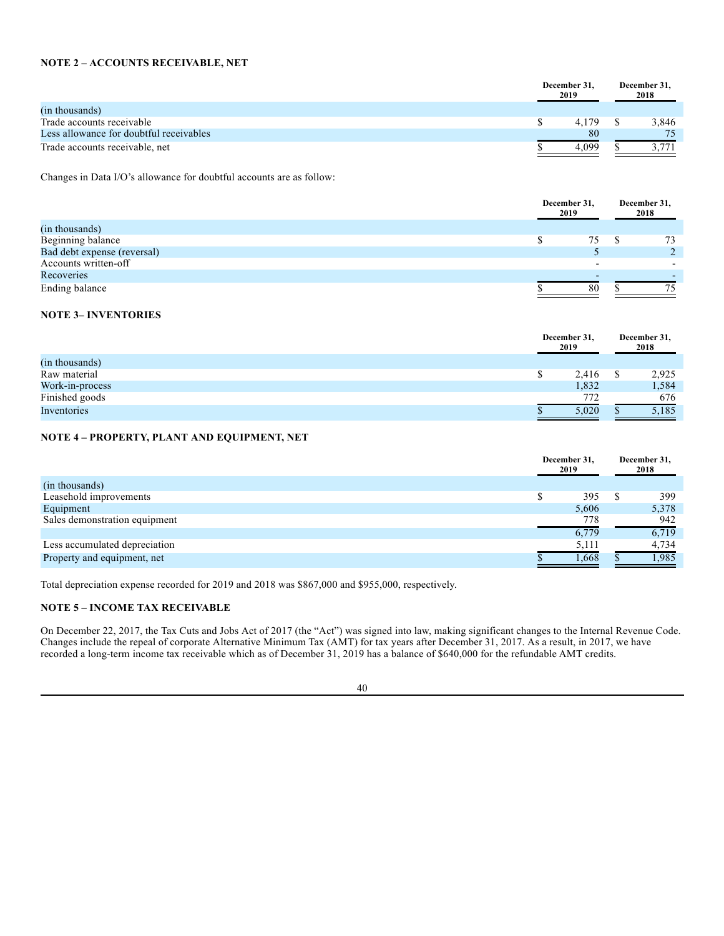# **NOTE 2 – ACCOUNTS RECEIVABLE, NET**

|                                         | December 31.<br>2019 |         | December 31,<br>2018 |
|-----------------------------------------|----------------------|---------|----------------------|
| (in thousands)                          |                      |         |                      |
| Trade accounts receivable               |                      | 4 1 7 9 | 3,846                |
| Less allowance for doubtful receivables |                      | 80      |                      |
| Trade accounts receivable, net          |                      | 4.099   |                      |

Changes in Data I/O's allowance for doubtful accounts are as follow:

|                             | December 31,<br>2019 |    | December 31,<br>2018 |
|-----------------------------|----------------------|----|----------------------|
| (in thousands)              |                      |    |                      |
| Beginning balance           |                      | 75 | 73                   |
| Bad debt expense (reversal) |                      |    |                      |
| Accounts written-off        |                      |    |                      |
| Recoveries                  |                      |    |                      |
| Ending balance              |                      | 80 |                      |

## **NOTE 3– INVENTORIES**

|                 | December 31,<br>2019 | December 31,<br>2018 |
|-----------------|----------------------|----------------------|
| (in thousands)  |                      |                      |
| Raw material    | 2.416                | 2,925                |
| Work-in-process | 1,832                | 1,584                |
| Finished goods  | 772                  | 676                  |
| Inventories     | 5,020                | 5,185                |

# **NOTE 4 – PROPERTY, PLANT AND EQUIPMENT, NET**

|                               | December 31.<br>2019 | December 31,<br>2018 |
|-------------------------------|----------------------|----------------------|
| (in thousands)                |                      |                      |
| Leasehold improvements        | 395                  | 399                  |
| Equipment                     | 5,606                | 5,378                |
| Sales demonstration equipment | 778                  | 942                  |
|                               | 6.779                | 6,719                |
| Less accumulated depreciation | 5,111                | 4,734                |
| Property and equipment, net   | 1,668                | 1,985                |

Total depreciation expense recorded for 2019 and 2018 was \$867,000 and \$955,000, respectively.

## **NOTE 5 – INCOME TAX RECEIVABLE**

On December 22, 2017, the Tax Cuts and Jobs Act of 2017 (the "Act") was signed into law, making significant changes to the Internal Revenue Code. Changes include the repeal of corporate Alternative Minimum Tax (AMT) for tax years after December 31, 2017. As a result, in 2017, we have recorded a long-term income tax receivable which as of December 31, 2019 has a balance of \$640,000 for the refundable AMT credits.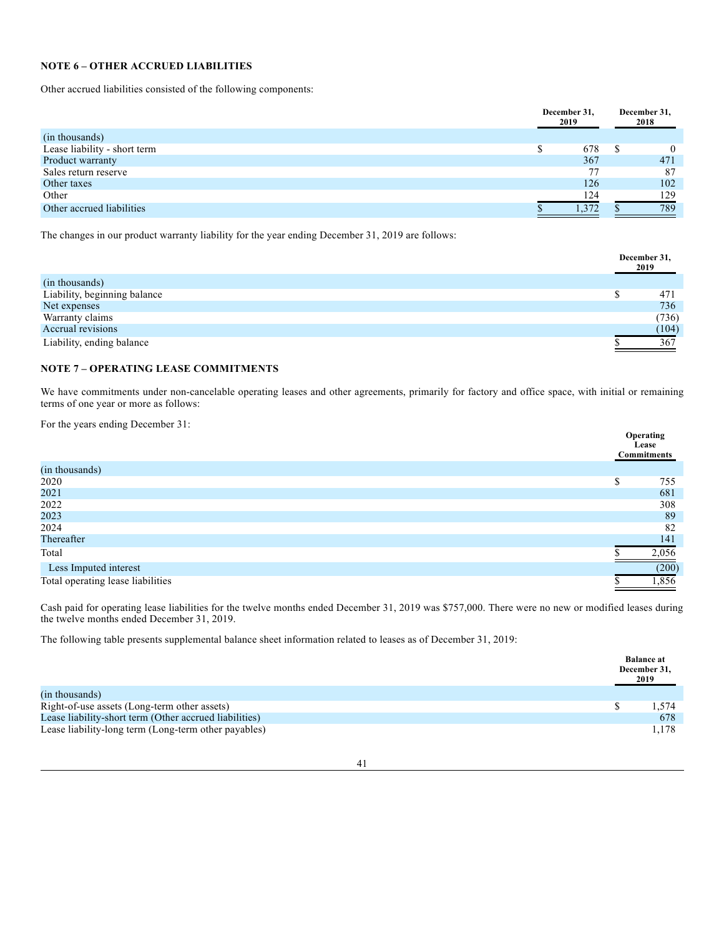# **NOTE 6 – OTHER ACCRUED LIABILITIES**

Other accrued liabilities consisted of the following components:

|                              | December 31,<br>2019 |       | December 31,<br>2018 |
|------------------------------|----------------------|-------|----------------------|
| (in thousands)               |                      |       |                      |
| Lease liability - short term |                      | 678   |                      |
| Product warranty             |                      | 367   | 471                  |
| Sales return reserve         |                      | 77    | 87                   |
| Other taxes                  |                      | 126   | 102                  |
| Other                        |                      | 124   | 129                  |
| Other accrued liabilities    |                      | 1,372 | 789                  |

The changes in our product warranty liability for the year ending December 31, 2019 are follows:

|                              | December 31,<br>2019 |
|------------------------------|----------------------|
| (in thousands)               |                      |
| Liability, beginning balance | 471                  |
| Net expenses                 | 736                  |
| Warranty claims              | (736)                |
| Accrual revisions            | (104)                |
| Liability, ending balance    | 367                  |

# **NOTE 7 – OPERATING LEASE COMMITMENTS**

We have commitments under non-cancelable operating leases and other agreements, primarily for factory and office space, with initial or remaining terms of one year or more as follows:

For the years ending December 31:

|                                   |         | Operating<br>Lease<br>Commitments |
|-----------------------------------|---------|-----------------------------------|
| (in thousands)                    |         |                                   |
| 2020                              | ¢<br>Ъ. | 755                               |
| 2021                              |         | 681                               |
| 2022                              |         | 308                               |
| 2023                              |         | 89                                |
| 2024                              |         | 82                                |
| Thereafter                        |         | 141                               |
| Total                             |         | 2,056                             |
| Less Imputed interest             |         | (200)                             |
| Total operating lease liabilities |         | 1,856                             |

Cash paid for operating lease liabilities for the twelve months ended December 31, 2019 was \$757,000. There were no new or modified leases during the twelve months ended December 31, 2019.

The following table presents supplemental balance sheet information related to leases as of December 31, 2019:

|                                                        | <b>Balance at</b><br>December 31,<br>2019 |
|--------------------------------------------------------|-------------------------------------------|
| (in thousands)                                         |                                           |
| Right-of-use assets (Long-term other assets)           | 1,574                                     |
| Lease liability-short term (Other accrued liabilities) | 678                                       |
| Lease liability-long term (Long-term other payables)   | 1,178                                     |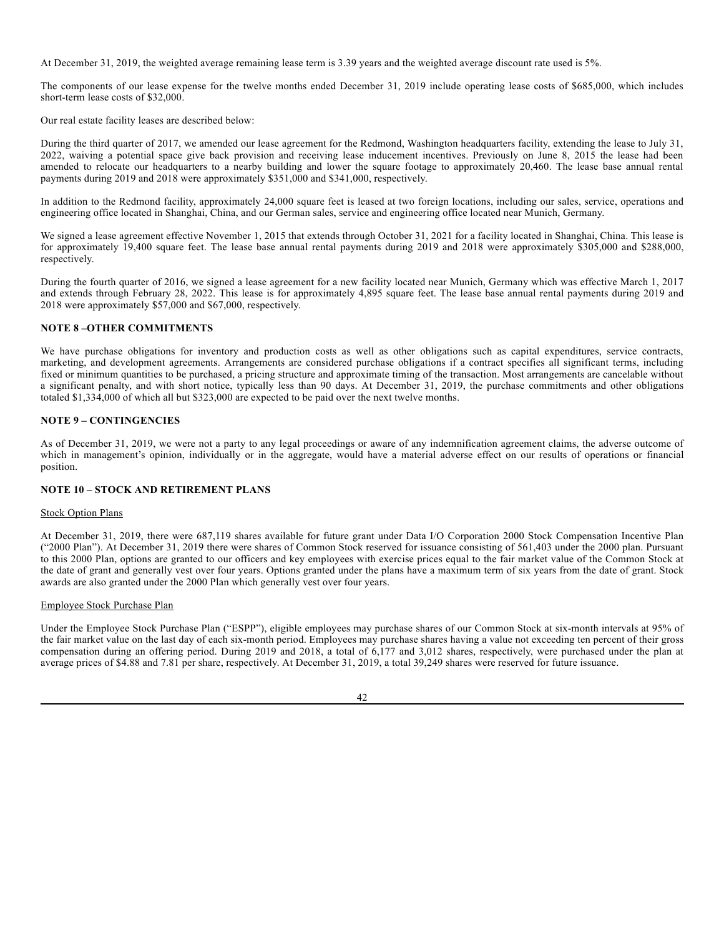At December 31, 2019, the weighted average remaining lease term is 3.39 years and the weighted average discount rate used is 5%.

The components of our lease expense for the twelve months ended December 31, 2019 include operating lease costs of \$685,000, which includes short-term lease costs of \$32,000.

Our real estate facility leases are described below:

During the third quarter of 2017, we amended our lease agreement for the Redmond, Washington headquarters facility, extending the lease to July 31, 2022, waiving a potential space give back provision and receiving lease inducement incentives. Previously on June 8, 2015 the lease had been amended to relocate our headquarters to a nearby building and lower the square footage to approximately 20,460. The lease base annual rental payments during 2019 and 2018 were approximately \$351,000 and \$341,000, respectively.

In addition to the Redmond facility, approximately 24,000 square feet is leased at two foreign locations, including our sales, service, operations and engineering office located in Shanghai, China, and our German sales, service and engineering office located near Munich, Germany.

We signed a lease agreement effective November 1, 2015 that extends through October 31, 2021 for a facility located in Shanghai, China. This lease is for approximately 19,400 square feet. The lease base annual rental payments during 2019 and 2018 were approximately \$305,000 and \$288,000, respectively.

During the fourth quarter of 2016, we signed a lease agreement for a new facility located near Munich, Germany which was effective March 1, 2017 and extends through February 28, 2022. This lease is for approximately 4,895 square feet. The lease base annual rental payments during 2019 and 2018 were approximately \$57,000 and \$67,000, respectively.

## **NOTE 8 –OTHER COMMITMENTS**

We have purchase obligations for inventory and production costs as well as other obligations such as capital expenditures, service contracts, marketing, and development agreements. Arrangements are considered purchase obligations if a contract specifies all significant terms, including fixed or minimum quantities to be purchased, a pricing structure and approximate timing of the transaction. Most arrangements are cancelable without a significant penalty, and with short notice, typically less than 90 days. At December 31, 2019, the purchase commitments and other obligations totaled \$1,334,000 of which all but \$323,000 are expected to be paid over the next twelve months.

## **NOTE 9 – CONTINGENCIES**

As of December 31, 2019, we were not a party to any legal proceedings or aware of any indemnification agreement claims, the adverse outcome of which in management's opinion, individually or in the aggregate, would have a material adverse effect on our results of operations or financial position.

## **NOTE 10 – STOCK AND RETIREMENT PLANS**

## Stock Option Plans

At December 31, 2019, there were 687,119 shares available for future grant under Data I/O Corporation 2000 Stock Compensation Incentive Plan ("2000 Plan"). At December 31, 2019 there were shares of Common Stock reserved for issuance consisting of 561,403 under the 2000 plan. Pursuant to this 2000 Plan, options are granted to our officers and key employees with exercise prices equal to the fair market value of the Common Stock at the date of grant and generally vest over four years. Options granted under the plans have a maximum term of six years from the date of grant. Stock awards are also granted under the 2000 Plan which generally vest over four years.

## Employee Stock Purchase Plan

Under the Employee Stock Purchase Plan ("ESPP"), eligible employees may purchase shares of our Common Stock at six-month intervals at 95% of the fair market value on the last day of each six-month period. Employees may purchase shares having a value not exceeding ten percent of their gross compensation during an offering period. During 2019 and 2018, a total of 6,177 and 3,012 shares, respectively, were purchased under the plan at average prices of \$4.88 and 7.81 per share, respectively. At December 31, 2019, a total 39,249 shares were reserved for future issuance.

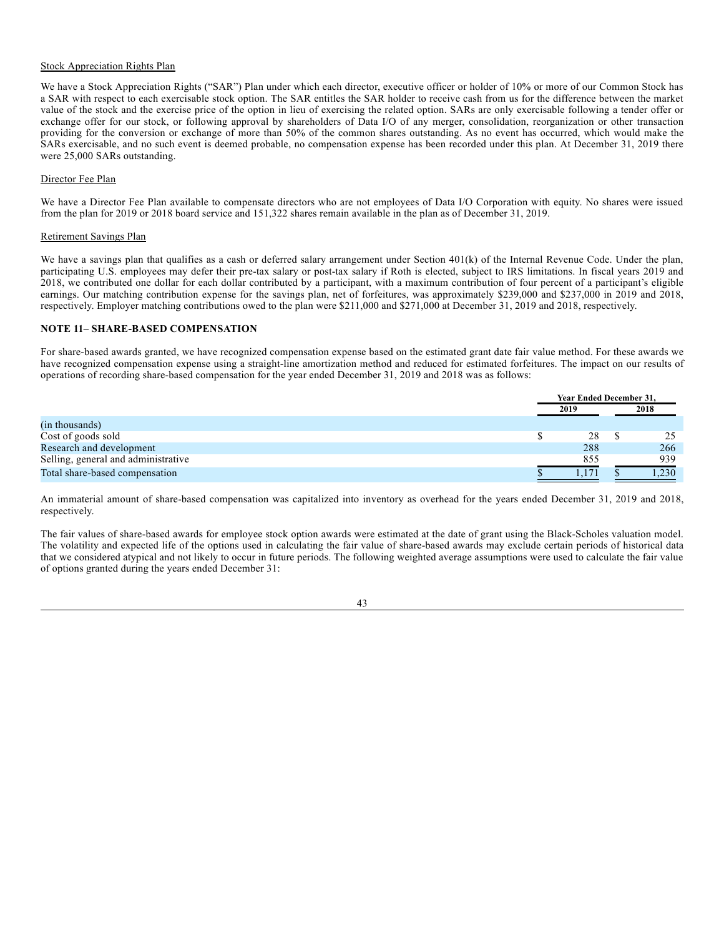## Stock Appreciation Rights Plan

We have a Stock Appreciation Rights ("SAR") Plan under which each director, executive officer or holder of 10% or more of our Common Stock has a SAR with respect to each exercisable stock option. The SAR entitles the SAR holder to receive cash from us for the difference between the market value of the stock and the exercise price of the option in lieu of exercising the related option. SARs are only exercisable following a tender offer or exchange offer for our stock, or following approval by shareholders of Data I/O of any merger, consolidation, reorganization or other transaction providing for the conversion or exchange of more than 50% of the common shares outstanding. As no event has occurred, which would make the SARs exercisable, and no such event is deemed probable, no compensation expense has been recorded under this plan. At December 31, 2019 there were 25,000 SARs outstanding.

#### Director Fee Plan

We have a Director Fee Plan available to compensate directors who are not employees of Data I/O Corporation with equity. No shares were issued from the plan for 2019 or 2018 board service and 151,322 shares remain available in the plan as of December 31, 2019.

#### Retirement Savings Plan

We have a savings plan that qualifies as a cash or deferred salary arrangement under Section 401(k) of the Internal Revenue Code. Under the plan, participating U.S. employees may defer their pre-tax salary or post-tax salary if Roth is elected, subject to IRS limitations. In fiscal years 2019 and 2018, we contributed one dollar for each dollar contributed by a participant, with a maximum contribution of four percent of a participant's eligible earnings. Our matching contribution expense for the savings plan, net of forfeitures, was approximately \$239,000 and \$237,000 in 2019 and 2018, respectively. Employer matching contributions owed to the plan were \$211,000 and \$271,000 at December 31, 2019 and 2018, respectively.

## **NOTE 11– SHARE-BASED COMPENSATION**

For share-based awards granted, we have recognized compensation expense based on the estimated grant date fair value method. For these awards we have recognized compensation expense using a straight-line amortization method and reduced for estimated forfeitures. The impact on our results of operations of recording share-based compensation for the year ended December 31, 2019 and 2018 was as follows:

|                                     | <b>Year Ended December 31.</b> |  |      |  |  |
|-------------------------------------|--------------------------------|--|------|--|--|
|                                     | 2019                           |  | 2018 |  |  |
| (in thousands)                      |                                |  |      |  |  |
| Cost of goods sold                  | 28                             |  | 25   |  |  |
| Research and development            | 288                            |  | 266  |  |  |
| Selling, general and administrative | 855                            |  | 939  |  |  |
| Total share-based compensation      |                                |  | .230 |  |  |

An immaterial amount of share-based compensation was capitalized into inventory as overhead for the years ended December 31, 2019 and 2018, respectively.

The fair values of share-based awards for employee stock option awards were estimated at the date of grant using the Black-Scholes valuation model. The volatility and expected life of the options used in calculating the fair value of share-based awards may exclude certain periods of historical data that we considered atypical and not likely to occur in future periods. The following weighted average assumptions were used to calculate the fair value of options granted during the years ended December 31: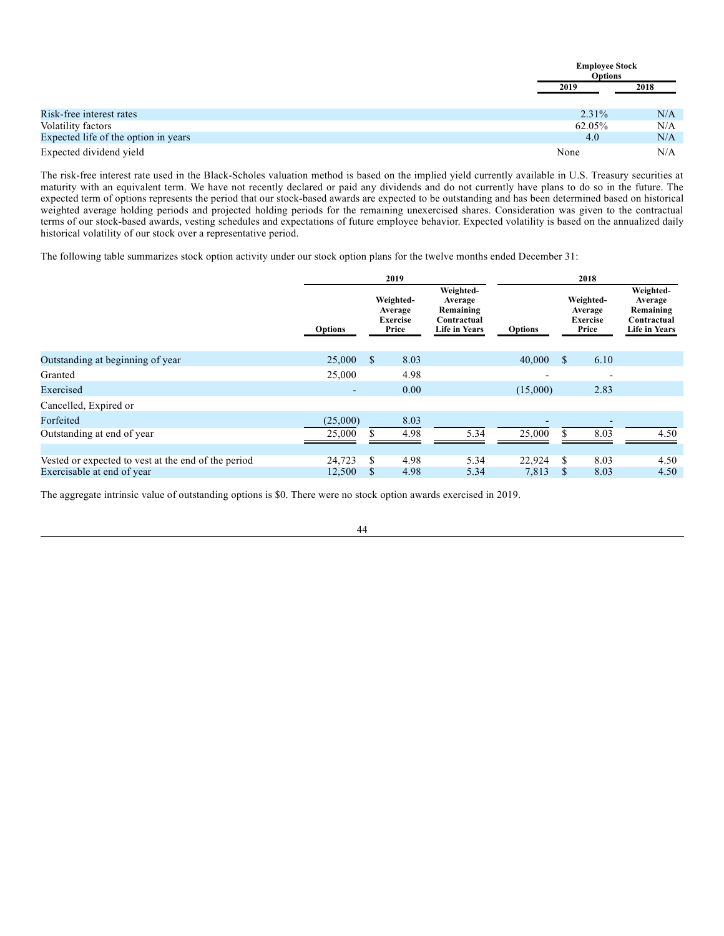|                                      | ешрюуее эшск<br><b>Options</b> |      |  |
|--------------------------------------|--------------------------------|------|--|
|                                      | 2019                           | 2018 |  |
| Risk-free interest rates             | 2.31%                          | N/A  |  |
| Volatility factors                   | 62.05%                         | N/A  |  |
| Expected life of the option in years | 4.0                            | N/A  |  |
| Expected dividend yield              | None                           | N/A  |  |

**Employee Stock**

The risk-free interest rate used in the Black-Scholes valuation method is based on the implied yield currently available in U.S. Treasury securities at maturity with an equivalent term. We have not recently declared or paid any dividends and do not currently have plans to do so in the future. The expected term of options represents the period that our stock-based awards are expected to be outstanding and has been determined based on historical weighted average holding periods and projected holding periods for the remaining unexercised shares. Consideration was given to the contractual terms of our stock-based awards, vesting schedules and expectations of future employee behavior. Expected volatility is based on the annualized daily historical volatility of our stock over a representative period.

The following table summarizes stock option activity under our stock option plans for the twelve months ended December 31:

|                                                     | 2019                     |               |                                                  |                                                                          | 2018           |               |                                                  |                                                                          |
|-----------------------------------------------------|--------------------------|---------------|--------------------------------------------------|--------------------------------------------------------------------------|----------------|---------------|--------------------------------------------------|--------------------------------------------------------------------------|
|                                                     | <b>Options</b>           |               | Weighted-<br>Average<br><b>Exercise</b><br>Price | Weighted-<br>Average<br>Remaining<br>Contractual<br><b>Life in Years</b> | <b>Options</b> |               | Weighted-<br>Average<br><b>Exercise</b><br>Price | Weighted-<br>Average<br>Remaining<br>Contractual<br><b>Life in Years</b> |
| Outstanding at beginning of year                    | 25,000                   | <sup>S</sup>  | 8.03                                             |                                                                          | 40,000         | <sup>\$</sup> | 6.10                                             |                                                                          |
| Granted                                             | 25,000                   |               | 4.98                                             |                                                                          |                |               | $\overline{\phantom{a}}$                         |                                                                          |
| Exercised                                           | $\overline{\phantom{a}}$ |               | 0.00                                             |                                                                          | (15,000)       |               | 2.83                                             |                                                                          |
| Cancelled, Expired or                               |                          |               |                                                  |                                                                          |                |               |                                                  |                                                                          |
| Forfeited                                           | (25,000)                 |               | 8.03                                             |                                                                          |                |               |                                                  |                                                                          |
| Outstanding at end of year                          | 25,000                   |               | 4.98                                             | 5.34                                                                     | 25,000         |               | 8.03                                             | 4.50                                                                     |
|                                                     |                          |               |                                                  |                                                                          |                |               |                                                  |                                                                          |
| Vested or expected to vest at the end of the period | 24,723                   | \$            | 4.98                                             | 5.34                                                                     | 22,924         | \$            | 8.03                                             | 4.50                                                                     |
| Exercisable at end of year                          | 12,500                   | <sup>\$</sup> | 4.98                                             | 5.34                                                                     | 7,813          |               | 8.03                                             | 4.50                                                                     |

The aggregate intrinsic value of outstanding options is \$0. There were no stock option awards exercised in 2019.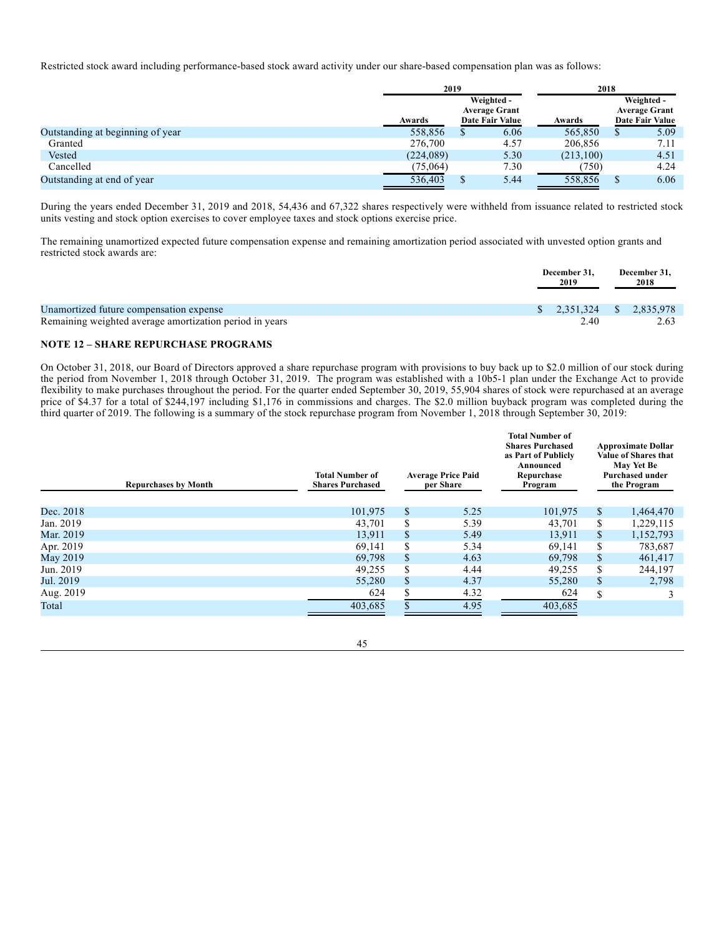Restricted stock award including performance-based stock award activity under our share-based compensation plan was as follows:

|                                  |           | 2019 |                                                       |           |  |                                                       |
|----------------------------------|-----------|------|-------------------------------------------------------|-----------|--|-------------------------------------------------------|
|                                  | Awards    |      | Weighted -<br><b>Average Grant</b><br>Date Fair Value | Awards    |  | Weighted -<br><b>Average Grant</b><br>Date Fair Value |
| Outstanding at beginning of year | 558,856   | Ъ    | 6.06                                                  | 565,850   |  | 5.09                                                  |
| Granted                          | 276.700   |      | 4.57                                                  | 206.856   |  | 7.11                                                  |
| Vested                           | (224,089) |      | 5.30                                                  | (213,100) |  | 4.51                                                  |
| Cancelled                        | (75,064)  |      | 7.30                                                  | (750)     |  | 4.24                                                  |
| Outstanding at end of year       | 536,403   |      | 5.44                                                  | 558,856   |  | 6.06                                                  |

During the years ended December 31, 2019 and 2018, 54,436 and 67,322 shares respectively were withheld from issuance related to restricted stock units vesting and stock option exercises to cover employee taxes and stock options exercise price.

The remaining unamortized expected future compensation expense and remaining amortization period associated with unvested option grants and restricted stock awards are:

|                                                         |     | December 31.<br>2019   | December 31,<br>2018 |
|---------------------------------------------------------|-----|------------------------|----------------------|
| Unamortized future compensation expense                 | -SS | 2.351.324 \$ 2.835.978 |                      |
| Remaining weighted average amortization period in years |     | 2.40                   | 2.63                 |

# **NOTE 12 – SHARE REPURCHASE PROGRAMS**

On October 31, 2018, our Board of Directors approved a share repurchase program with provisions to buy back up to \$2.0 million of our stock during the period from November 1, 2018 through October 31, 2019. The program was established with a 10b5-1 plan under the Exchange Act to provide flexibility to make purchases throughout the period. For the quarter ended September 30, 2019, 55,904 shares of stock were repurchased at an average price of \$4.37 for a total of \$244,197 including \$1,176 in commissions and charges. The \$2.0 million buyback program was completed during the third quarter of 2019. The following is a summary of the stock repurchase program from November 1, 2018 through September 30, 2019:

| <b>Repurchases by Month</b> | <b>Total Number of</b><br><b>Shares Purchased</b> |               | <b>Total Number of</b><br><b>Shares Purchased</b><br>as Part of Publicly<br>Announced<br><b>Average Price Paid</b><br>Repurchase<br>per Share<br>Program |         | <b>Approximate Dollar</b><br><b>Value of Shares that</b><br>May Yet Be<br><b>Purchased under</b><br>the Program |           |  |
|-----------------------------|---------------------------------------------------|---------------|----------------------------------------------------------------------------------------------------------------------------------------------------------|---------|-----------------------------------------------------------------------------------------------------------------|-----------|--|
| Dec. 2018                   | 101,975                                           | <sup>\$</sup> | 5.25                                                                                                                                                     | 101,975 | \$                                                                                                              | 1,464,470 |  |
| Jan. 2019                   | 43,701                                            | S             | 5.39                                                                                                                                                     | 43,701  | \$                                                                                                              | 1,229,115 |  |
| Mar. 2019                   | 13,911                                            | <sup>\$</sup> | 5.49                                                                                                                                                     | 13,911  | \$                                                                                                              | 1,152,793 |  |
| Apr. 2019                   | 69,141                                            | S             | 5.34                                                                                                                                                     | 69,141  | \$                                                                                                              | 783,687   |  |
| May 2019                    | 69,798                                            | $\mathbb{S}$  | 4.63                                                                                                                                                     | 69,798  | \$                                                                                                              | 461,417   |  |
| Jun. 2019                   | 49,255                                            | S             | 4.44                                                                                                                                                     | 49,255  | S                                                                                                               | 244,197   |  |
| Jul. 2019                   | 55,280                                            | $\mathbb{S}$  | 4.37                                                                                                                                                     | 55,280  | \$                                                                                                              | 2,798     |  |
| Aug. 2019                   | 624                                               |               | 4.32                                                                                                                                                     | 624     | \$                                                                                                              |           |  |
| Total                       | 403,685                                           |               | 4.95                                                                                                                                                     | 403,685 |                                                                                                                 |           |  |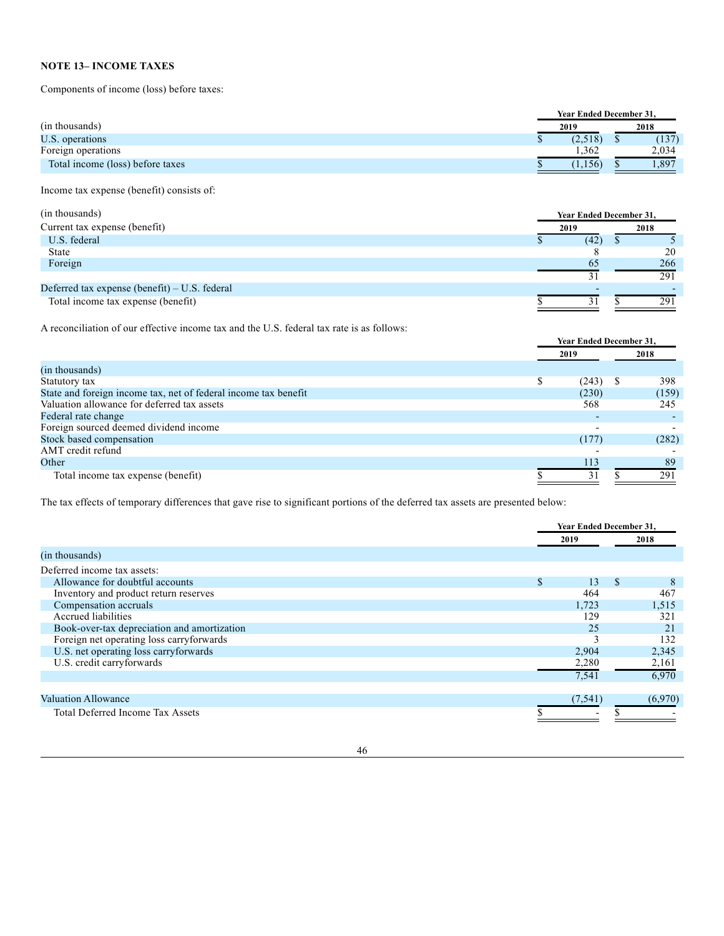# **NOTE 13– INCOME TAXES**

Components of income (loss) before taxes:

|                                  | <b>Year Ended December 31,</b> |          |  |       |
|----------------------------------|--------------------------------|----------|--|-------|
| (in thousands)                   |                                | 2019     |  | 2018  |
| U.S. operations                  |                                | (2,518)  |  |       |
| Foreign operations               |                                | .362     |  | 2.034 |
| Total income (loss) before taxes |                                | (1, 156) |  | 1,897 |

Income tax expense (benefit) consists of:

| (in thousands)                                  | <b>Year Ended December 31.</b> |      |  |      |
|-------------------------------------------------|--------------------------------|------|--|------|
| Current tax expense (benefit)                   |                                | 2019 |  | 2018 |
| U.S. federal                                    |                                | (42) |  |      |
| <b>State</b>                                    |                                |      |  | 20   |
| Foreign                                         |                                | 65   |  | 266  |
|                                                 |                                | 31   |  | 291  |
| Deferred tax expense (benefit) $- U.S.$ federal |                                |      |  |      |
| Total income tax expense (benefit)              |                                | 31   |  | 291  |

A reconciliation of our effective income tax and the U.S. federal tax rate is as follows:

|                                                                 | <b>Year Ended December 31,</b> |       |  |       |  |
|-----------------------------------------------------------------|--------------------------------|-------|--|-------|--|
|                                                                 |                                | 2019  |  | 2018  |  |
| (in thousands)                                                  |                                |       |  |       |  |
| Statutory tax                                                   |                                | (243) |  | 398   |  |
| State and foreign income tax, net of federal income tax benefit |                                | (230) |  | (159) |  |
| Valuation allowance for deferred tax assets                     |                                | 568   |  | 245   |  |
| Federal rate change                                             |                                |       |  |       |  |
| Foreign sourced deemed dividend income                          |                                |       |  |       |  |
| Stock based compensation                                        |                                | (177) |  | (282) |  |
| AMT credit refund                                               |                                |       |  |       |  |
| Other                                                           |                                | 113   |  | 89    |  |
| Total income tax expense (benefit)                              |                                | 31    |  | 291   |  |

The tax effects of temporary differences that gave rise to significant portions of the deferred tax assets are presented below:

|                                             | <b>Year Ended December 31,</b> |              |         |
|---------------------------------------------|--------------------------------|--------------|---------|
|                                             | 2019                           |              | 2018    |
| (in thousands)                              |                                |              |         |
| Deferred income tax assets:                 |                                |              |         |
| Allowance for doubtful accounts             | \$<br>13                       | <sup>S</sup> | 8       |
| Inventory and product return reserves       | 464                            |              | 467     |
| Compensation accruals                       | 1,723                          |              | 1,515   |
| Accrued liabilities                         | 129                            |              | 321     |
| Book-over-tax depreciation and amortization | 25                             |              | 21      |
| Foreign net operating loss carryforwards    |                                |              | 132     |
| U.S. net operating loss carryforwards       | 2,904                          |              | 2,345   |
| U.S. credit carryforwards                   | 2,280                          |              | 2,161   |
|                                             | 7.541                          |              | 6,970   |
|                                             |                                |              |         |
| <b>Valuation Allowance</b>                  | (7, 541)                       |              | (6,970) |
| Total Deferred Income Tax Assets            |                                |              |         |

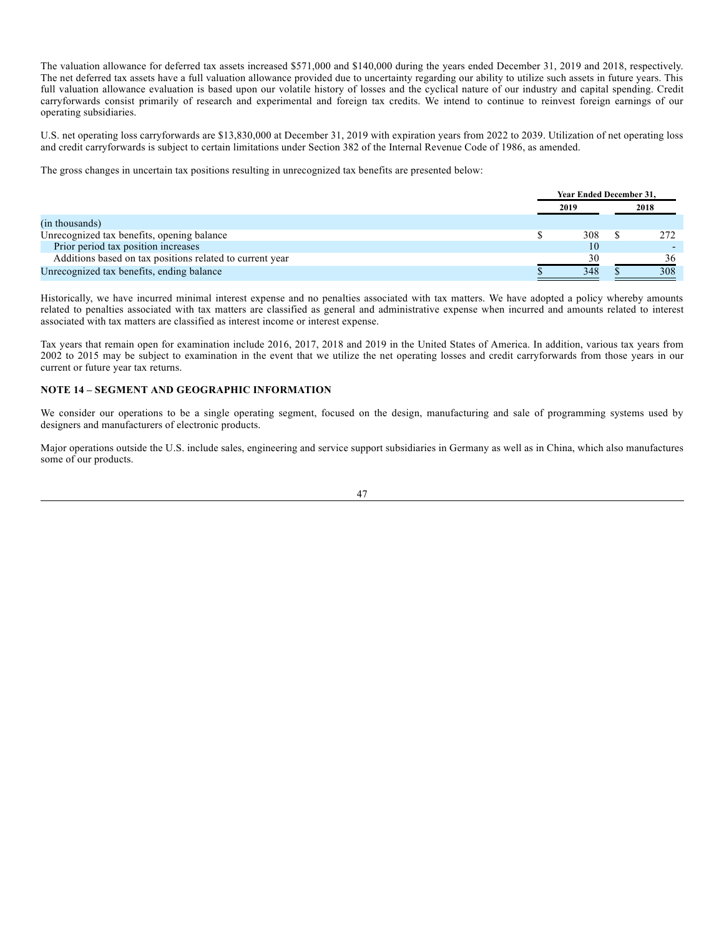The valuation allowance for deferred tax assets increased \$571,000 and \$140,000 during the years ended December 31, 2019 and 2018, respectively. The net deferred tax assets have a full valuation allowance provided due to uncertainty regarding our ability to utilize such assets in future years. This full valuation allowance evaluation is based upon our volatile history of losses and the cyclical nature of our industry and capital spending. Credit carryforwards consist primarily of research and experimental and foreign tax credits. We intend to continue to reinvest foreign earnings of our operating subsidiaries.

U.S. net operating loss carryforwards are \$13,830,000 at December 31, 2019 with expiration years from 2022 to 2039. Utilization of net operating loss and credit carryforwards is subject to certain limitations under Section 382 of the Internal Revenue Code of 1986, as amended.

The gross changes in uncertain tax positions resulting in unrecognized tax benefits are presented below:

|                                                          | Year Ended December 31, |  |      |  |
|----------------------------------------------------------|-------------------------|--|------|--|
|                                                          | 2019                    |  | 2018 |  |
| (in thousands)                                           |                         |  |      |  |
| Unrecognized tax benefits, opening balance               | 308                     |  | 272  |  |
| Prior period tax position increases                      | 10                      |  |      |  |
| Additions based on tax positions related to current year | 30                      |  | 36   |  |
| Unrecognized tax benefits, ending balance                | 348                     |  | 308  |  |

Historically, we have incurred minimal interest expense and no penalties associated with tax matters. We have adopted a policy whereby amounts related to penalties associated with tax matters are classified as general and administrative expense when incurred and amounts related to interest associated with tax matters are classified as interest income or interest expense.

Tax years that remain open for examination include 2016, 2017, 2018 and 2019 in the United States of America. In addition, various tax years from 2002 to 2015 may be subject to examination in the event that we utilize the net operating losses and credit carryforwards from those years in our current or future year tax returns.

## **NOTE 14 – SEGMENT AND GEOGRAPHIC INFORMATION**

We consider our operations to be a single operating segment, focused on the design, manufacturing and sale of programming systems used by designers and manufacturers of electronic products.

Major operations outside the U.S. include sales, engineering and service support subsidiaries in Germany as well as in China, which also manufactures some of our products.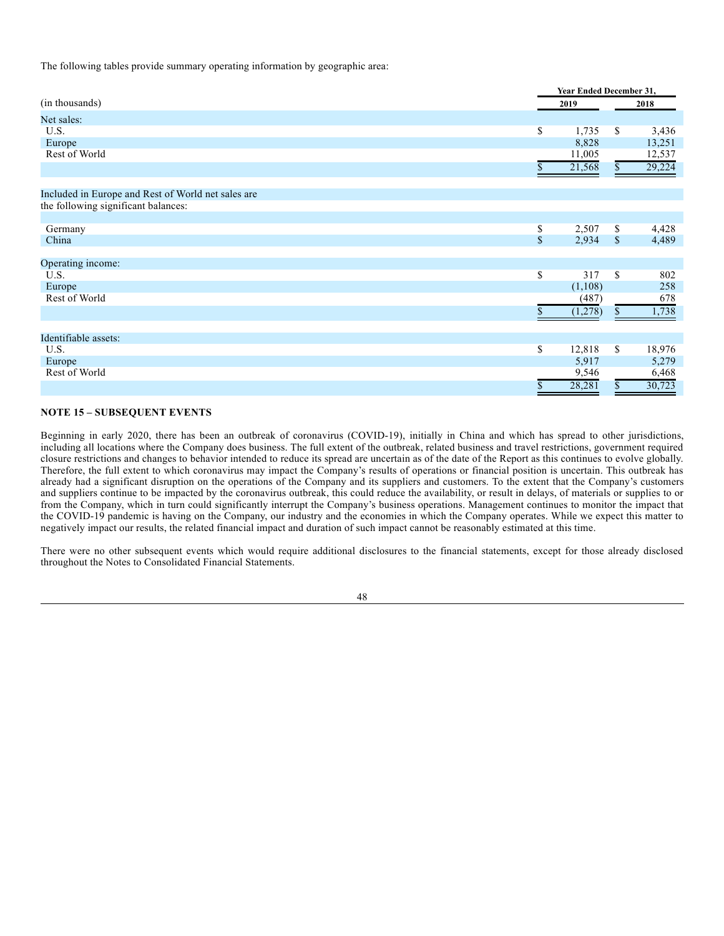The following tables provide summary operating information by geographic area:

|                                                    |             | Year Ended December 31, |    |        |
|----------------------------------------------------|-------------|-------------------------|----|--------|
| (in thousands)                                     |             | 2019                    |    | 2018   |
| Net sales:                                         |             |                         |    |        |
| U.S.                                               | \$          | 1,735                   | \$ | 3,436  |
| Europe                                             |             | 8,828                   |    | 13,251 |
| Rest of World                                      |             | 11,005                  |    | 12,537 |
|                                                    | S           | 21,568                  | S. | 29,224 |
| Included in Europe and Rest of World net sales are |             |                         |    |        |
| the following significant balances:                |             |                         |    |        |
| Germany                                            | \$          | 2,507                   | \$ | 4,428  |
| China                                              | $\mathbb S$ | 2,934                   | \$ | 4,489  |
| Operating income:                                  |             |                         |    |        |
| U.S.                                               | \$          | 317                     | \$ | 802    |
| Europe                                             |             | (1,108)                 |    | 258    |
| Rest of World                                      |             | (487)                   |    | 678    |
|                                                    |             | (1,278)                 | \$ | 1,738  |
|                                                    |             |                         |    |        |
| Identifiable assets:                               |             |                         |    |        |
| U.S.                                               | \$          | 12,818                  | \$ | 18,976 |
| Europe                                             |             | 5,917                   |    | 5,279  |
| Rest of World                                      |             | 9,546                   |    | 6,468  |
|                                                    | \$          | 28,281                  | \$ | 30,723 |

## **NOTE 15 – SUBSEQUENT EVENTS**

Beginning in early 2020, there has been an outbreak of coronavirus (COVID-19), initially in China and which has spread to other jurisdictions, including all locations where the Company does business. The full extent of the outbreak, related business and travel restrictions, government required closure restrictions and changes to behavior intended to reduce its spread are uncertain as of the date of the Report as this continues to evolve globally. Therefore, the full extent to which coronavirus may impact the Company's results of operations or financial position is uncertain. This outbreak has already had a significant disruption on the operations of the Company and its suppliers and customers. To the extent that the Company's customers and suppliers continue to be impacted by the coronavirus outbreak, this could reduce the availability, or result in delays, of materials or supplies to or from the Company, which in turn could significantly interrupt the Company's business operations. Management continues to monitor the impact that the COVID-19 pandemic is having on the Company, our industry and the economies in which the Company operates. While we expect this matter to negatively impact our results, the related financial impact and duration of such impact cannot be reasonably estimated at this time.

There were no other subsequent events which would require additional disclosures to the financial statements, except for those already disclosed throughout the Notes to Consolidated Financial Statements.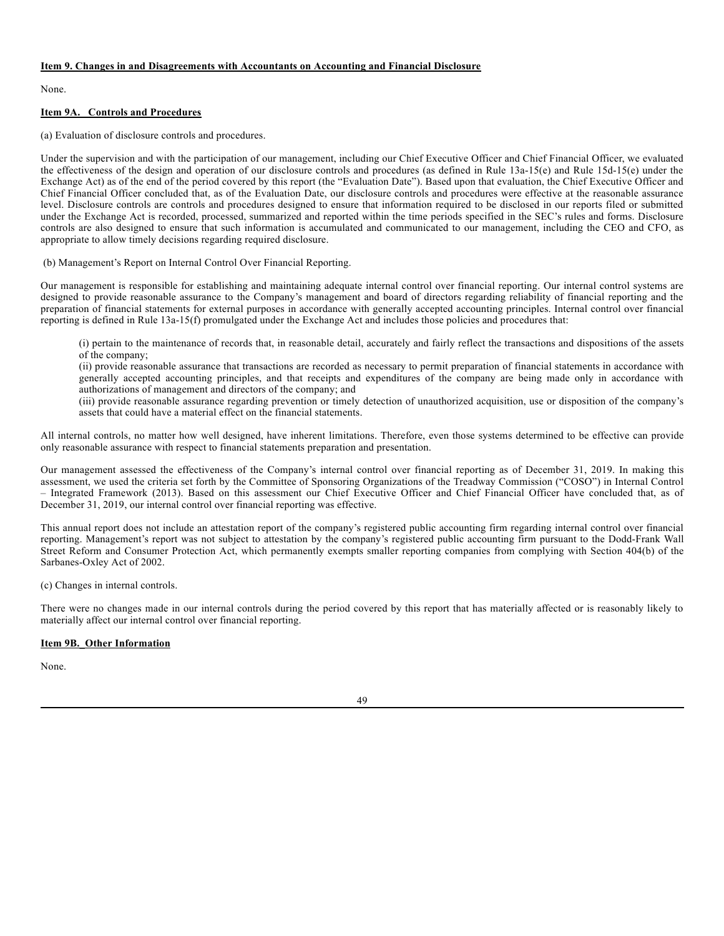#### **Item 9. Changes in and Disagreements with Accountants on Accounting and Financial Disclosure**

None.

## **Item 9A.\_ Controls and Procedures**

(a) Evaluation of disclosure controls and procedures.

Under the supervision and with the participation of our management, including our Chief Executive Officer and Chief Financial Officer, we evaluated the effectiveness of the design and operation of our disclosure controls and procedures (as defined in Rule 13a-15(e) and Rule 15d-15(e) under the Exchange Act) as of the end of the period covered by this report (the "Evaluation Date"). Based upon that evaluation, the Chief Executive Officer and Chief Financial Officer concluded that, as of the Evaluation Date, our disclosure controls and procedures were effective at the reasonable assurance level. Disclosure controls are controls and procedures designed to ensure that information required to be disclosed in our reports filed or submitted under the Exchange Act is recorded, processed, summarized and reported within the time periods specified in the SEC's rules and forms. Disclosure controls are also designed to ensure that such information is accumulated and communicated to our management, including the CEO and CFO, as appropriate to allow timely decisions regarding required disclosure.

(b) Management's Report on Internal Control Over Financial Reporting.

Our management is responsible for establishing and maintaining adequate internal control over financial reporting. Our internal control systems are designed to provide reasonable assurance to the Company's management and board of directors regarding reliability of financial reporting and the preparation of financial statements for external purposes in accordance with generally accepted accounting principles. Internal control over financial reporting is defined in Rule 13a-15(f) promulgated under the Exchange Act and includes those policies and procedures that:

(i) pertain to the maintenance of records that, in reasonable detail, accurately and fairly reflect the transactions and dispositions of the assets of the company;

(ii) provide reasonable assurance that transactions are recorded as necessary to permit preparation of financial statements in accordance with generally accepted accounting principles, and that receipts and expenditures of the company are being made only in accordance with authorizations of management and directors of the company; and

(iii) provide reasonable assurance regarding prevention or timely detection of unauthorized acquisition, use or disposition of the company's assets that could have a material effect on the financial statements.

All internal controls, no matter how well designed, have inherent limitations. Therefore, even those systems determined to be effective can provide only reasonable assurance with respect to financial statements preparation and presentation.

Our management assessed the effectiveness of the Company's internal control over financial reporting as of December 31, 2019. In making this assessment, we used the criteria set forth by the Committee of Sponsoring Organizations of the Treadway Commission ("COSO") in Internal Control – Integrated Framework (2013). Based on this assessment our Chief Executive Officer and Chief Financial Officer have concluded that, as of December 31, 2019, our internal control over financial reporting was effective.

This annual report does not include an attestation report of the company's registered public accounting firm regarding internal control over financial reporting. Management's report was not subject to attestation by the company's registered public accounting firm pursuant to the Dodd-Frank Wall Street Reform and Consumer Protection Act, which permanently exempts smaller reporting companies from complying with Section 404(b) of the Sarbanes-Oxley Act of 2002.

(c) Changes in internal controls.

There were no changes made in our internal controls during the period covered by this report that has materially affected or is reasonably likely to materially affect our internal control over financial reporting.

## **Item 9B.\_Other Information**

None.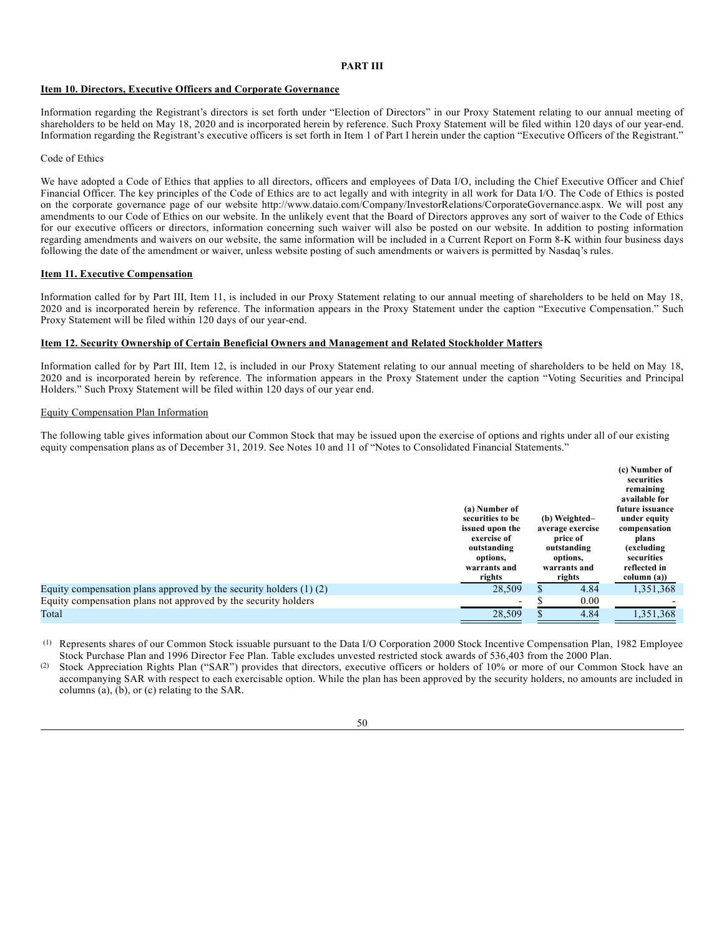#### **PART III**

#### **Item 10. Directors, Executive Officers and Corporate Governance**

Information regarding the Registrant's directors is set forth under "Election of Directors" in our Proxy Statement relating to our annual meeting of shareholders to be held on May 18, 2020 and is incorporated herein by reference. Such Proxy Statement will be filed within 120 days of our year-end. Information regarding the Registrant's executive officers is set forth in Item 1 of Part I herein under the caption "Executive Officers of the Registrant."

#### Code of Ethics

We have adopted a Code of Ethics that applies to all directors, officers and employees of Data I/O, including the Chief Executive Officer and Chief Financial Officer. The key principles of the Code of Ethics are to act legally and with integrity in all work for Data I/O. The Code of Ethics is posted on the corporate governance page of our website http://www.dataio.com/Company/InvestorRelations/CorporateGovernance.aspx. We will post any amendments to our Code of Ethics on our website. In the unlikely event that the Board of Directors approves any sort of waiver to the Code of Ethics for our executive officers or directors, information concerning such waiver will also be posted on our website. In addition to posting information regarding amendments and waivers on our website, the same information will be included in a Current Report on Form 8-K within four business days following the date of the amendment or waiver, unless website posting of such amendments or waivers is permitted by Nasdaq's rules.

#### **Item 11. Executive Compensation**

Information called for by Part III, Item 11, is included in our Proxy Statement relating to our annual meeting of shareholders to be held on May 18, 2020 and is incorporated herein by reference. The information appears in the Proxy Statement under the caption "Executive Compensation." Such Proxy Statement will be filed within 120 days of our year-end.

## **Item 12. Security Ownership of Certain Beneficial Owners and Management and Related Stockholder Matters**

Information called for by Part III, Item 12, is included in our Proxy Statement relating to our annual meeting of shareholders to be held on May 18, 2020 and is incorporated herein by reference. The information appears in the Proxy Statement under the caption "Voting Securities and Principal Holders." Such Proxy Statement will be filed within 120 days of our year end.

## Equity Compensation Plan Information

The following table gives information about our Common Stock that may be issued upon the exercise of options and rights under all of our existing equity compensation plans as of December 31, 2019. See Notes 10 and 11 of "Notes to Consolidated Financial Statements."

|                                                                        | (a) Number of<br>securities to be<br>issued upon the<br>exercise of<br>outstanding<br>options,<br>warrants and<br>rights | (b) Weighted-<br>average exercise<br>price of<br>outstanding<br>options,<br>warrants and<br>rights | (c) Number of<br>securities<br>remaining<br>available for<br>future issuance<br>under equity<br>compensation<br>plans<br>(excluding<br>securities<br>reflected in<br>column (a)) |
|------------------------------------------------------------------------|--------------------------------------------------------------------------------------------------------------------------|----------------------------------------------------------------------------------------------------|----------------------------------------------------------------------------------------------------------------------------------------------------------------------------------|
| Equity compensation plans approved by the security holders $(1)$ $(2)$ | 28,509                                                                                                                   | \$<br>4.84                                                                                         | 1,351,368                                                                                                                                                                        |
| Equity compensation plans not approved by the security holders         | $\overline{\phantom{a}}$                                                                                                 | 0.00                                                                                               |                                                                                                                                                                                  |
| Total                                                                  | 28,509                                                                                                                   | 4.84                                                                                               | 351,368                                                                                                                                                                          |

(1) Represents shares of our Common Stock issuable pursuant to the Data I/O Corporation 2000 Stock Incentive Compensation Plan, 1982 Employee Stock Purchase Plan and 1996 Director Fee Plan. Table excludes unvested restricted stock awards of 536,403 from the 2000 Plan.

(2) Stock Appreciation Rights Plan ("SAR") provides that directors, executive officers or holders of 10% or more of our Common Stock have an accompanying SAR with respect to each exercisable option. While the plan has been approved by the security holders, no amounts are included in columns (a), (b), or (c) relating to the SAR.

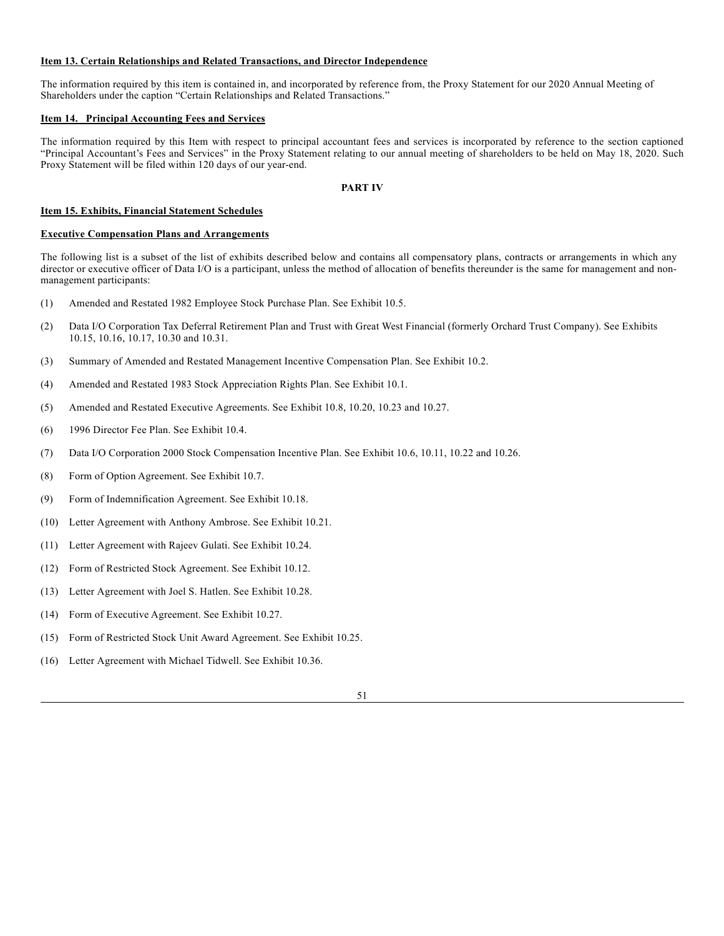## **Item 13. Certain Relationships and Related Transactions, and Director Independence**

The information required by this item is contained in, and incorporated by reference from, the Proxy Statement for our 2020 Annual Meeting of Shareholders under the caption "Certain Relationships and Related Transactions."

## **Item 14.\_ Principal Accounting Fees and Services**

The information required by this Item with respect to principal accountant fees and services is incorporated by reference to the section captioned "Principal Accountant's Fees and Services" in the Proxy Statement relating to our annual meeting of shareholders to be held on May 18, 2020. Such Proxy Statement will be filed within 120 days of our year-end.

## **PART IV**

## **Item 15. Exhibits, Financial Statement Schedules**

# **Executive Compensation Plans and Arrangements**

The following list is a subset of the list of exhibits described below and contains all compensatory plans, contracts or arrangements in which any director or executive officer of Data I/O is a participant, unless the method of allocation of benefits thereunder is the same for management and nonmanagement participants:

- (1) Amended and Restated 1982 Employee Stock Purchase Plan. See Exhibit 10.5.
- (2) Data I/O Corporation Tax Deferral Retirement Plan and Trust with Great West Financial (formerly Orchard Trust Company). See Exhibits 10.15, 10.16, 10.17, 10.30 and 10.31.
- (3) Summary of Amended and Restated Management Incentive Compensation Plan. See Exhibit 10.2.
- (4) Amended and Restated 1983 Stock Appreciation Rights Plan. See Exhibit 10.1.
- (5) Amended and Restated Executive Agreements. See Exhibit 10.8, 10.20, 10.23 and 10.27.
- (6) 1996 Director Fee Plan. See Exhibit 10.4.
- (7) Data I/O Corporation 2000 Stock Compensation Incentive Plan. See Exhibit 10.6, 10.11, 10.22 and 10.26.
- (8) Form of Option Agreement. See Exhibit 10.7.
- (9) Form of Indemnification Agreement. See Exhibit 10.18.
- (10) Letter Agreement with Anthony Ambrose. See Exhibit 10.21.
- (11) Letter Agreement with Rajeev Gulati. See Exhibit 10.24.
- (12) Form of Restricted Stock Agreement. See Exhibit 10.12.
- (13) Letter Agreement with Joel S. Hatlen. See Exhibit 10.28.
- (14) Form of Executive Agreement. See Exhibit 10.27.
- (15) Form of Restricted Stock Unit Award Agreement. See Exhibit 10.25.
- (16) Letter Agreement with Michael Tidwell. See Exhibit 10.36.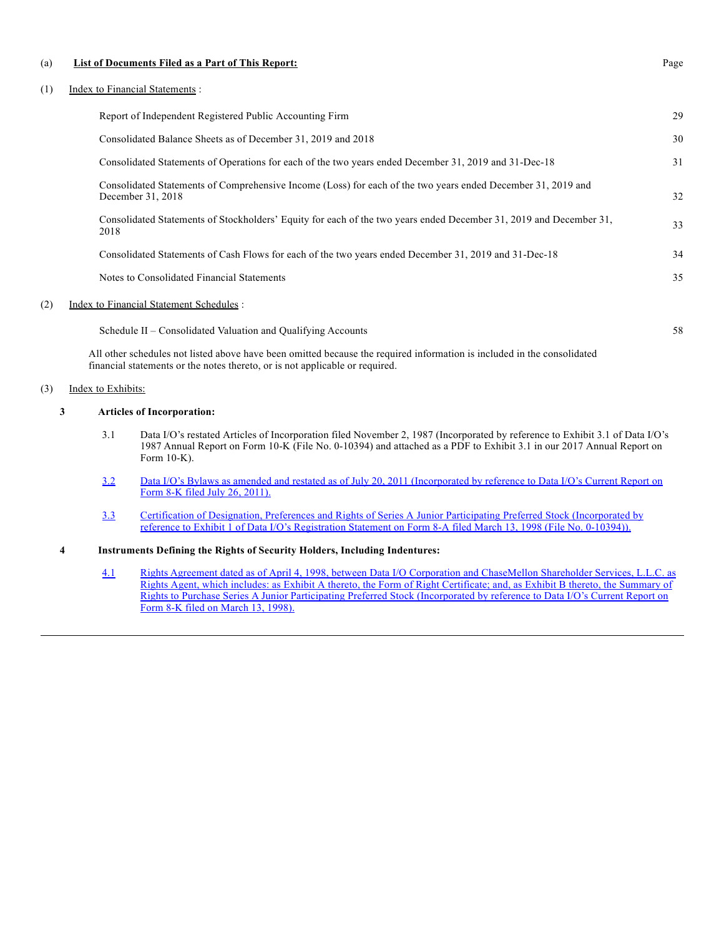# (a) **List of Documents Filed as a Part of This Report:** Page

| Index to Financial Statements :<br>(1) |  |  |
|----------------------------------------|--|--|
|----------------------------------------|--|--|

|     | Report of Independent Registered Public Accounting Firm                                                                                                                                                 | 29 |
|-----|---------------------------------------------------------------------------------------------------------------------------------------------------------------------------------------------------------|----|
|     | Consolidated Balance Sheets as of December 31, 2019 and 2018                                                                                                                                            | 30 |
|     | Consolidated Statements of Operations for each of the two years ended December 31, 2019 and 31-Dec-18                                                                                                   | 31 |
|     | Consolidated Statements of Comprehensive Income (Loss) for each of the two years ended December 31, 2019 and<br>December 31, 2018                                                                       | 32 |
|     | Consolidated Statements of Stockholders' Equity for each of the two years ended December 31, 2019 and December 31,<br>2018                                                                              | 33 |
|     | Consolidated Statements of Cash Flows for each of the two years ended December 31, 2019 and 31-Dec-18                                                                                                   | 34 |
|     | Notes to Consolidated Financial Statements                                                                                                                                                              | 35 |
| (2) | Index to Financial Statement Schedules :                                                                                                                                                                |    |
|     | Schedule II – Consolidated Valuation and Qualifying Accounts                                                                                                                                            | 58 |
|     | All other schedules not listed above have been omitted because the required information is included in the consolidated<br>financial statements or the notes thereto, or is not applicable or required. |    |

#### (3) Index to Exhibits:

## **3 Articles of Incorporation:**

- 3.1 Data I/O's restated Articles of Incorporation filed November 2, 1987 (Incorporated by reference to Exhibit 3.1 of Data I/O's 1987 Annual Report on Form 10-K (File No. 0-10394) and attached as a PDF to Exhibit 3.1 in our 2017 Annual Report on Form 10-K).
- 3.2 Data I/O's Bylaws as amended and restated as of July 20, 2011 (Incorporated by reference to Data I/O's Current Report on Form 8-K filed July 26, 2011).
- 3.3 Certification of Designation, Preferences and Rights of Series A Junior Participating Preferred Stock (Incorporated by reference to Exhibit 1 of Data I/O's Registration Statement on Form 8-A filed March 13, 1998 (File No. 0-10394)).
- **4 Instruments Defining the Rights of Security Holders, Including Indentures:**
	- 4.1 Rights Agreement dated as of April 4, 1998, between Data I/O Corporation and ChaseMellon Shareholder Services, L.L.C. as Rights Agent, which includes: as Exhibit A thereto, the Form of Right Certificate; and, as Exhibit B thereto, the Summary of Rights to Purchase Series A Junior Participating Preferred Stock (Incorporated by reference to Data I/O's Current Report on Form 8-K filed on March 13, 1998).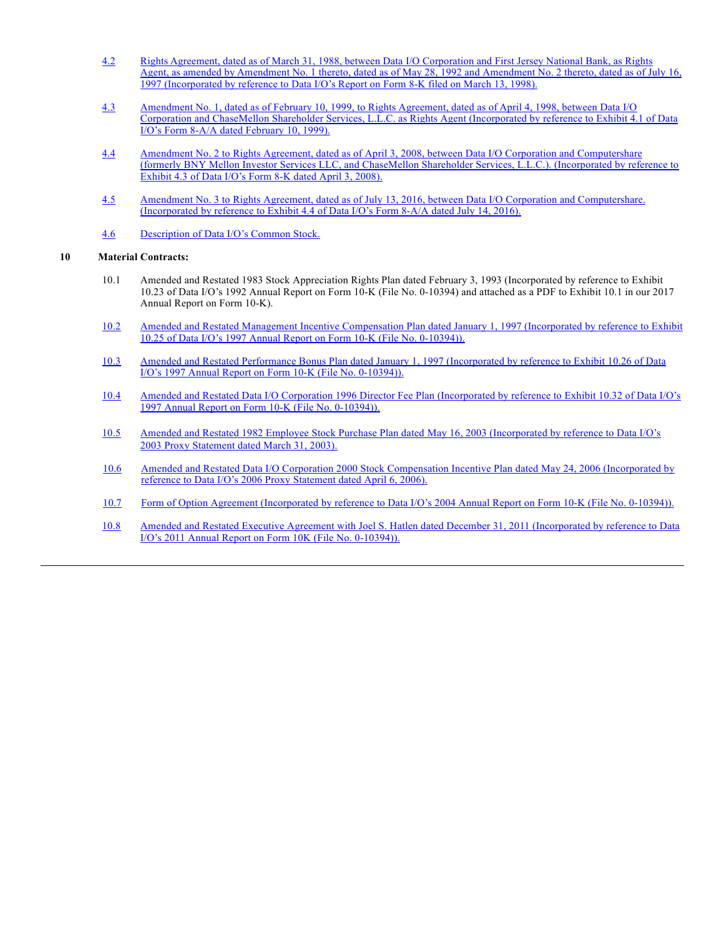- 4.2 Rights Agreement, dated as of March 31, 1988, between Data I/O Corporation and First Jersey National Bank, as Rights Agent, as amended by Amendment No. 1 thereto, dated as of May 28, 1992 and Amendment No. 2 thereto, dated as of July 16, 1997 (Incorporated by reference to Data I/O's Report on Form 8-K filed on March 13, 1998).
- 4.3 Amendment No. 1, dated as of February 10, 1999, to Rights Agreement, dated as of April 4, 1998, between Data I/O Corporation and ChaseMellon Shareholder Services, L.L.C. as Rights Agent (Incorporated by reference to Exhibit 4.1 of Data I/O's Form 8-A/A dated February 10, 1999).
- 4.4 Amendment No. 2 to Rights Agreement, dated as of April 3, 2008, between Data I/O Corporation and Computershare (formerly BNY Mellon Investor Services LLC, and ChaseMellon Shareholder Services, L.L.C.). (Incorporated by reference to Exhibit 4.3 of Data I/O's Form 8-K dated April 3, 2008).
- 4.5 Amendment No. 3 to Rights Agreement, dated as of July 13, 2016, between Data I/O Corporation and Computershare. (Incorporated by reference to Exhibit 4.4 of Data I/O's Form 8-A/A dated July 14, 2016).
- 4.6 Description of Data I/O's Common Stock.

# **10 Material Contracts:**

- 10.1 Amended and Restated 1983 Stock Appreciation Rights Plan dated February 3, 1993 (Incorporated by reference to Exhibit 10.23 of Data I/O's 1992 Annual Report on Form 10-K (File No. 0-10394) and attached as a PDF to Exhibit 10.1 in our 2017 Annual Report on Form 10-K).
- 10.2 Amended and Restated Management Incentive Compensation Plan dated January 1, 1997 (Incorporated by reference to Exhibit 10.25 of Data I/O's 1997 Annual Report on Form 10-K (File No. 0-10394)).
- 10.3 Amended and Restated Performance Bonus Plan dated January 1, 1997 (Incorporated by reference to Exhibit 10.26 of Data I/O's 1997 Annual Report on Form 10-K (File No. 0-10394)).
- 10.4 Amended and Restated Data I/O Corporation 1996 Director Fee Plan (Incorporated by reference to Exhibit 10.32 of Data I/O's 1997 Annual Report on Form 10-K (File No. 0-10394)).
- 10.5 Amended and Restated 1982 Employee Stock Purchase Plan dated May 16, 2003 (Incorporated by reference to Data I/O's 2003 Proxy Statement dated March 31, 2003).
- 10.6 Amended and Restated Data I/O Corporation 2000 Stock Compensation Incentive Plan dated May 24, 2006 (Incorporated by reference to Data I/O's 2006 Proxy Statement dated April 6, 2006).
- 10.7 Form of Option Agreement (Incorporated by reference to Data I/O's 2004 Annual Report on Form 10-K (File No. 0-10394)).
- 10.8 Amended and Restated Executive Agreement with Joel S. Hatlen dated December 31, 2011 (Incorporated by reference to Data  $\overline{1/O}$ 's 2011 Annual Report on Form  $\overline{10K}$  (File No. 0-10394)).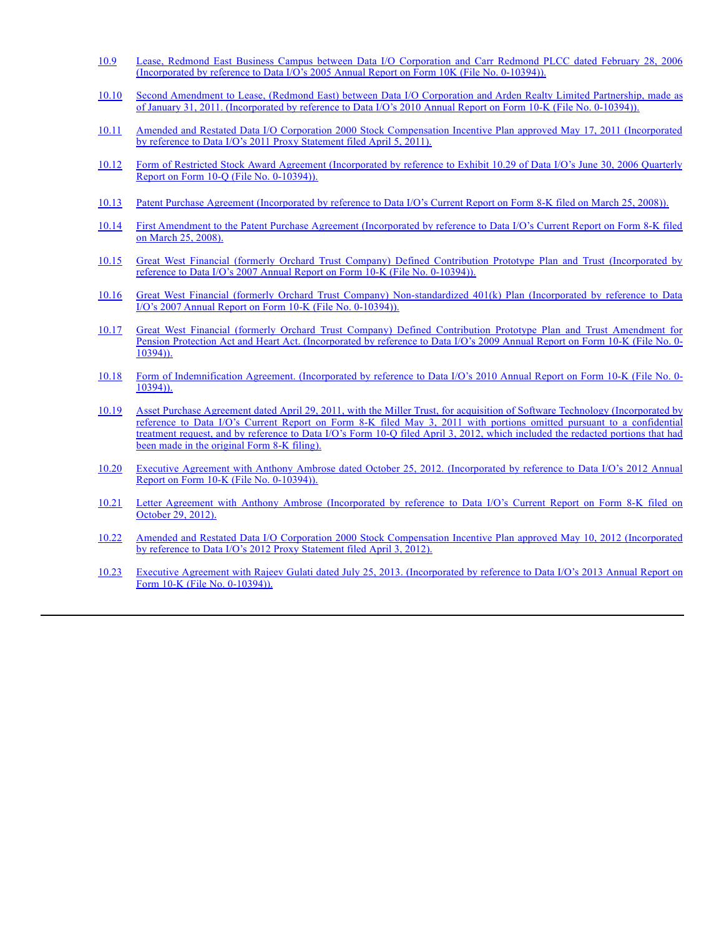- 10.9 Lease, Redmond East Business Campus between Data I/O Corporation and Carr Redmond PLCC dated February 28, 2006 (Incorporated by reference to Data I/O's 2005 Annual Report on Form 10K (File No. 0-10394)).
- 10.10 Second Amendment to Lease, (Redmond East) between Data I/O Corporation and Arden Realty Limited Partnership, made as of January 31, 2011. (Incorporated by reference to Data I/O's 2010 Annual Report on Form 10-K (File No. 0-10394)).
- 10.11 Amended and Restated Data I/O Corporation 2000 Stock Compensation Incentive Plan approved May 17, 2011 (Incorporated by reference to Data I/O's 2011 Proxy Statement filed April 5, 2011).
- 10.12 Form of Restricted Stock Award Agreement (Incorporated by reference to Exhibit 10.29 of Data I/O's June 30, 2006 Quarterly Report on Form 10-Q (File No. 0-10394)).
- 10.13 Patent Purchase Agreement (Incorporated by reference to Data I/O's Current Report on Form 8-K filed on March 25, 2008)).
- 10.14 First Amendment to the Patent Purchase Agreement (Incorporated by reference to Data I/O's Current Report on Form 8-K filed on March 25, 2008).
- 10.15 Great West Financial (formerly Orchard Trust Company) Defined Contribution Prototype Plan and Trust (Incorporated by reference to Data I/O's 2007 Annual Report on Form 10-K (File No. 0-10394)).
- 10.16 Great West Financial (formerly Orchard Trust Company) Non-standardized 401(k) Plan (Incorporated by reference to Data I/O's 2007 Annual Report on Form 10-K (File No. 0-10394)).
- 10.17 Great West Financial (formerly Orchard Trust Company) Defined Contribution Prototype Plan and Trust Amendment for Pension Protection Act and Heart Act. (Incorporated by reference to Data I/O's 2009 Annual Report on Form 10-K (File No. 0- 10394)).
- 10.18 Form of Indemnification Agreement. (Incorporated by reference to Data I/O's 2010 Annual Report on Form 10-K (File No. 0- 10394)).
- 10.19 Asset Purchase Agreement dated April 29, 2011, with the Miller Trust, for acquisition of Software Technology (Incorporated by reference to Data I/O's Current Report on Form 8-K filed May 3, 2011 with portions omitted pursuant to a confidential treatment request, and by reference to Data I/O's Form 10-Q filed April 3, 2012, which included the redacted portions that had been made in the original Form 8-K filing).
- 10.20 Executive Agreement with Anthony Ambrose dated October 25, 2012. (Incorporated by reference to Data I/O's 2012 Annual Report on Form 10-K (File No. 0-10394)).
- 10.21 Letter Agreement with Anthony Ambrose (Incorporated by reference to Data I/O's Current Report on Form 8-K filed on October 29, 2012).
- 10.22 Amended and Restated Data I/O Corporation 2000 Stock Compensation Incentive Plan approved May 10, 2012 (Incorporated by reference to Data I/O's 2012 Proxy Statement filed April 3, 2012).
- 10.23 Executive Agreement with Rajeev Gulati dated July 25, 2013. (Incorporated by reference to Data I/O's 2013 Annual Report on Form 10-K (File No. 0-10394)).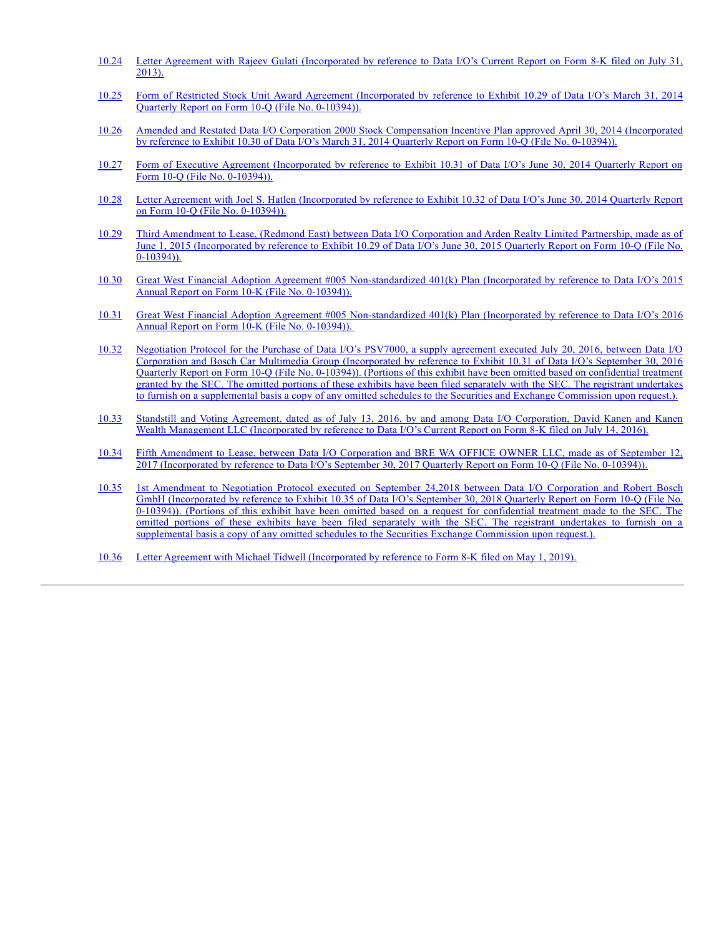- 10.24 Letter Agreement with Rajeev Gulati (Incorporated by reference to Data I/O's Current Report on Form 8-K filed on July 31, 2013).
- 10.25 Form of Restricted Stock Unit Award Agreement (Incorporated by reference to Exhibit 10.29 of Data I/O's March 31, 2014 Quarterly Report on Form 10-Q (File No. 0-10394)).
- 10.26 Amended and Restated Data I/O Corporation 2000 Stock Compensation Incentive Plan approved April 30, 2014 (Incorporated by reference to Exhibit 10.30 of Data I/O's March 31, 2014 Quarterly Report on Form 10-Q (File No. 0-10394)).
- 10.27 Form of Executive Agreement (Incorporated by reference to Exhibit 10.31 of Data I/O's June 30, 2014 Quarterly Report on Form 10-Q (File No. 0-10394)).
- 10.28 Letter Agreement with Joel S. Hatlen (Incorporated by reference to Exhibit 10.32 of Data I/O's June 30, 2014 Quarterly Report on Form 10-Q (File No. 0-10394)).
- 10.29 Third Amendment to Lease, (Redmond East) between Data I/O Corporation and Arden Realty Limited Partnership, made as of June 1, 2015 (Incorporated by reference to Exhibit 10.29 of Data I/O's June 30, 2015 Quarterly Report on Form 10-Q (File No. 0-10394)).
- 10.30 Great West Financial Adoption Agreement #005 Non-standardized 401(k) Plan (Incorporated by reference to Data I/O's 2015 Annual Report on Form 10-K (File No. 0-10394)).
- 10.31 Great West Financial Adoption Agreement #005 Non-standardized 401(k) Plan (Incorporated by reference to Data I/O's 2016 Annual Report on Form 10-K (File No. 0-10394)).
- 10.32 Negotiation Protocol for the Purchase of Data I/O's PSV7000, a supply agreement executed July 20, 2016, between Data I/O Corporation and Bosch Car Multimedia Group (Incorporated by reference to Exhibit 10.31 of Data I/O's September 30, 2016 Quarterly Report on Form 10-Q (File No. 0-10394)). (Portions of this exhibit have been omitted based on confidential treatment granted by the SEC. The omitted portions of these exhibits have been filed separately with the SEC. The registrant undertakes to furnish on a supplemental basis a copy of any omitted schedules to the Securities and Exchange Commission upon request.).
- 10.33 Standstill and Voting Agreement, dated as of July 13, 2016, by and among Data I/O Corporation, David Kanen and Kanen Wealth Management LLC (Incorporated by reference to Data I/O's Current Report on Form 8-K filed on July 14, 2016).
- 10.34 Fifth Amendment to Lease, between Data I/O Corporation and BRE WA OFFICE OWNER LLC, made as of September 12, 2017 (Incorporated by reference to Data I/O's September 30, 2017 Quarterly Report on Form 10-Q (File No. 0-10394)).
- 10.35 1st Amendment to Negotiation Protocol executed on September 24,2018 between Data I/O Corporation and Robert Bosch GmbH (Incorporated by reference to Exhibit 10.35 of Data I/O's September 30, 2018 Quarterly Report on Form 10-Q (File No. 0-10394)). (Portions of this exhibit have been omitted based on a request for confidential treatment made to the SEC. The omitted portions of these exhibits have been filed separately with the SEC. The registrant undertakes to furnish on a supplemental basis a copy of any omitted schedules to the Securities Exchange Commission upon request.).
- 10.36 Letter Agreement with Michael Tidwell (Incorporated by reference to Form 8-K filed on May 1, 2019).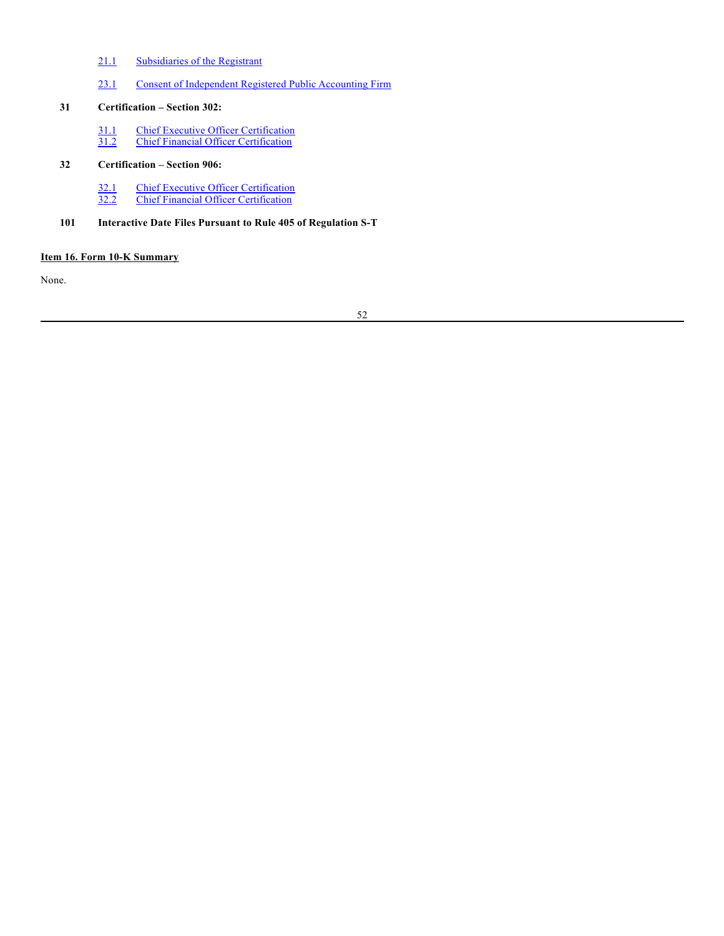- 21.1 Subsidiaries of the Registrant
- 23.1 Consent of Independent Registered Public Accounting Firm

# **31 Certification – Section 302:**

- 31.1 Chief Executive Officer Certification 31.2 Chief Financial Officer Certification
- **32 Certification – Section 906:**
	- 32.1 Chief Executive Officer Certification
	- 32.2 Chief Financial Officer Certification
- **101 Interactive Date Files Pursuant to Rule 405 of Regulation S-T**

# **Item 16. Form 10-K Summary**

None.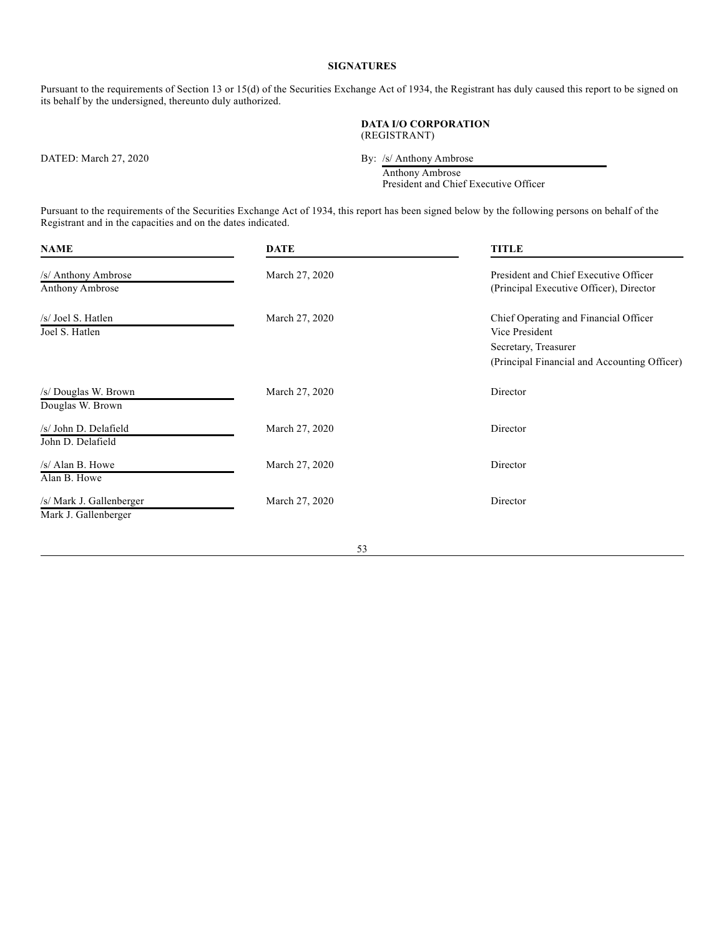# **SIGNATURES**

Pursuant to the requirements of Section 13 or 15(d) of the Securities Exchange Act of 1934, the Registrant has duly caused this report to be signed on its behalf by the undersigned, thereunto duly authorized.

# **DATA I/O CORPORATION** (REGISTRANT)

DATED: March 27, 2020 By: /s/ Anthony Ambrose

Anthony Ambrose

President and Chief Executive Officer

Pursuant to the requirements of the Securities Exchange Act of 1934, this report has been signed below by the following persons on behalf of the Registrant and in the capacities and on the dates indicated.

| <b>NAME</b>                                      | <b>DATE</b>    | <b>TITLE</b>                                                                                                                    |
|--------------------------------------------------|----------------|---------------------------------------------------------------------------------------------------------------------------------|
| /s/ Anthony Ambrose<br><b>Anthony Ambrose</b>    | March 27, 2020 | President and Chief Executive Officer<br>(Principal Executive Officer), Director                                                |
| /s/ Joel S. Hatlen<br>Joel S. Hatlen             | March 27, 2020 | Chief Operating and Financial Officer<br>Vice President<br>Secretary, Treasurer<br>(Principal Financial and Accounting Officer) |
| /s/ Douglas W. Brown<br>Douglas W. Brown         | March 27, 2020 | Director                                                                                                                        |
| /s/ John D. Delafield<br>John D. Delafield       | March 27, 2020 | Director                                                                                                                        |
| /s/ Alan B. Howe<br>Alan B. Howe                 | March 27, 2020 | Director                                                                                                                        |
| /s/ Mark J. Gallenberger<br>Mark J. Gallenberger | March 27, 2020 | Director                                                                                                                        |

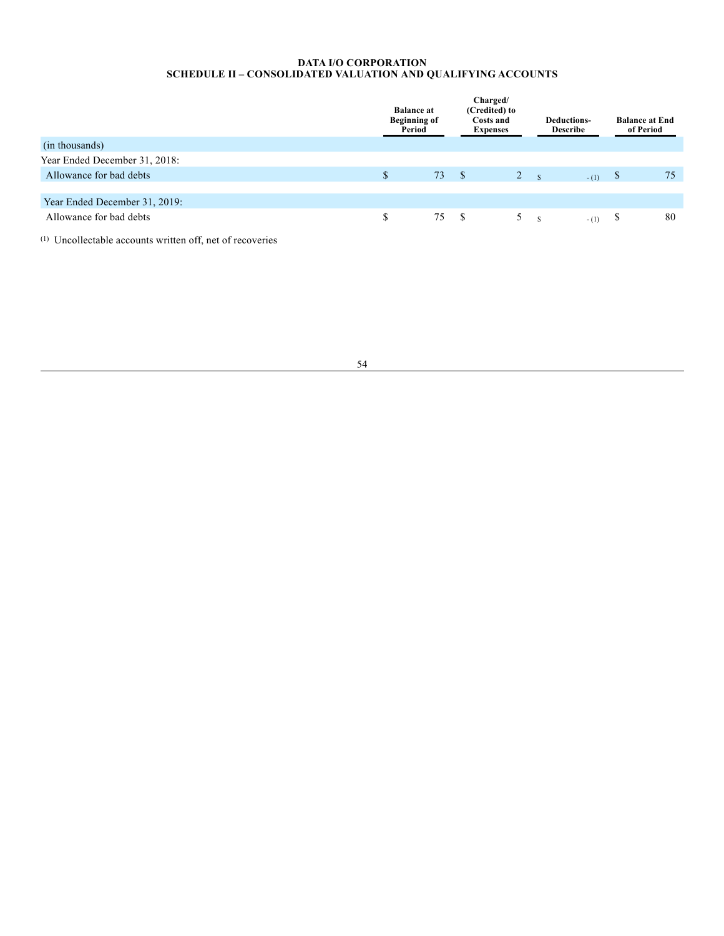## **DATA I/O CORPORATION SCHEDULE II – CONSOLIDATED VALUATION AND QUALIFYING ACCOUNTS**

|                               | <b>Balance at</b><br><b>Beginning of</b><br>Period |      | Charged/<br>(Credited) to<br>Costs and<br><b>Expenses</b> | <b>Deductions-</b><br><b>Describe</b> |      | <b>Balance at End</b><br>of Period |
|-------------------------------|----------------------------------------------------|------|-----------------------------------------------------------|---------------------------------------|------|------------------------------------|
| (in thousands)                |                                                    |      |                                                           |                                       |      |                                    |
| Year Ended December 31, 2018: |                                                    |      |                                                           |                                       |      |                                    |
| Allowance for bad debts       | \$<br>73                                           | - \$ | $2 \, \text{s}$                                           | $-(1)$                                | - \$ | 75                                 |
| Year Ended December 31, 2019: |                                                    |      |                                                           |                                       |      |                                    |
| Allowance for bad debts       | \$<br>75 \$                                        |      | $5 \quad s$                                               | $-(1)$                                | S    | 80                                 |

(1) Uncollectable accounts written off, net of recoveries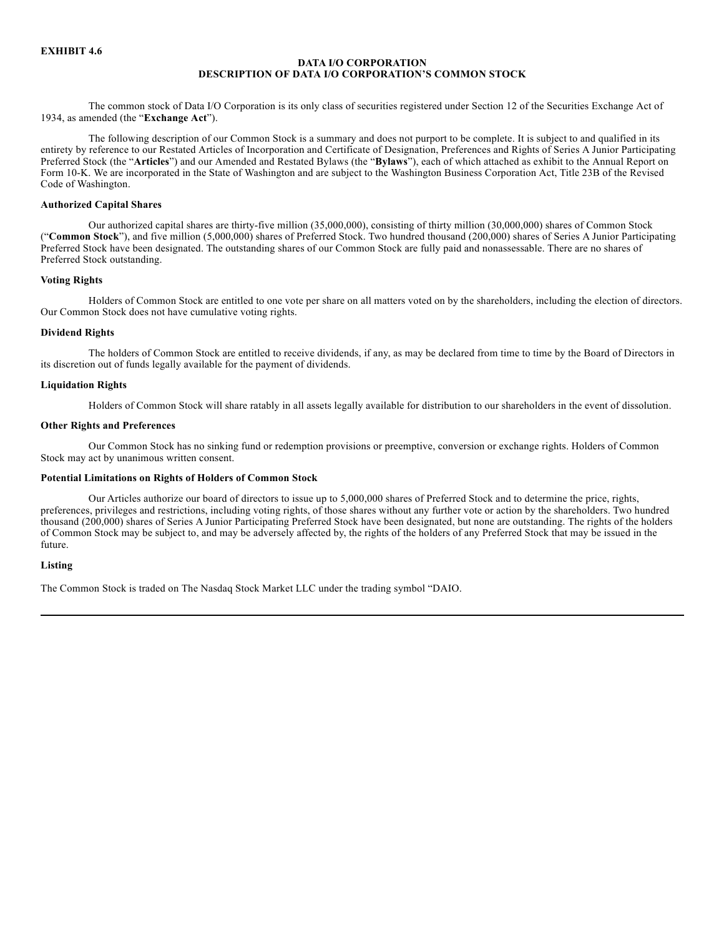#### **DATA I/O CORPORATION DESCRIPTION OF DATA I/O CORPORATION'S COMMON STOCK**

The common stock of Data I/O Corporation is its only class of securities registered under Section 12 of the Securities Exchange Act of 1934, as amended (the "**Exchange Act**").

The following description of our Common Stock is a summary and does not purport to be complete. It is subject to and qualified in its entirety by reference to our Restated Articles of Incorporation and Certificate of Designation, Preferences and Rights of Series A Junior Participating Preferred Stock (the "**Articles**") and our Amended and Restated Bylaws (the "**Bylaws**"), each of which attached as exhibit to the Annual Report on Form 10-K. We are incorporated in the State of Washington and are subject to the Washington Business Corporation Act, Title 23B of the Revised Code of Washington.

#### **Authorized Capital Shares**

Our authorized capital shares are thirty-five million (35,000,000), consisting of thirty million (30,000,000) shares of Common Stock ("**Common Stock**"), and five million (5,000,000) shares of Preferred Stock. Two hundred thousand (200,000) shares of Series A Junior Participating Preferred Stock have been designated. The outstanding shares of our Common Stock are fully paid and nonassessable. There are no shares of Preferred Stock outstanding.

#### **Voting Rights**

Holders of Common Stock are entitled to one vote per share on all matters voted on by the shareholders, including the election of directors. Our Common Stock does not have cumulative voting rights.

# **Dividend Rights**

The holders of Common Stock are entitled to receive dividends, if any, as may be declared from time to time by the Board of Directors in its discretion out of funds legally available for the payment of dividends.

## **Liquidation Rights**

Holders of Common Stock will share ratably in all assets legally available for distribution to our shareholders in the event of dissolution.

#### **Other Rights and Preferences**

Our Common Stock has no sinking fund or redemption provisions or preemptive, conversion or exchange rights. Holders of Common Stock may act by unanimous written consent.

## **Potential Limitations on Rights of Holders of Common Stock**

Our Articles authorize our board of directors to issue up to 5,000,000 shares of Preferred Stock and to determine the price, rights, preferences, privileges and restrictions, including voting rights, of those shares without any further vote or action by the shareholders. Two hundred thousand (200,000) shares of Series A Junior Participating Preferred Stock have been designated, but none are outstanding. The rights of the holders of Common Stock may be subject to, and may be adversely affected by, the rights of the holders of any Preferred Stock that may be issued in the future.

## **Listing**

The Common Stock is traded on The Nasdaq Stock Market LLC under the trading symbol "DAIO.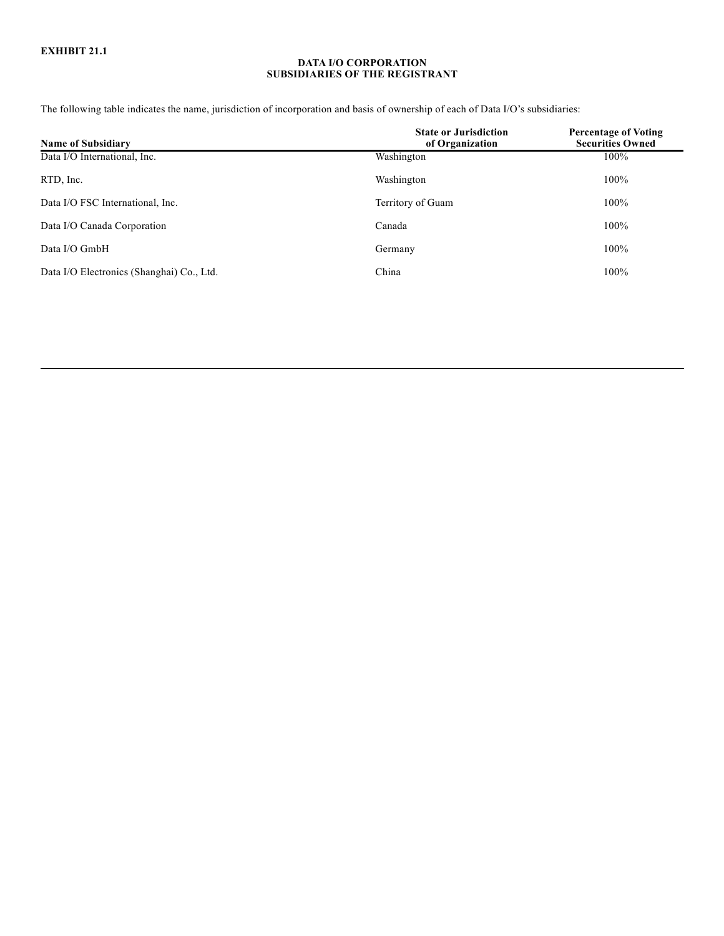#### **DATA I/O CORPORATION SUBSIDIARIES OF THE REGISTRANT**

The following table indicates the name, jurisdiction of incorporation and basis of ownership of each of Data I/O's subsidiaries:

| <b>Name of Subsidiary</b>                 | <b>State or Jurisdiction</b><br>of Organization | <b>Percentage of Voting</b><br><b>Securities Owned</b> |
|-------------------------------------------|-------------------------------------------------|--------------------------------------------------------|
| Data I/O International, Inc.              | Washington                                      | 100%                                                   |
| RTD, Inc.                                 | Washington                                      | 100%                                                   |
| Data I/O FSC International, Inc.          | Territory of Guam                               | 100%                                                   |
| Data I/O Canada Corporation               | Canada                                          | 100%                                                   |
| Data I/O GmbH                             | Germany                                         | 100%                                                   |
| Data I/O Electronics (Shanghai) Co., Ltd. | China                                           | 100%                                                   |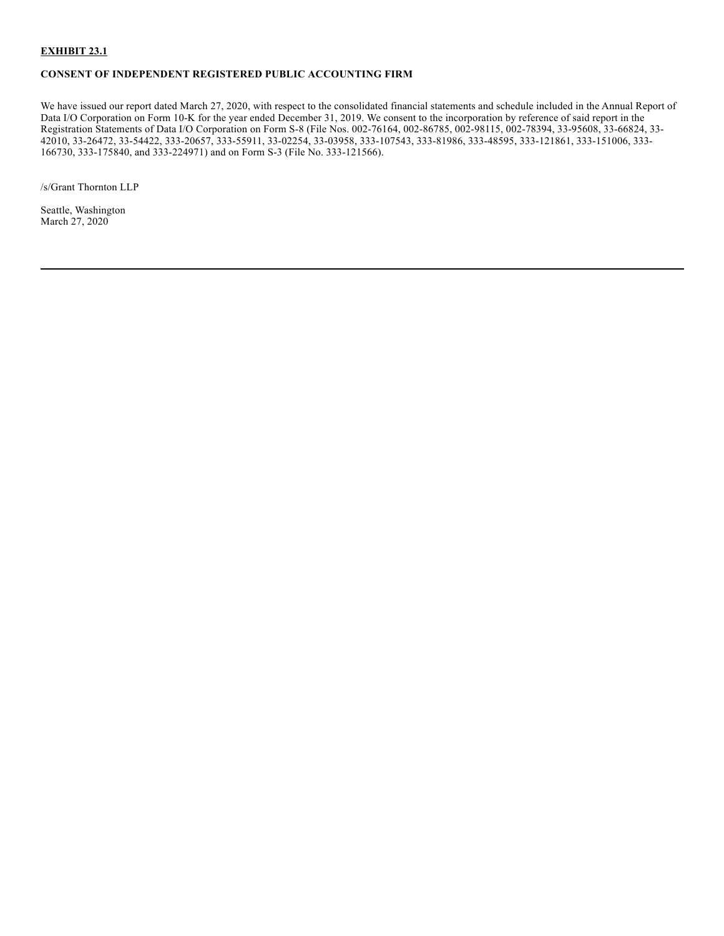# **EXHIBIT 23.1**

## **CONSENT OF INDEPENDENT REGISTERED PUBLIC ACCOUNTING FIRM**

We have issued our report dated March 27, 2020, with respect to the consolidated financial statements and schedule included in the Annual Report of Data I/O Corporation on Form 10-K for the year ended December 31, 2019. We consent to the incorporation by reference of said report in the Registration Statements of Data I/O Corporation on Form S-8 (File Nos. 002-76164, 002-86785, 002-98115, 002-78394, 33-95608, 33-66824, 33- 42010, 33-26472, 33-54422, 333-20657, 333-55911, 33-02254, 33-03958, 333-107543, 333-81986, 333-48595, 333-121861, 333-151006, 333- 166730, 333-175840, and 333-224971) and on Form S-3 (File No. 333-121566).

/s/Grant Thornton LLP

Seattle, Washington March 27, 2020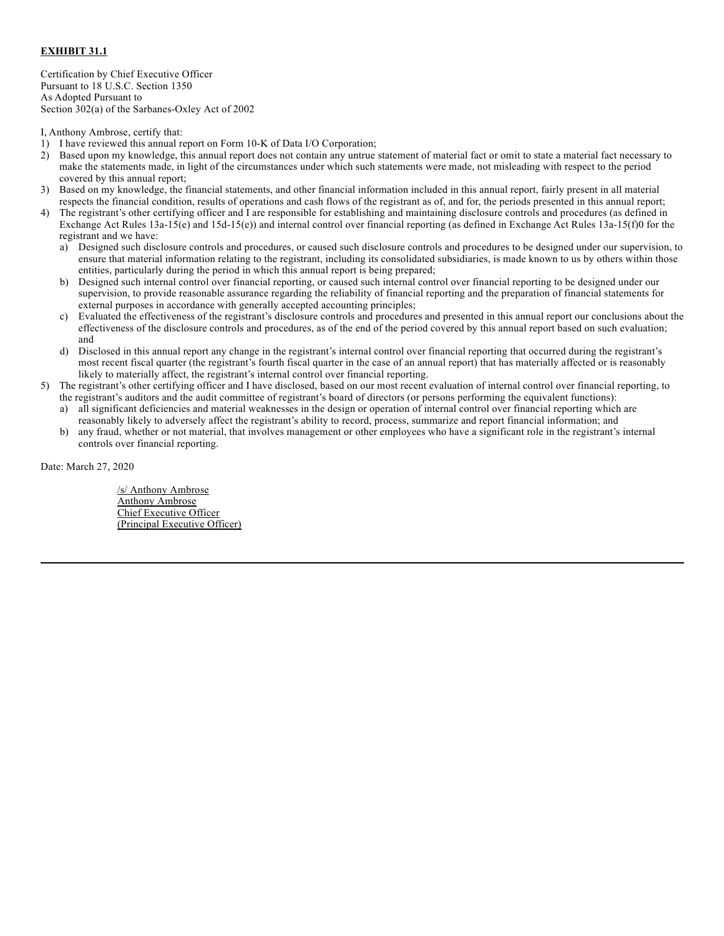# **EXHIBIT 31.1**

Certification by Chief Executive Officer Pursuant to 18 U.S.C. Section 1350 As Adopted Pursuant to Section 302(a) of the Sarbanes-Oxley Act of 2002

I, Anthony Ambrose, certify that:

- 1) I have reviewed this annual report on Form 10-K of Data I/O Corporation;
- 2) Based upon my knowledge, this annual report does not contain any untrue statement of material fact or omit to state a material fact necessary to make the statements made, in light of the circumstances under which such statements were made, not misleading with respect to the period covered by this annual report;
- 3) Based on my knowledge, the financial statements, and other financial information included in this annual report, fairly present in all material respects the financial condition, results of operations and cash flows of the registrant as of, and for, the periods presented in this annual report;
- 4) The registrant's other certifying officer and I are responsible for establishing and maintaining disclosure controls and procedures (as defined in Exchange Act Rules 13a-15(e) and 15d-15(e)) and internal control over financial reporting (as defined in Exchange Act Rules 13a-15(f)0 for the registrant and we have:
	- a) Designed such disclosure controls and procedures, or caused such disclosure controls and procedures to be designed under our supervision, to ensure that material information relating to the registrant, including its consolidated subsidiaries, is made known to us by others within those entities, particularly during the period in which this annual report is being prepared;
	- b) Designed such internal control over financial reporting, or caused such internal control over financial reporting to be designed under our supervision, to provide reasonable assurance regarding the reliability of financial reporting and the preparation of financial statements for external purposes in accordance with generally accepted accounting principles;
	- c) Evaluated the effectiveness of the registrant's disclosure controls and procedures and presented in this annual report our conclusions about the effectiveness of the disclosure controls and procedures, as of the end of the period covered by this annual report based on such evaluation; and
	- d) Disclosed in this annual report any change in the registrant's internal control over financial reporting that occurred during the registrant's most recent fiscal quarter (the registrant's fourth fiscal quarter in the case of an annual report) that has materially affected or is reasonably likely to materially affect, the registrant's internal control over financial reporting.
- 5) The registrant's other certifying officer and I have disclosed, based on our most recent evaluation of internal control over financial reporting, to the registrant's auditors and the audit committee of registrant's board of directors (or persons performing the equivalent functions):
	- a) all significant deficiencies and material weaknesses in the design or operation of internal control over financial reporting which are reasonably likely to adversely affect the registrant's ability to record, process, summarize and report financial information; and
	- b) any fraud, whether or not material, that involves management or other employees who have a significant role in the registrant's internal controls over financial reporting.

Date: March 27, 2020

/s/ Anthony Ambrose Anthony Ambrose Chief Executive Officer (Principal Executive Officer)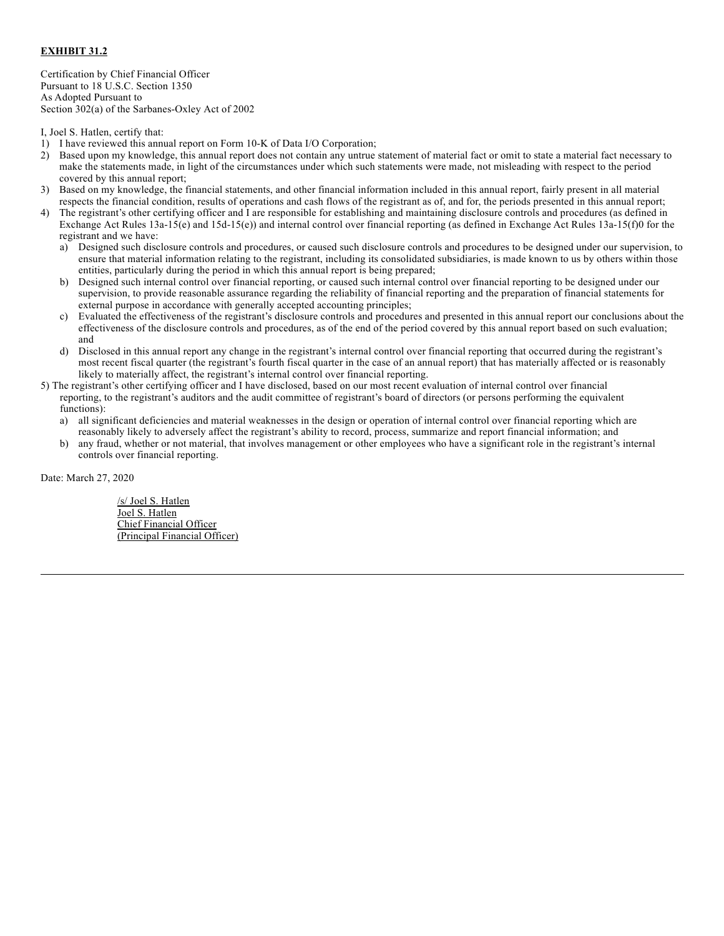# **EXHIBIT 31.2**

Certification by Chief Financial Officer Pursuant to 18 U.S.C. Section 1350 As Adopted Pursuant to Section 302(a) of the Sarbanes-Oxley Act of 2002

I, Joel S. Hatlen, certify that:

- 1) I have reviewed this annual report on Form 10-K of Data I/O Corporation;
- 2) Based upon my knowledge, this annual report does not contain any untrue statement of material fact or omit to state a material fact necessary to make the statements made, in light of the circumstances under which such statements were made, not misleading with respect to the period covered by this annual report;
- 3) Based on my knowledge, the financial statements, and other financial information included in this annual report, fairly present in all material respects the financial condition, results of operations and cash flows of the registrant as of, and for, the periods presented in this annual report;
- 4) The registrant's other certifying officer and I are responsible for establishing and maintaining disclosure controls and procedures (as defined in Exchange Act Rules 13a-15(e) and 15d-15(e)) and internal control over financial reporting (as defined in Exchange Act Rules 13a-15(f)0 for the registrant and we have:
	- a) Designed such disclosure controls and procedures, or caused such disclosure controls and procedures to be designed under our supervision, to ensure that material information relating to the registrant, including its consolidated subsidiaries, is made known to us by others within those entities, particularly during the period in which this annual report is being prepared;
	- b) Designed such internal control over financial reporting, or caused such internal control over financial reporting to be designed under our supervision, to provide reasonable assurance regarding the reliability of financial reporting and the preparation of financial statements for external purpose in accordance with generally accepted accounting principles;
	- c) Evaluated the effectiveness of the registrant's disclosure controls and procedures and presented in this annual report our conclusions about the effectiveness of the disclosure controls and procedures, as of the end of the period covered by this annual report based on such evaluation; and
	- d) Disclosed in this annual report any change in the registrant's internal control over financial reporting that occurred during the registrant's most recent fiscal quarter (the registrant's fourth fiscal quarter in the case of an annual report) that has materially affected or is reasonably likely to materially affect, the registrant's internal control over financial reporting.
- 5) The registrant's other certifying officer and I have disclosed, based on our most recent evaluation of internal control over financial reporting, to the registrant's auditors and the audit committee of registrant's board of directors (or persons performing the equivalent functions):
	- a) all significant deficiencies and material weaknesses in the design or operation of internal control over financial reporting which are reasonably likely to adversely affect the registrant's ability to record, process, summarize and report financial information; and
	- b) any fraud, whether or not material, that involves management or other employees who have a significant role in the registrant's internal controls over financial reporting.

Date: March 27, 2020

/s/ Joel S. Hatlen Joel S. Hatlen Chief Financial Officer (Principal Financial Officer)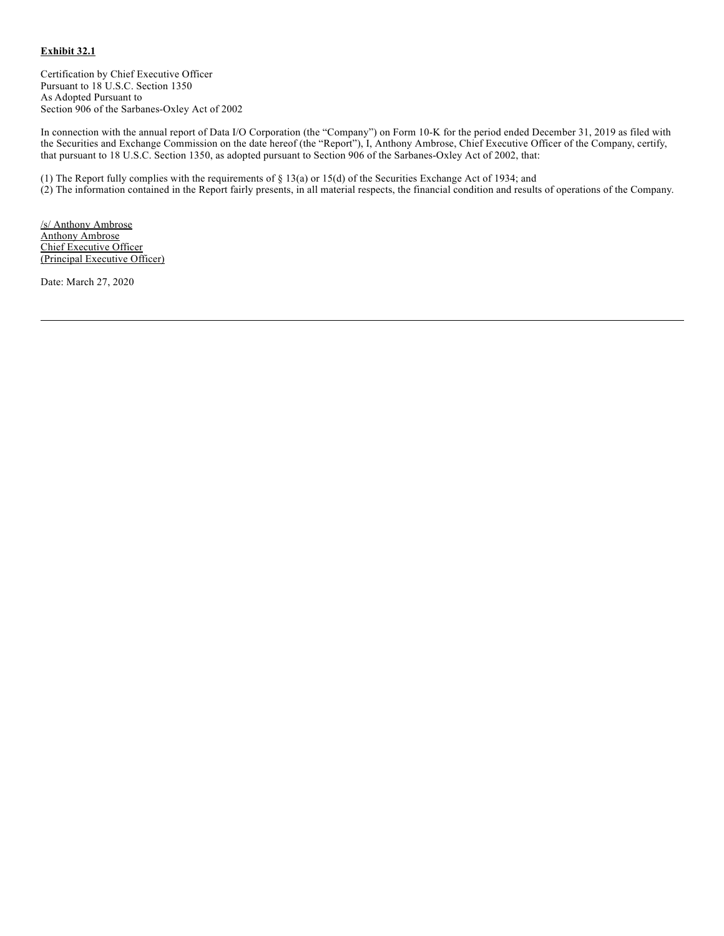# **Exhibit 32.1**

Certification by Chief Executive Officer Pursuant to 18 U.S.C. Section 1350 As Adopted Pursuant to Section 906 of the Sarbanes-Oxley Act of 2002

In connection with the annual report of Data I/O Corporation (the "Company") on Form 10-K for the period ended December 31, 2019 as filed with the Securities and Exchange Commission on the date hereof (the "Report"), I, Anthony Ambrose, Chief Executive Officer of the Company, certify, that pursuant to 18 U.S.C. Section 1350, as adopted pursuant to Section 906 of the Sarbanes-Oxley Act of 2002, that:

(1) The Report fully complies with the requirements of § 13(a) or 15(d) of the Securities Exchange Act of 1934; and (2) The information contained in the Report fairly presents, in all material respects, the financial condition and results of operations of the Company.

/s/ Anthony Ambrose Anthony Ambrose Chief Executive Officer (Principal Executive Officer)

Date: March 27, 2020